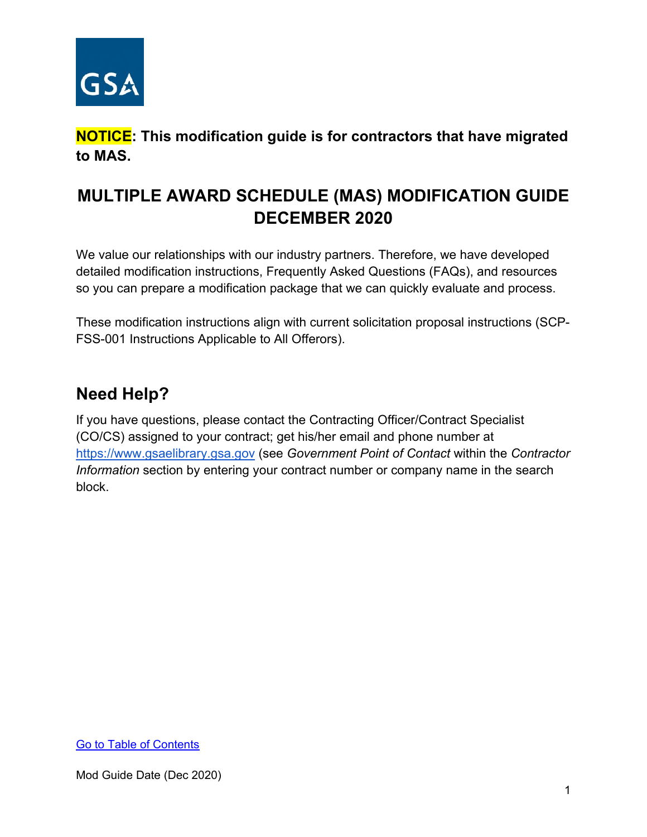

**NOTICE: This modification guide is for contractors that have migrated to MAS.** 

# **MULTIPLE AWARD SCHEDULE (MAS) MODIFICATION GUIDE DECEMBER 2020**

We value our relationships with our industry partners. Therefore, we have developed detailed modification instructions, Frequently Asked Questions (FAQs), and resources so you can prepare a modification package that we can quickly evaluate and process.

These modification instructions align with current solicitation proposal instructions (SCP-FSS-001 Instructions Applicable to All Offerors).

# **Need Help?**

If you have questions, please contact the Contracting Officer/Contract Specialist (CO/CS) assigned to your contract; get his/her email and phone number at [https://www.gsaelibrary.gsa.gov](https://www.gsaelibrary.gsa.gov/ElibMain/home.do) (see *Government Point of Contact* within the *Contractor Information* section by entering your contract number or company name in the search block.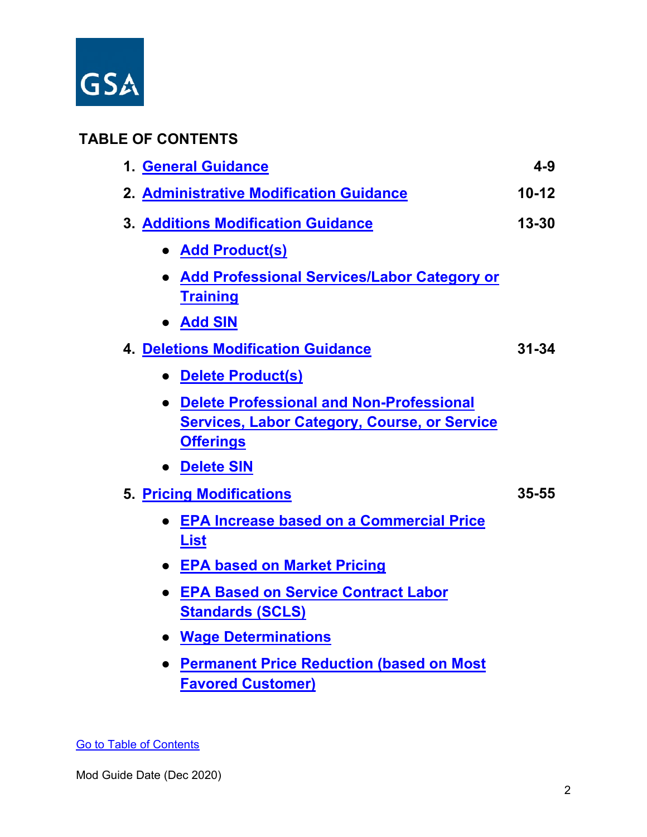

# <span id="page-1-0"></span>**TABLE OF CONTENTS**

| 2. Administrative Modification Guidance<br><b>3. Additions Modification Guidance</b><br>• Add Product(s)<br>• Add Professional Services/Labor Category or<br><b>Training</b><br>• Add SIN<br><b>4. Deletions Modification Guidance</b><br>• Delete Product(s)<br>• Delete Professional and Non-Professional<br><b>Services, Labor Category, Course, or Service</b><br><b>Offerings</b><br>• Delete SIN<br>5. Pricing Modifications<br><b>EPA Increase based on a Commercial Price</b><br><b>List</b><br>• EPA based on Market Pricing<br><b>EPA Based on Service Contract Labor</b><br><b>Standards (SCLS)</b><br>• Wage Determinations<br><b>Permanent Price Reduction (based on Most</b> | 1. General Guidance      | $4 - 9$   |
|--------------------------------------------------------------------------------------------------------------------------------------------------------------------------------------------------------------------------------------------------------------------------------------------------------------------------------------------------------------------------------------------------------------------------------------------------------------------------------------------------------------------------------------------------------------------------------------------------------------------------------------------------------------------------------------------|--------------------------|-----------|
|                                                                                                                                                                                                                                                                                                                                                                                                                                                                                                                                                                                                                                                                                            |                          | $10 - 12$ |
|                                                                                                                                                                                                                                                                                                                                                                                                                                                                                                                                                                                                                                                                                            |                          | $13 - 30$ |
|                                                                                                                                                                                                                                                                                                                                                                                                                                                                                                                                                                                                                                                                                            |                          |           |
|                                                                                                                                                                                                                                                                                                                                                                                                                                                                                                                                                                                                                                                                                            |                          |           |
|                                                                                                                                                                                                                                                                                                                                                                                                                                                                                                                                                                                                                                                                                            |                          |           |
|                                                                                                                                                                                                                                                                                                                                                                                                                                                                                                                                                                                                                                                                                            |                          | $31 - 34$ |
|                                                                                                                                                                                                                                                                                                                                                                                                                                                                                                                                                                                                                                                                                            |                          |           |
|                                                                                                                                                                                                                                                                                                                                                                                                                                                                                                                                                                                                                                                                                            |                          |           |
|                                                                                                                                                                                                                                                                                                                                                                                                                                                                                                                                                                                                                                                                                            |                          |           |
|                                                                                                                                                                                                                                                                                                                                                                                                                                                                                                                                                                                                                                                                                            |                          | 35-55     |
|                                                                                                                                                                                                                                                                                                                                                                                                                                                                                                                                                                                                                                                                                            |                          |           |
|                                                                                                                                                                                                                                                                                                                                                                                                                                                                                                                                                                                                                                                                                            |                          |           |
|                                                                                                                                                                                                                                                                                                                                                                                                                                                                                                                                                                                                                                                                                            |                          |           |
|                                                                                                                                                                                                                                                                                                                                                                                                                                                                                                                                                                                                                                                                                            |                          |           |
|                                                                                                                                                                                                                                                                                                                                                                                                                                                                                                                                                                                                                                                                                            | <b>Favored Customer)</b> |           |

[Go to Table of Contents](#page-1-0)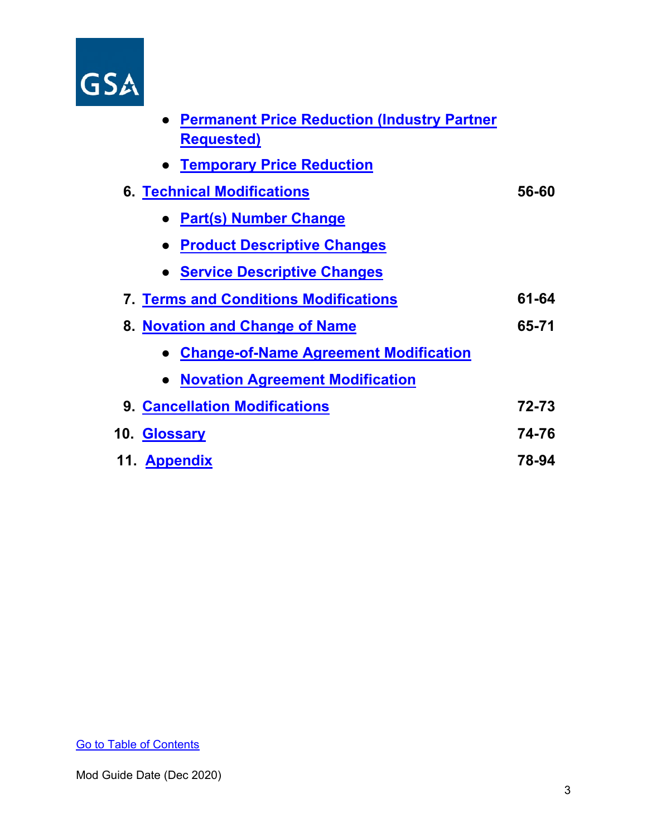

| • Permanent Price Reduction (Industry Partner   |       |
|-------------------------------------------------|-------|
| <b>Requested)</b>                               |       |
| • Temporary Price Reduction                     |       |
| <b>6. Technical Modifications</b>               | 56-60 |
| • Part(s) Number Change                         |       |
| <b>Product Descriptive Changes</b><br>$\bullet$ |       |
| • Service Descriptive Changes                   |       |
| <b>7. Terms and Conditions Modifications</b>    | 61-64 |
| 8. Novation and Change of Name                  | 65-71 |
| <b>Change-of-Name Agreement Modification</b>    |       |
| • Novation Agreement Modification               |       |
| <b>9. Cancellation Modifications</b>            | 72-73 |
| 10. Glossary                                    | 74-76 |
| 11. Appendix                                    | 78-94 |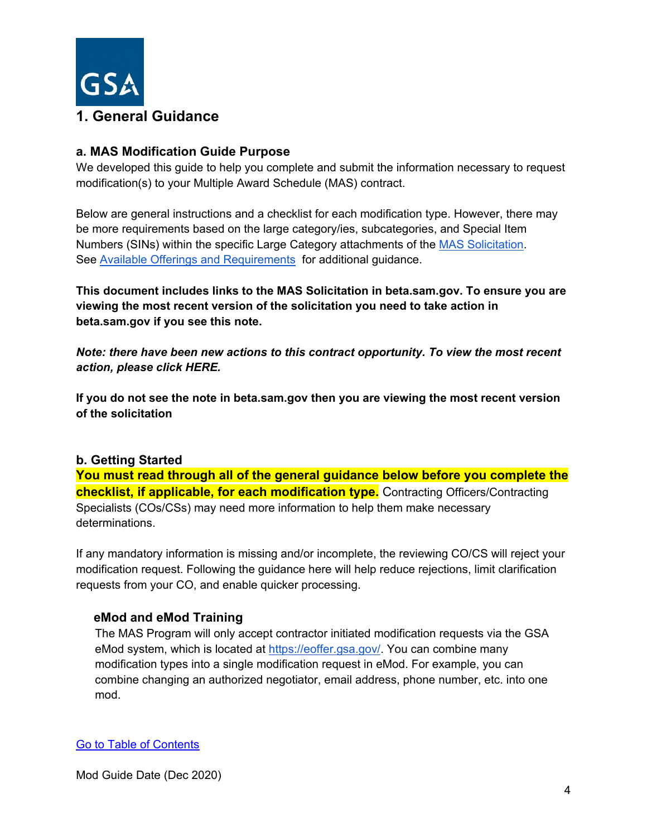

## <span id="page-3-0"></span>**a. MAS Modification Guide Purpose**

We developed this guide to help you complete and submit the information necessary to request modification(s) to your Multiple Award Schedule (MAS) contract.

Below are general instructions and a checklist for each modification type. However, there may be more requirements based on the large category/ies, subcategories, and Special Item Numbers (SINs) within the specific Large Category attachments of the [MAS Solicitation.](https://beta.sam.gov/opp/9c6569ce85314504b780b8778abde405/view) See [Available Offerings and Requirements](https://www.gsa.gov/buying-selling/purchasing-programs/gsa-schedules/selling-through-schedules/roadmap-for-new-schedule-offerors/1-get-ready/available-offerings-and-requirements) for additional guidance.

**This document includes links to the MAS Solicitation in beta.sam.gov. To ensure you are viewing the most recent version of the solicitation you need to take action in beta.sam.gov if you see this note.**

*Note: there have been new actions to this contract opportunity. To view the most recent action, please click HERE.*

**If you do not see the note in beta.sam.gov then you are viewing the most recent version of the solicitation**

## **b. Getting Started**

**You must read through all of the general guidance below before you complete the checklist, if applicable, for each modification type.** Contracting Officers/Contracting Specialists (COs/CSs) may need more information to help them make necessary determinations.

If any mandatory information is missing and/or incomplete, the reviewing CO/CS will reject your modification request. Following the guidance here will help reduce rejections, limit clarification requests from your CO, and enable quicker processing.

## **eMod and eMod Training**

The MAS Program will only accept contractor initiated modification requests via the GSA eMod system, which is located at [https://eoffer.gsa.gov/.](https://eoffer.gsa.gov/) You can combine many modification types into a single modification request in eMod. For example, you can combine changing an authorized negotiator, email address, phone number, etc. into one mod.

[Go to Table of Contents](#page-1-0)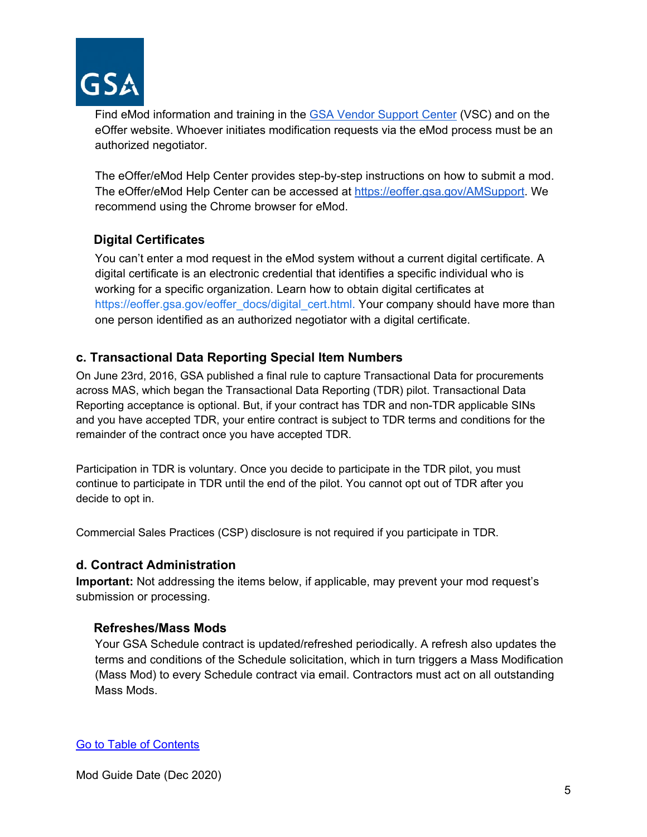

Find eMod information and training in the [GSA Vendor Support Center](https://vsc.gsa.gov/) (VSC) and on the eOffer website. Whoever initiates modification requests via the eMod process must be an authorized negotiator.

The eOffer/eMod Help Center provides step-by-step instructions on how to submit a mod. The eOffer/eMod Help Center can be accessed at [https://eoffer.gsa.gov/AMSupport.](https://eoffer.gsa.gov/AMSupport) We recommend using the Chrome browser for eMod.

## **Digital Certificates**

You can't enter a mod request in the eMod system without a current digital certificate. A digital certificate is an electronic credential that identifies a specific individual who is working for a specific organization. Learn how to obtain digital certificates at [https://eoffer.gsa.gov/eoffer\\_docs/digital\\_cert.html.](https://eoffer.gsa.gov/eoffer_docs/digital_cert.html) Your company should have more than one person identified as an authorized negotiator with a digital certificate.

## **c. Transactional Data Reporting Special Item Numbers**

On June 23rd, 2016, GSA published a final rule to capture Transactional Data for procurements across MAS, which began the Transactional Data Reporting (TDR) pilot. Transactional Data Reporting acceptance is optional. But, if your contract has TDR and non-TDR applicable SINs and you have accepted TDR, your entire contract is subject to TDR terms and conditions for the remainder of the contract once you have accepted TDR.

Participation in TDR is voluntary. Once you decide to participate in the TDR pilot, you must continue to participate in TDR until the end of the pilot. You cannot opt out of TDR after you decide to opt in.

Commercial Sales Practices (CSP) disclosure is not required if you participate in TDR.

## **d. Contract Administration**

**Important:** Not addressing the items below, if applicable, may prevent your mod request's submission or processing.

## **Refreshes/Mass Mods**

Your GSA Schedule contract is updated/refreshed periodically. A refresh also updates the terms and conditions of the Schedule solicitation, which in turn triggers a Mass Modification (Mass Mod) to every Schedule contract via email. Contractors must act on all outstanding Mass Mods.

[Go to Table of Contents](#page-1-0)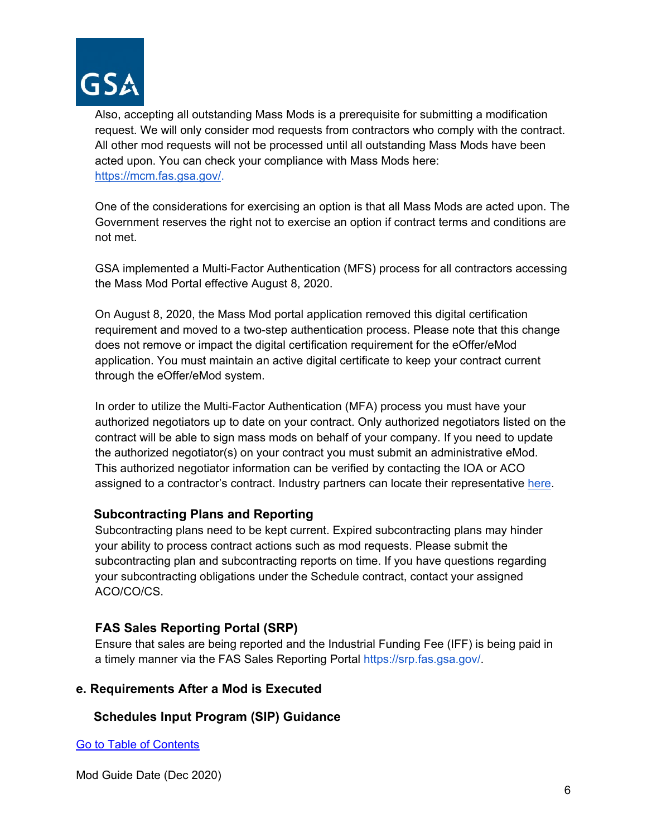

Also, accepting all outstanding Mass Mods is a prerequisite for submitting a modification request. We will only consider mod requests from contractors who comply with the contract. All other mod requests will not be processed until all outstanding Mass Mods have been acted upon. You can check your compliance with Mass Mods here: [https://mcm.fas.gsa.gov/.](https://mcm.fas.gsa.gov/)

One of the considerations for exercising an option is that all Mass Mods are acted upon. The Government reserves the right not to exercise an option if contract terms and conditions are not met.

GSA implemented a Multi-Factor Authentication (MFS) process for all contractors accessing the Mass Mod Portal effective August 8, 2020.

On August 8, 2020, the Mass Mod portal application removed this digital certification requirement and moved to a two-step authentication process. Please note that this change does not remove or impact the digital certification requirement for the eOffer/eMod application. You must maintain an active digital certificate to keep your contract current through the eOffer/eMod system.

In order to utilize the Multi-Factor Authentication (MFA) process you must have your authorized negotiators up to date on your contract. Only authorized negotiators listed on the contract will be able to sign mass mods on behalf of your company. If you need to update the authorized negotiator(s) on your contract you must submit an administrative eMod. This authorized negotiator information can be verified by contacting the IOA or ACO assigned to a contractor's contract. Industry partners can locate their representativ[e](https://vsc.gsa.gov/tools/aco_ioa.cfm) [here.](https://vsc.gsa.gov/tools/aco_ioa.cfm)

## **Subcontracting Plans and Reporting**

Subcontracting plans need to be kept current. Expired subcontracting plans may hinder your ability to process contract actions such as mod requests. Please submit the subcontracting plan and subcontracting reports on time. If you have questions regarding your subcontracting obligations under the Schedule contract, contact your assigned ACO/CO/CS.

## **FAS Sales Reporting Portal (SRP)**

Ensure that sales are being reported and the Industrial Funding Fee (IFF) is being paid in a timely manner via the FAS Sales Reporting Portal https://srp.fas.gsa.gov/.

## **e. Requirements After a Mod is Executed**

## **Schedules Input Program (SIP) Guidance**

[Go to Table of Contents](#page-1-0)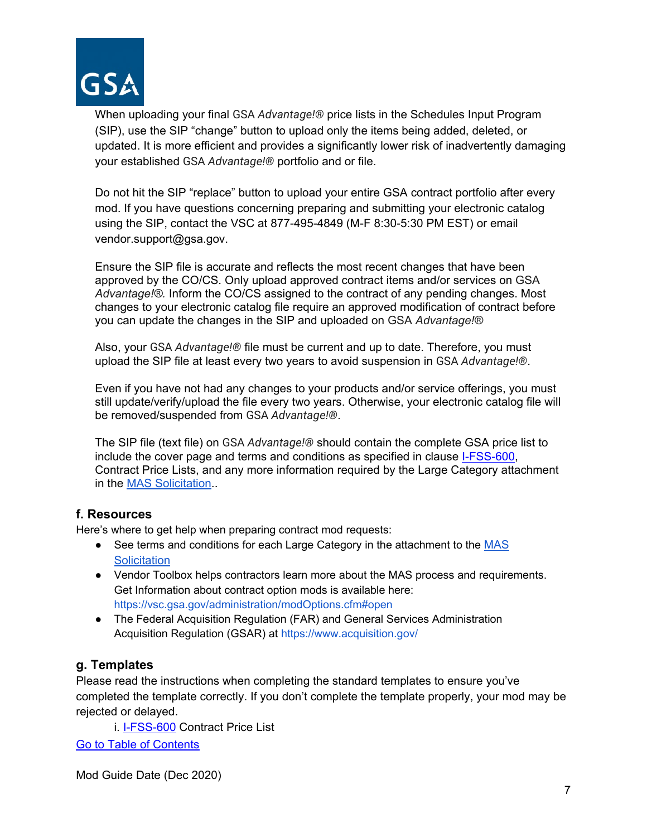

When uploading your final GSA *Advantage!®* price lists in the Schedules Input Program (SIP), use the SIP "change" button to upload only the items being added, deleted, or updated. It is more efficient and provides a significantly lower risk of inadvertently damaging your established GSA *Advantage!®* portfolio and or file.

Do not hit the SIP "replace" button to upload your entire GSA contract portfolio after every mod. If you have questions concerning preparing and submitting your electronic catalog using the SIP, contact the VSC at 877-495-4849 (M-F 8:30-5:30 PM EST) or email vendor.support@gsa.gov.

Ensure the SIP file is accurate and reflects the most recent changes that have been approved by the CO/CS. Only upload approved contract items and/or services on GSA *Advantage!®.* Inform the CO/CS assigned to the contract of any pending changes. Most changes to your electronic catalog file require an approved modification of contract before you can update the changes in the SIP and uploaded on GSA *Advantage!®*

Also, your GSA *Advantage!®* file must be current and up to date. Therefore, you must upload the SIP file at least every two years to avoid suspension in GSA *Advantage!®*.

Even if you have not had any changes to your products and/or service offerings, you must still update/verify/upload the file every two years. Otherwise, your electronic catalog file will be removed/suspended from GSA *Advantage!®*.

The SIP file (text file) on GSA *Advantage!®* should contain the complete GSA price list to include the cover page and terms and conditions as specified in clause [I-FSS-600,](#page-77-1) Contract Price Lists, and any more information required by the Large Category attachment in the [MAS Solicitation.](https://beta.sam.gov/opp/9c6569ce85314504b780b8778abde405/view).

## **f. Resources**

Here's where to get help when preparing contract mod requests:

- See terms and conditions for each Large Category in the attachment to the MAS **[Solicitation](https://beta.sam.gov/opp/9c6569ce85314504b780b8778abde405/view)**
- Vendor Toolbox helps contractors learn more about the MAS process and requirements. Get Information about contract option mods is available here: https://vsc.gsa.gov/administration/modOptions.cfm#open
- The Federal Acquisition Regulation (FAR) and General Services Administration Acquisition Regulation (GSAR) at https://www.acquisition.gov/

## **g. Templates**

Please read the instructions when completing the standard templates to ensure you've completed the template correctly. If you don't complete the template properly, your mod may be rejected or delayed.

[Go to Table of Contents](#page-1-0)  i. **I-FSS-600** Contract Price List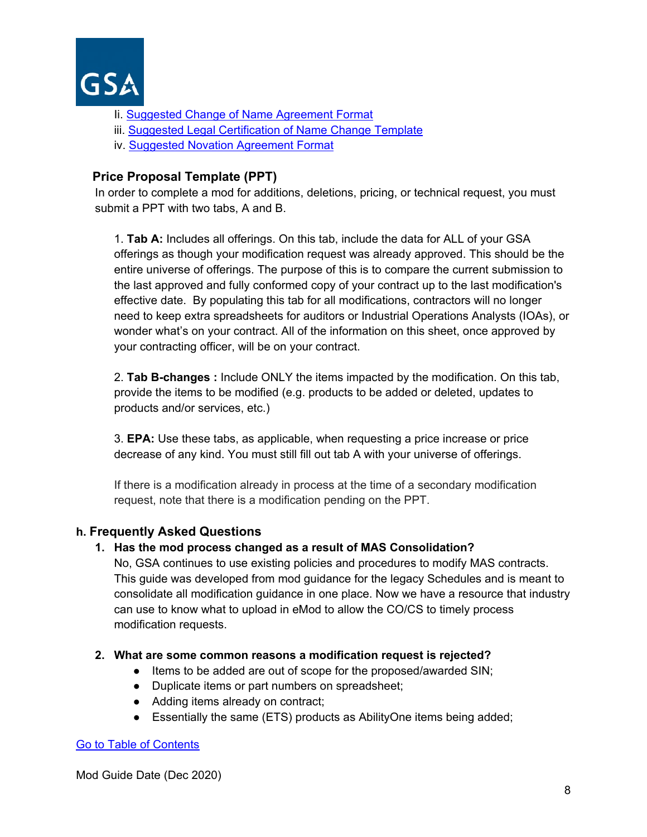

- Ii. [Suggested Change of Name Agreement Format](#page-83-0)
- iii. Suggested Legal Certification of Name Change Template
- iv. [Suggested Novation Agreement Format](#page-66-0)

## **Price Proposal Template (PPT)**

In order to complete a mod for additions, deletions, pricing, or technical request, you must submit a PPT with two tabs, A and B.

1. **Tab A:** Includes all offerings. On this tab, include the data for ALL of your GSA offerings as though your modification request was already approved. This should be the entire universe of offerings. The purpose of this is to compare the current submission to the last approved and fully conformed copy of your contract up to the last modification's effective date. By populating this tab for all modifications, contractors will no longer need to keep extra spreadsheets for auditors or Industrial Operations Analysts (IOAs), or wonder what's on your contract. All of the information on this sheet, once approved by your contracting officer, will be on your contract.

2. **Tab B-changes :** Include ONLY the items impacted by the modification. On this tab, provide the items to be modified (e.g. products to be added or deleted, updates to products and/or services, etc.)

3. **EPA:** Use these tabs, as applicable, when requesting a price increase or price decrease of any kind. You must still fill out tab A with your universe of offerings.

If there is a modification already in process at the time of a secondary modification request, note that there is a modification pending on the PPT.

## **h. Frequently Asked Questions**

## **1. Has the mod process changed as a result of MAS Consolidation?**

No, GSA continues to use existing policies and procedures to modify MAS contracts. This guide was developed from mod guidance for the legacy Schedules and is meant to consolidate all modification guidance in one place. Now we have a resource that industry can use to know what to upload in eMod to allow the CO/CS to timely process modification requests.

## **2. What are some common reasons a modification request is rejected?**

- Items to be added are out of scope for the proposed/awarded SIN;
- Duplicate items or part numbers on spreadsheet;
- Adding items already on contract;
- Essentially the same (ETS) products as AbilityOne items being added;

#### [Go to Table of Contents](#page-1-0)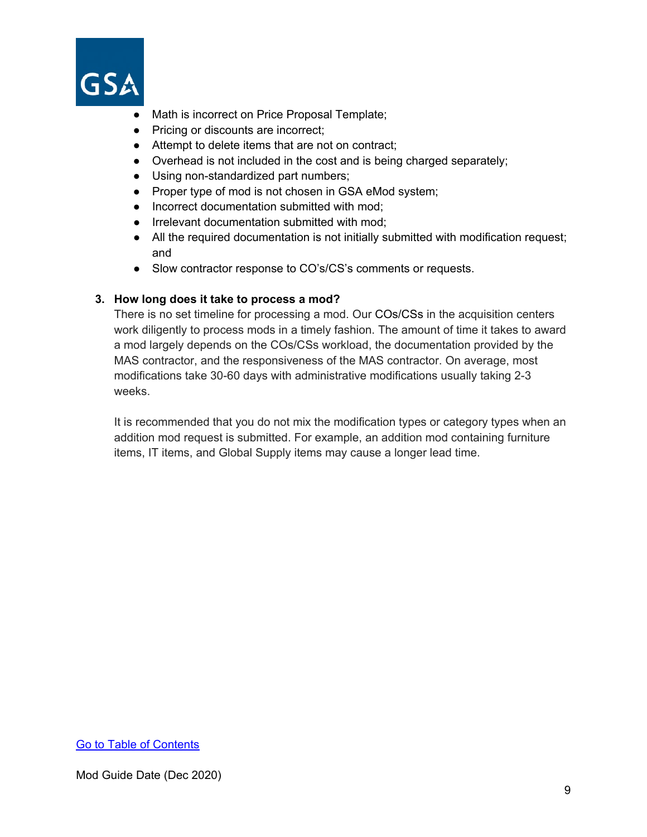

- Math is incorrect on Price Proposal Template;
- Pricing or discounts are incorrect;
- Attempt to delete items that are not on contract;
- Overhead is not included in the cost and is being charged separately;
- Using non-standardized part numbers;
- Proper type of mod is not chosen in GSA eMod system;
- Incorrect documentation submitted with mod;
- Irrelevant documentation submitted with mod;
- All the required documentation is not initially submitted with modification request; and
- Slow contractor response to CO's/CS's comments or requests.

#### **3. How long does it take to process a mod?**

There is no set timeline for processing a mod. Our COs/CSs in the acquisition centers work diligently to process mods in a timely fashion. The amount of time it takes to award a mod largely depends on the COs/CSs workload, the documentation provided by the MAS contractor, and the responsiveness of the MAS contractor. On average, most modifications take 30-60 days with administrative modifications usually taking 2-3 weeks.

It is recommended that you do not mix the modification types or category types when an addition mod request is submitted. For example, an addition mod containing furniture items, IT items, and Global Supply items may cause a longer lead time.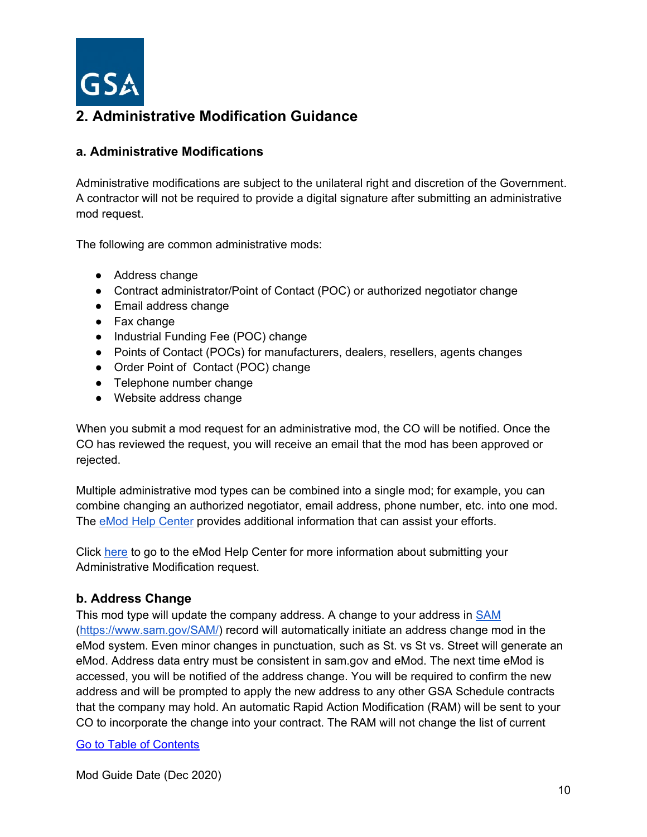

## <span id="page-9-0"></span>**a. Administrative Modifications**

Administrative modifications are subject to the unilateral right and discretion of the Government. A contractor will not be required to provide a digital signature after submitting an administrative mod request.

The following are common administrative mods:

- Address change
- Contract administrator/Point of Contact (POC) or authorized negotiator change
- Email address change
- Fax change
- Industrial Funding Fee (POC) change
- Points of Contact (POCs) for manufacturers, dealers, resellers, agents changes
- Order Point of Contact (POC) change
- Telephone number change
- Website address change

When you submit a mod request for an administrative mod, the CO will be notified. Once the CO has reviewed the request, you will receive an email that the mod has been approved or rejected.

Multiple administrative mod types can be combined into a single mod; for example, you can combine changing an authorized negotiator, email address, phone number, etc. into one mod. The [eMod Help Center](https://eoffer.gsa.gov/AMSupport/index.html) provides additional information that can assist your efforts.

Click [here](https://eoffer.gsa.gov/AMSupport/index.html#book_page_page/modules%2Fbook%2Fdatabase.xml/eoffer_emod/emod-resources/modtypes/administrative-modifications/administrative-modification-overview) to go to the eMod Help Center for more information about submitting your Administrative Modification request.

## **b. Address Change**

This mod type will update the company address. A change to your address in [SAM](https://www.sam.gov/SAM/) [\(https://www.sam.gov/SAM/\)](https://www.sam.gov/SAM/) record will automatically initiate an address change mod in the eMod system. Even minor changes in punctuation, such as St. vs St vs. Street will generate an eMod. Address data entry must be consistent in sam.gov and eMod. The next time eMod is accessed, you will be notified of the address change. You will be required to confirm the new address and will be prompted to apply the new address to any other GSA Schedule contracts that the company may hold. An automatic Rapid Action Modification (RAM) will be sent to your CO to incorporate the change into your contract. The RAM will not change the list of current

## [Go to Table of Contents](#page-1-0)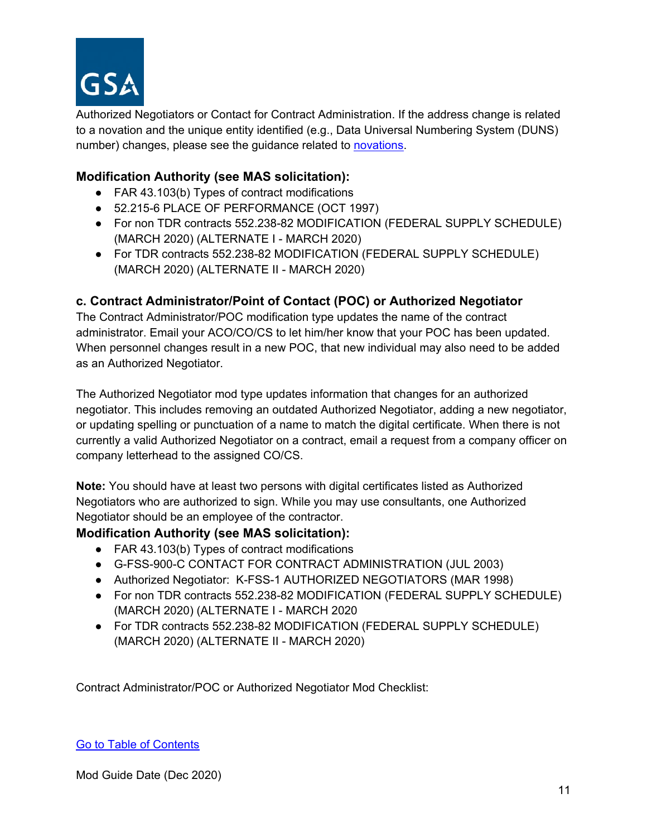

Authorized Negotiators or Contact for Contract Administration. If the address change is related to a novation and the unique entity identified (e.g., Data Universal Numbering System (DUNS) number) changes, please see the guidance related to [novations.](#page-66-0)

## **Modification Authority (see MAS solicitation):**

- FAR 43.103(b) Types of contract modifications
- 52.215-6 PLACE OF PERFORMANCE (OCT 1997)
- For non TDR contracts 552.238-82 MODIFICATION (FEDERAL SUPPLY SCHEDULE) (MARCH 2020) (ALTERNATE I - MARCH 2020)
- For TDR contracts 552.238-82 MODIFICATION (FEDERAL SUPPLY SCHEDULE) (MARCH 2020) (ALTERNATE II - MARCH 2020)

## **c. Contract Administrator/Point of Contact (POC) or Authorized Negotiator**

The Contract Administrator/POC modification type updates the name of the contract administrator. Email your ACO/CO/CS to let him/her know that your POC has been updated. When personnel changes result in a new POC, that new individual may also need to be added as an Authorized Negotiator.

The Authorized Negotiator mod type updates information that changes for an authorized negotiator. This includes removing an outdated Authorized Negotiator, adding a new negotiator, or updating spelling or punctuation of a name to match the digital certificate. When there is not currently a valid Authorized Negotiator on a contract, email a request from a company officer on company letterhead to the assigned CO/CS.

**Note:** You should have at least two persons with digital certificates listed as Authorized Negotiators who are authorized to sign. While you may use consultants, one Authorized Negotiator should be an employee of the contractor.

## **Modification Authority (see MAS solicitation):**

- FAR 43.103(b) Types of contract modifications
- G-FSS-900-C CONTACT FOR CONTRACT ADMINISTRATION (JUL 2003)
- Authorized Negotiator: K-FSS-1 AUTHORIZED NEGOTIATORS (MAR 1998)
- For non TDR contracts 552.238-82 MODIFICATION (FEDERAL SUPPLY SCHEDULE) (MARCH 2020) (ALTERNATE I - MARCH 2020
- For TDR contracts 552.238-82 MODIFICATION (FEDERAL SUPPLY SCHEDULE) (MARCH 2020) (ALTERNATE II - MARCH 2020)

Contract Administrator/POC or Authorized Negotiator Mod Checklist:

## [Go to Table of Contents](#page-1-0)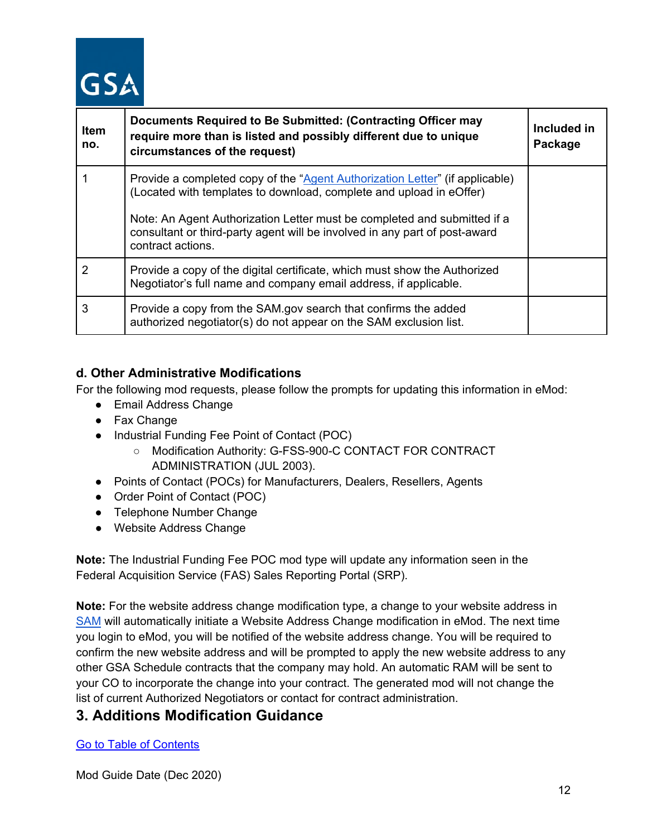# **GSA**

| <b>Item</b><br>no. | Documents Required to Be Submitted: (Contracting Officer may<br>require more than is listed and possibly different due to unique<br>circumstances of the request)                                                                                                                                                                  | Included in<br>Package |
|--------------------|------------------------------------------------------------------------------------------------------------------------------------------------------------------------------------------------------------------------------------------------------------------------------------------------------------------------------------|------------------------|
|                    | Provide a completed copy of the "Agent Authorization Letter" (if applicable)<br>(Located with templates to download, complete and upload in eOffer)<br>Note: An Agent Authorization Letter must be completed and submitted if a<br>consultant or third-party agent will be involved in any part of post-award<br>contract actions. |                        |
| 2                  | Provide a copy of the digital certificate, which must show the Authorized<br>Negotiator's full name and company email address, if applicable.                                                                                                                                                                                      |                        |
| 3                  | Provide a copy from the SAM gov search that confirms the added<br>authorized negotiator(s) do not appear on the SAM exclusion list.                                                                                                                                                                                                |                        |

## **d. Other Administrative Modifications**

For the following mod requests, please follow the prompts for updating this information in eMod:

- Email Address Change
- Fax Change
- Industrial Funding Fee Point of Contact (POC)
	- Modification Authority: G-FSS-900-C CONTACT FOR CONTRACT ADMINISTRATION (JUL 2003).
- Points of Contact (POCs) for Manufacturers, Dealers, Resellers, Agents
- Order Point of Contact (POC)
- Telephone Number Change
- Website Address Change

**Note:** The Industrial Funding Fee POC mod type will update any information seen in the Federal Acquisition Service (FAS) Sales Reporting Portal (SRP).

**Note:** For the website address change modification type, a change to your website address in [SAM](https://www.sam.gov/SAM/) will automatically initiate a Website Address Change modification in eMod. The next time you login to eMod, you will be notified of the website address change. You will be required to confirm the new website address and will be prompted to apply the new website address to any other GSA Schedule contracts that the company may hold. An automatic RAM will be sent to your CO to incorporate the change into your contract. The generated mod will not change the list of current Authorized Negotiators or contact for contract administration.

# <span id="page-11-0"></span>**3. Additions Modification Guidance**

[Go to Table of Contents](#page-1-0)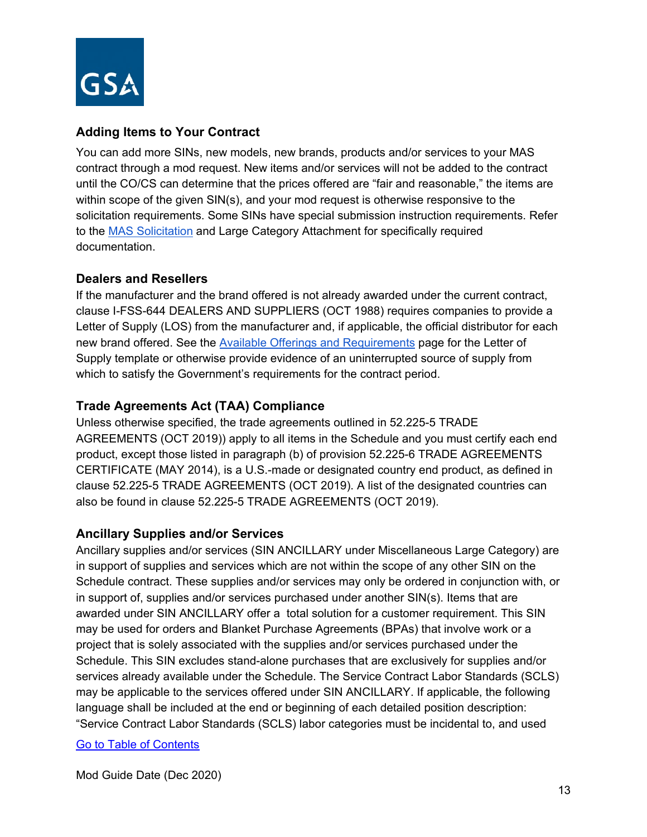

## **Adding Items to Your Contract**

You can add more SINs, new models, new brands, products and/or services to your MAS contract through a mod request. New items and/or services will not be added to the contract until the CO/CS can determine that the prices offered are "fair and reasonable," the items are within scope of the given SIN(s), and your mod request is otherwise responsive to the solicitation requirements. Some SINs have special submission instruction requirements. Refer to the [MAS Solicitation](https://beta.sam.gov/opp/9c6569ce85314504b780b8778abde405/view) and Large Category Attachment for specifically required documentation.

## **Dealers and Resellers**

If the manufacturer and the brand offered is not already awarded under the current contract, clause I-FSS-644 DEALERS AND SUPPLIERS (OCT 1988) requires companies to provide a Letter of Supply (LOS) from the manufacturer and, if applicable, the official distributor for each new brand offered. See the [Available Offerings and Requirements](https://www.gsa.gov/buying-selling/purchasing-programs/gsa-schedules/selling-through-schedules/roadmap-for-new-schedule-offerors/1-get-ready/available-offerings-and-requirements) page for the Letter of Supply template or otherwise provide evidence of an uninterrupted source of supply from which to satisfy the Government's requirements for the contract period.

## **Trade Agreements Act (TAA) Compliance**

Unless otherwise specified, the trade agreements outlined in 52.225-5 TRADE AGREEMENTS (OCT 2019)) apply to all items in the Schedule and you must certify each end product, except those listed in paragraph (b) of provision 52.225-6 TRADE AGREEMENTS CERTIFICATE (MAY 2014), is a U.S.-made or designated country end product, as defined in clause 52.225-5 TRADE AGREEMENTS (OCT 2019). A list of the designated countries can also be found in clause 52.225-5 TRADE AGREEMENTS (OCT 2019).

## **Ancillary Supplies and/or Services**

Ancillary supplies and/or services (SIN ANCILLARY under Miscellaneous Large Category) are in support of supplies and services which are not within the scope of any other SIN on the Schedule contract. These supplies and/or services may only be ordered in conjunction with, or in support of, supplies and/or services purchased under another SIN(s). Items that are awarded under SIN ANCILLARY offer a total solution for a customer requirement. This SIN may be used for orders and Blanket Purchase Agreements (BPAs) that involve work or a project that is solely associated with the supplies and/or services purchased under the Schedule. This SIN excludes stand-alone purchases that are exclusively for supplies and/or services already available under the Schedule. The Service Contract Labor Standards (SCLS) may be applicable to the services offered under SIN ANCILLARY. If applicable, the following language shall be included at the end or beginning of each detailed position description: "Service Contract Labor Standards (SCLS) labor categories must be incidental to, and used

## [Go to Table of Contents](#page-1-0)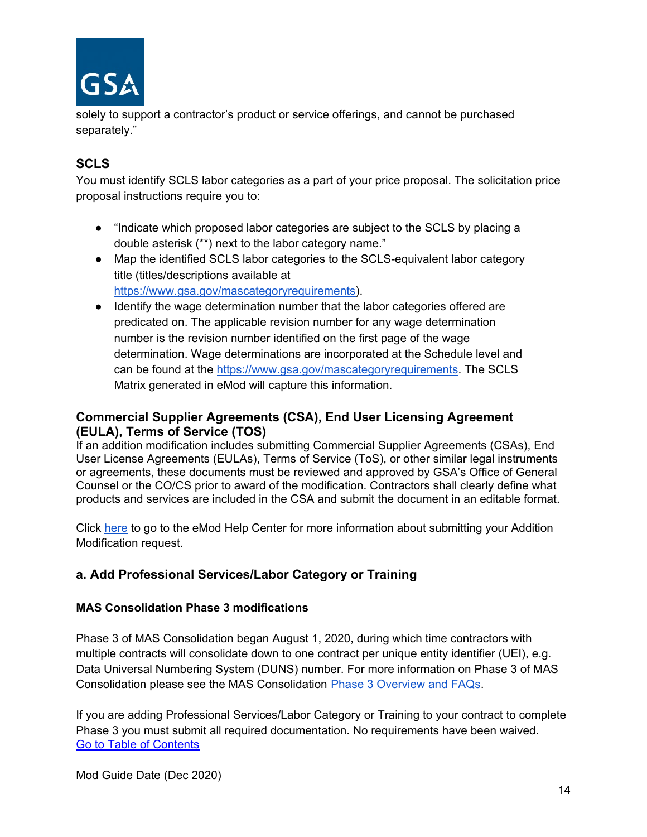

solely to support a contractor's product or service offerings, and cannot be purchased separately."

## **SCLS**

You must identify SCLS labor categories as a part of your price proposal. The solicitation price proposal instructions require you to:

- "Indicate which proposed labor categories are subject to the SCLS by placing a double asterisk (\*\*) next to the labor category name."
- Map the identified SCLS labor categories to the SCLS-equivalent labor category title (titles/descriptions available a[t](https://www.wdol.gov/) [https://www.gsa.gov/mascategoryrequirements\)](https://www.gsa.gov/mascategoryrequirements).
- Identify the wage determination number that the labor categories offered are predicated on. The applicable revision number for any wage determination number is the revision number identified on the first page of the wage determination. Wage determinations are incorporated at the Schedule level and can be found at the [https://www.gsa.gov/mascategoryrequirements.](https://www.gsa.gov/mascategoryrequirements) The SCLS Matrix generated in eMod will capture this information.

## **Commercial Supplier Agreements (CSA), End User Licensing Agreement (EULA), Terms of Service (TOS)**

If an addition modification includes submitting Commercial Supplier Agreements (CSAs), End User License Agreements (EULAs), Terms of Service (ToS), or other similar legal instruments or agreements, these documents must be reviewed and approved by GSA's Office of General Counsel or the CO/CS prior to award of the modification. Contractors shall clearly define what products and services are included in the CSA and submit the document in an editable format.

Click [here](https://eoffer.gsa.gov/AMSupport/index.html#book_page_page/modules%2Fbook%2Fdatabase.xml/eoffer_emod/emod-resources/modtypes/additions-modifications/additions-modifications-overview) to go to the eMod Help Center for more information about submitting your Addition Modification request.

## <span id="page-13-0"></span>**a. Add Professional Services/Labor Category or Training**

## **MAS Consolidation Phase 3 modifications**

Phase 3 of MAS Consolidation began August 1, 2020, during which time contractors with multiple contracts will consolidate down to one contract per unique entity identifier (UEI), e.g. Data Universal Numbering System (DUNS) number. For more information on Phase 3 of MAS Consolidation please see the MAS Consolidation [Phase 3 Overview and FAQs.](https://www.gsa.gov/cdnstatic/MAS_Consolidation_Phase_3_Overview__FAQs_for_Industry_-_August_2020_-_508.pdf)

[Go to Table of Contents](#page-1-0)  If you are adding Professional Services/Labor Category or Training to your contract to complete Phase 3 you must submit all required documentation. No requirements have been waived.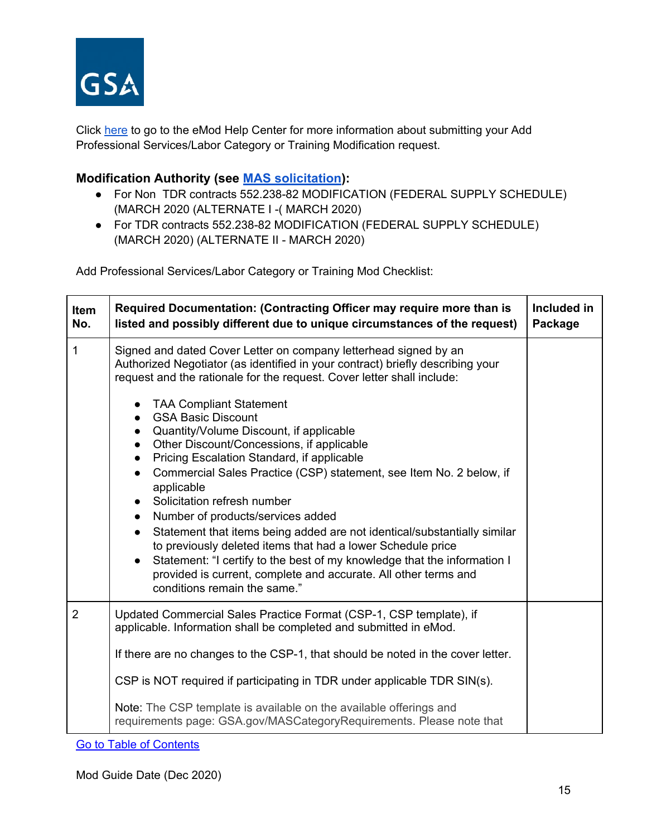

Click [here](https://eoffer.gsa.gov/AMSupport/index.html#book_page_page/modules%2Fbook%2Fdatabase.xml/eoffer_emod/emod-resources/modtypes/additions-modifications/add-labor-category-and-or-service-offerings) to go to the eMod Help Center for more information about submitting your Add Professional Services/Labor Category or Training Modification request.

## **Modification Authority (see [MAS solicitation\)](https://beta.sam.gov/opp/9c6569ce85314504b780b8778abde405/view):**

- For Non TDR contracts 552.238-82 MODIFICATION (FEDERAL SUPPLY SCHEDULE) (MARCH 2020 (ALTERNATE I -( MARCH 2020)
- For TDR contracts 552.238-82 MODIFICATION (FEDERAL SUPPLY SCHEDULE) (MARCH 2020) (ALTERNATE II - MARCH 2020)

Add Professional Services/Labor Category or Training Mod Checklist:

| Item<br>No.    | Required Documentation: (Contracting Officer may require more than is<br>listed and possibly different due to unique circumstances of the request)                                                                                                                                                                                                                                                                                                                                                                                                                                                                                                                                                                                                                                                                                                                                                                                               | Included in<br>Package |
|----------------|--------------------------------------------------------------------------------------------------------------------------------------------------------------------------------------------------------------------------------------------------------------------------------------------------------------------------------------------------------------------------------------------------------------------------------------------------------------------------------------------------------------------------------------------------------------------------------------------------------------------------------------------------------------------------------------------------------------------------------------------------------------------------------------------------------------------------------------------------------------------------------------------------------------------------------------------------|------------------------|
| 1              | Signed and dated Cover Letter on company letterhead signed by an<br>Authorized Negotiator (as identified in your contract) briefly describing your<br>request and the rationale for the request. Cover letter shall include:<br><b>TAA Compliant Statement</b><br><b>GSA Basic Discount</b><br>• Quantity/Volume Discount, if applicable<br>Other Discount/Concessions, if applicable<br>Pricing Escalation Standard, if applicable<br>$\bullet$<br>Commercial Sales Practice (CSP) statement, see Item No. 2 below, if<br>applicable<br>Solicitation refresh number<br>Number of products/services added<br>$\bullet$<br>Statement that items being added are not identical/substantially similar<br>to previously deleted items that had a lower Schedule price<br>Statement: "I certify to the best of my knowledge that the information I<br>provided is current, complete and accurate. All other terms and<br>conditions remain the same." |                        |
| $\overline{2}$ | Updated Commercial Sales Practice Format (CSP-1, CSP template), if<br>applicable. Information shall be completed and submitted in eMod.<br>If there are no changes to the CSP-1, that should be noted in the cover letter.<br>CSP is NOT required if participating in TDR under applicable TDR SIN(s).<br>Note: The CSP template is available on the available offerings and<br>requirements page: GSA.gov/MASCategoryRequirements. Please note that                                                                                                                                                                                                                                                                                                                                                                                                                                                                                             |                        |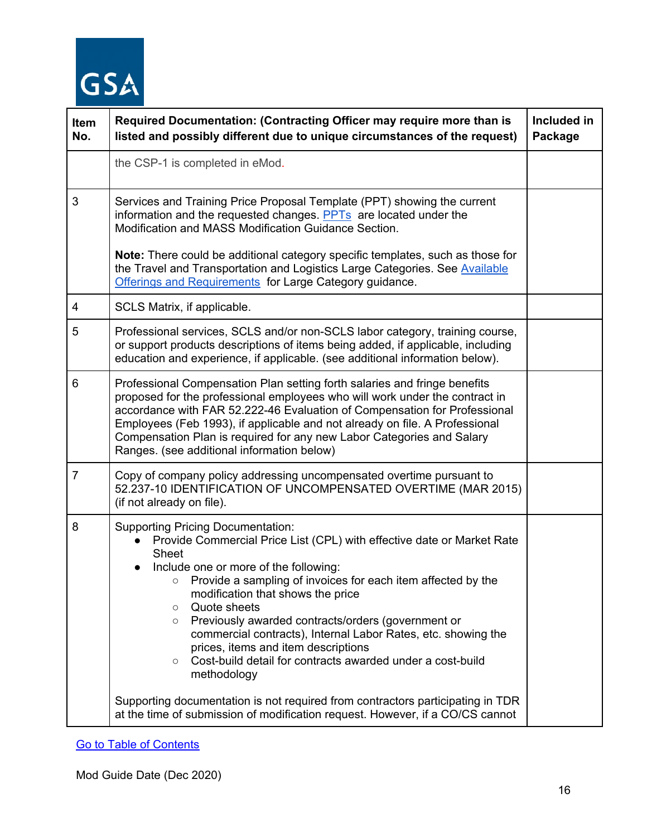

| Item<br>No.    | Required Documentation: (Contracting Officer may require more than is<br>listed and possibly different due to unique circumstances of the request)                                                                                                                                                                                                                                                                                                                                                                                                                                          | Included in<br>Package |
|----------------|---------------------------------------------------------------------------------------------------------------------------------------------------------------------------------------------------------------------------------------------------------------------------------------------------------------------------------------------------------------------------------------------------------------------------------------------------------------------------------------------------------------------------------------------------------------------------------------------|------------------------|
|                | the CSP-1 is completed in eMod.                                                                                                                                                                                                                                                                                                                                                                                                                                                                                                                                                             |                        |
| 3              | Services and Training Price Proposal Template (PPT) showing the current<br>information and the requested changes. PPTs are located under the<br>Modification and MASS Modification Guidance Section.                                                                                                                                                                                                                                                                                                                                                                                        |                        |
|                | Note: There could be additional category specific templates, such as those for<br>the Travel and Transportation and Logistics Large Categories. See Available<br>Offerings and Requirements for Large Category guidance.                                                                                                                                                                                                                                                                                                                                                                    |                        |
| 4              | SCLS Matrix, if applicable.                                                                                                                                                                                                                                                                                                                                                                                                                                                                                                                                                                 |                        |
| 5              | Professional services, SCLS and/or non-SCLS labor category, training course,<br>or support products descriptions of items being added, if applicable, including<br>education and experience, if applicable. (see additional information below).                                                                                                                                                                                                                                                                                                                                             |                        |
| 6              | Professional Compensation Plan setting forth salaries and fringe benefits<br>proposed for the professional employees who will work under the contract in<br>accordance with FAR 52.222-46 Evaluation of Compensation for Professional<br>Employees (Feb 1993), if applicable and not already on file. A Professional<br>Compensation Plan is required for any new Labor Categories and Salary<br>Ranges. (see additional information below)                                                                                                                                                 |                        |
| $\overline{7}$ | Copy of company policy addressing uncompensated overtime pursuant to<br>52.237-10 IDENTIFICATION OF UNCOMPENSATED OVERTIME (MAR 2015)<br>(if not already on file).                                                                                                                                                                                                                                                                                                                                                                                                                          |                        |
| 8              | <b>Supporting Pricing Documentation:</b><br>Provide Commercial Price List (CPL) with effective date or Market Rate<br><b>Sheet</b><br>Include one or more of the following:<br>$\bullet$<br>○ Provide a sampling of invoices for each item affected by the<br>modification that shows the price<br>Quote sheets<br>$\circ$<br>Previously awarded contracts/orders (government or<br>$\circ$<br>commercial contracts), Internal Labor Rates, etc. showing the<br>prices, items and item descriptions<br>Cost-build detail for contracts awarded under a cost-build<br>$\circ$<br>methodology |                        |
|                | Supporting documentation is not required from contractors participating in TDR<br>at the time of submission of modification request. However, if a CO/CS cannot                                                                                                                                                                                                                                                                                                                                                                                                                             |                        |

[Go to Table of Contents](#page-1-0)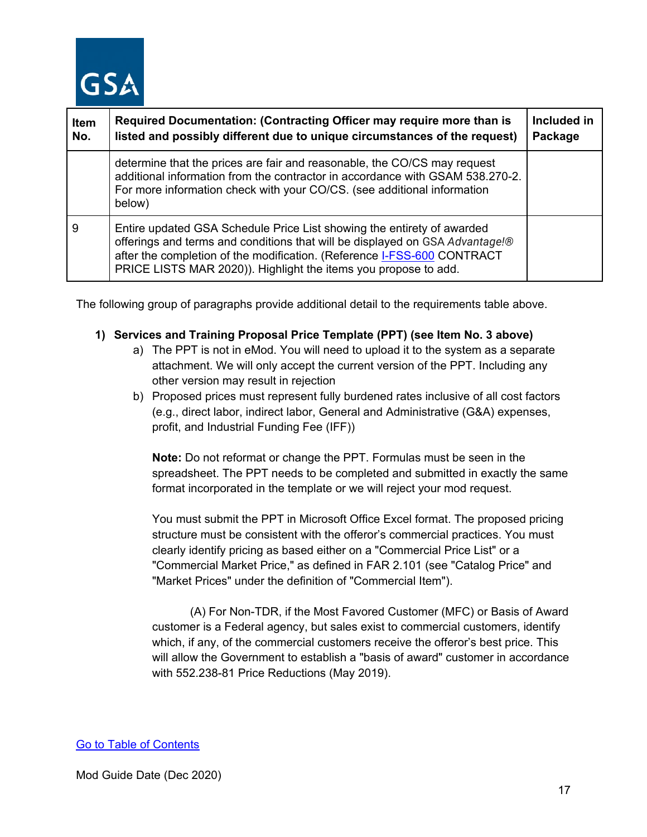

| Item<br>No. | Required Documentation: (Contracting Officer may require more than is<br>listed and possibly different due to unique circumstances of the request)                                                                                                                                                   | Included in<br>Package |
|-------------|------------------------------------------------------------------------------------------------------------------------------------------------------------------------------------------------------------------------------------------------------------------------------------------------------|------------------------|
|             | determine that the prices are fair and reasonable, the CO/CS may request<br>additional information from the contractor in accordance with GSAM 538.270-2.<br>For more information check with your CO/CS. (see additional information<br>below)                                                       |                        |
| 9           | Entire updated GSA Schedule Price List showing the entirety of awarded<br>offerings and terms and conditions that will be displayed on GSA Advantage!®<br>after the completion of the modification. (Reference I-FSS-600 CONTRACT<br>PRICE LISTS MAR 2020)). Highlight the items you propose to add. |                        |

The following group of paragraphs provide additional detail to the requirements table above.

#### **1) Services and Training Proposal Price Template (PPT) (see Item No. 3 above)**

- a) The PPT is not in eMod. You will need to upload it to the system as a separate attachment. We will only accept the current version of the PPT. Including any other version may result in rejection
- b) Proposed prices must represent fully burdened rates inclusive of all cost factors (e.g., direct labor, indirect labor, General and Administrative (G&A) expenses, profit, and Industrial Funding Fee (IFF))

**Note:** Do not reformat or change the PPT. Formulas must be seen in the spreadsheet. The PPT needs to be completed and submitted in exactly the same format incorporated in the template or we will reject your mod request.

You must submit the PPT in Microsoft Office Excel format. The proposed pricing structure must be consistent with the offeror's commercial practices. You must clearly identify pricing as based either on a "Commercial Price List" or a "Commercial Market Price," as defined in FAR 2.101 (see "Catalog Price" and "Market Prices" under the definition of "Commercial Item").

(A) For Non-TDR, if the Most Favored Customer (MFC) or Basis of Award customer is a Federal agency, but sales exist to commercial customers, identify which, if any, of the commercial customers receive the offeror's best price. This will allow the Government to establish a "basis of award" customer in accordance with 552.238-81 Price Reductions (May 2019).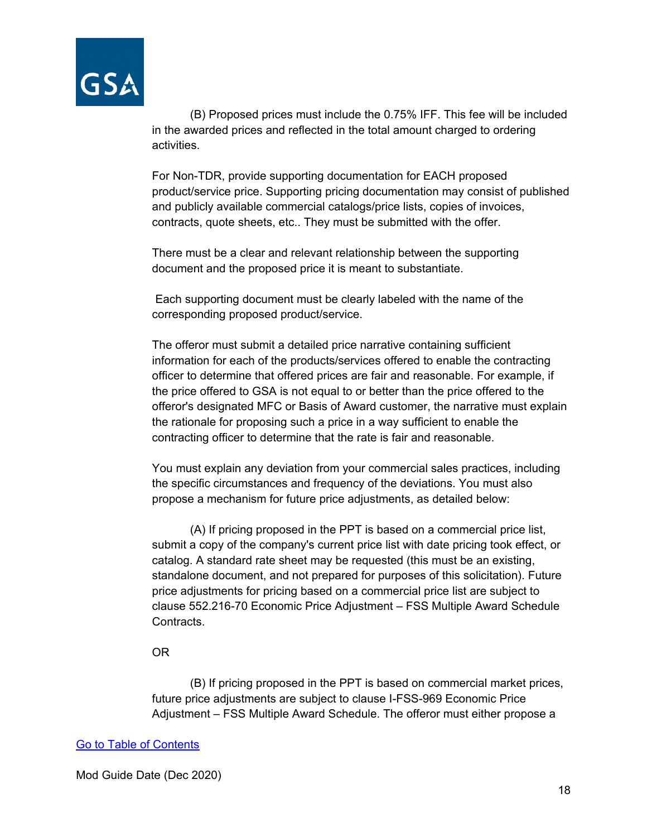

(B) Proposed prices must include the 0.75% IFF. This fee will be included in the awarded prices and reflected in the total amount charged to ordering activities.

For Non-TDR, provide supporting documentation for EACH proposed product/service price. Supporting pricing documentation may consist of published and publicly available commercial catalogs/price lists, copies of invoices, contracts, quote sheets, etc.. They must be submitted with the offer.

There must be a clear and relevant relationship between the supporting document and the proposed price it is meant to substantiate.

Each supporting document must be clearly labeled with the name of the corresponding proposed product/service.

The offeror must submit a detailed price narrative containing sufficient information for each of the products/services offered to enable the contracting officer to determine that offered prices are fair and reasonable. For example, if the price offered to GSA is not equal to or better than the price offered to the offeror's designated MFC or Basis of Award customer, the narrative must explain the rationale for proposing such a price in a way sufficient to enable the contracting officer to determine that the rate is fair and reasonable.

You must explain any deviation from your commercial sales practices, including the specific circumstances and frequency of the deviations. You must also propose a mechanism for future price adjustments, as detailed below:

(A) If pricing proposed in the PPT is based on a commercial price list, submit a copy of the company's current price list with date pricing took effect, or catalog. A standard rate sheet may be requested (this must be an existing, standalone document, and not prepared for purposes of this solicitation). Future price adjustments for pricing based on a commercial price list are subject to clause 552.216-70 Economic Price Adjustment – FSS Multiple Award Schedule Contracts.

#### OR

(B) If pricing proposed in the PPT is based on commercial market prices, future price adjustments are subject to clause I-FSS-969 Economic Price Adjustment – FSS Multiple Award Schedule. The offeror must either propose a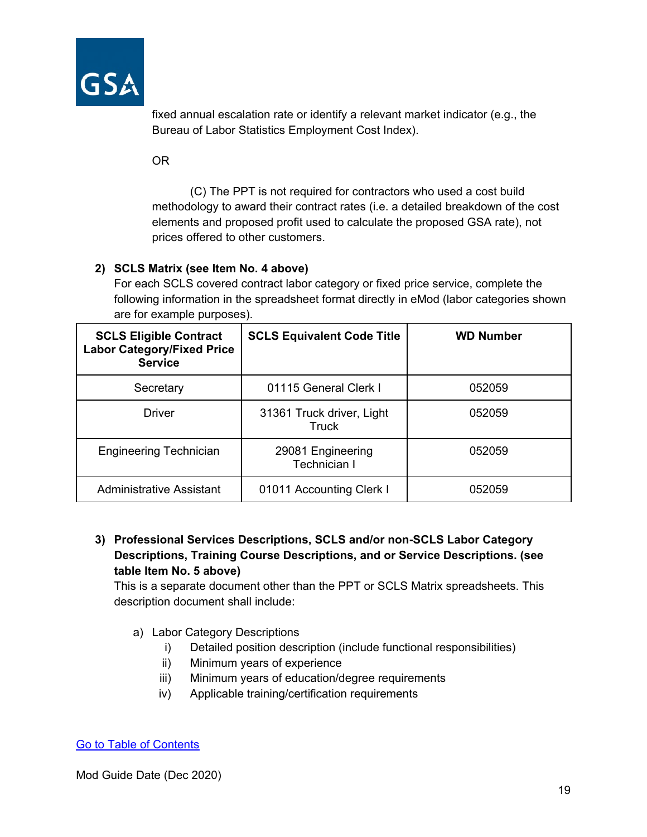

fixed annual escalation rate or identify a relevant market indicator (e.g., the Bureau of Labor Statistics Employment Cost Index).

OR

(C) The PPT is not required for contractors who used a cost build methodology to award their contract rates (i.e. a detailed breakdown of the cost elements and proposed profit used to calculate the proposed GSA rate), not prices offered to other customers.

## **2) SCLS Matrix (see Item No. 4 above)**

For each SCLS covered contract labor category or fixed price service, complete the following information in the spreadsheet format directly in eMod (labor categories shown are for example purposes).

| <b>SCLS Eligible Contract</b><br><b>Labor Category/Fixed Price</b><br><b>Service</b> | <b>SCLS Equivalent Code Title</b>         | <b>WD Number</b> |
|--------------------------------------------------------------------------------------|-------------------------------------------|------------------|
| Secretary                                                                            | 01115 General Clerk I                     | 052059           |
| Driver                                                                               | 31361 Truck driver, Light<br><b>Truck</b> | 052059           |
| <b>Engineering Technician</b>                                                        | 29081 Engineering<br><b>Technician I</b>  | 052059           |
| <b>Administrative Assistant</b>                                                      | 01011 Accounting Clerk I                  | 052059           |

## **3) Professional Services Descriptions, SCLS and/or non-SCLS Labor Category Descriptions, Training Course Descriptions, and or Service Descriptions. (see table Item No. 5 above)**

This is a separate document other than the PPT or SCLS Matrix spreadsheets. This description document shall include:

- a) Labor Category Descriptions
	- i) Detailed position description (include functional responsibilities)
	- ii) Minimum years of experience
	- iii) Minimum years of education/degree requirements
	- iv) Applicable training/certification requirements

## [Go to Table of Contents](#page-1-0)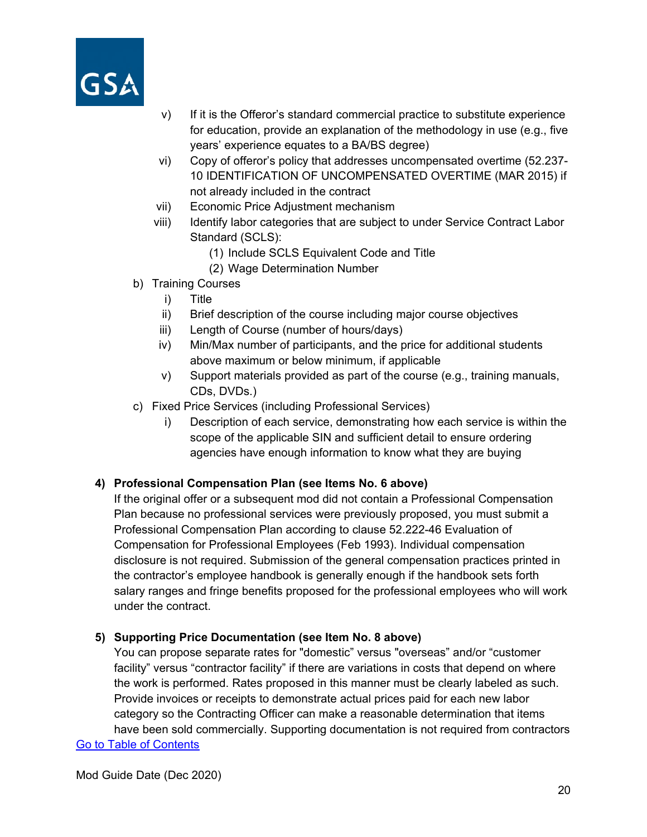

- v) If it is the Offeror's standard commercial practice to substitute experience for education, provide an explanation of the methodology in use (e.g., five years' experience equates to a BA/BS degree)
- vi) Copy of offeror's policy that addresses uncompensated overtime (52.237- 10 IDENTIFICATION OF UNCOMPENSATED OVERTIME (MAR 2015) if not already included in the contract
- vii) Economic Price Adjustment mechanism
- viii) Identify labor categories that are subject to under Service Contract Labor Standard (SCLS):
	- (1) Include SCLS Equivalent Code and Title
	- (2) Wage Determination Number
- b) Training Courses
	- i) Title
	- ii) Brief description of the course including major course objectives
	- iii) Length of Course (number of hours/days)
	- iv) Min/Max number of participants, and the price for additional students above maximum or below minimum, if applicable
	- v) Support materials provided as part of the course (e.g., training manuals, CDs, DVDs.)
- c) Fixed Price Services (including Professional Services)
	- i) Description of each service, demonstrating how each service is within the scope of the applicable SIN and sufficient detail to ensure ordering agencies have enough information to know what they are buying

#### **4) Professional Compensation Plan (see Items No. 6 above)**

If the original offer or a subsequent mod did not contain a Professional Compensation Plan because no professional services were previously proposed, you must submit a Professional Compensation Plan according to clause 52.222-46 Evaluation of Compensation for Professional Employees (Feb 1993). Individual compensation disclosure is not required. Submission of the general compensation practices printed in the contractor's employee handbook is generally enough if the handbook sets forth salary ranges and fringe benefits proposed for the professional employees who will work under the contract.

#### **5) Supporting Price Documentation (see Item No. 8 above)**

You can propose separate rates for "domestic" versus "overseas" and/or "customer facility" versus "contractor facility" if there are variations in costs that depend on where the work is performed. Rates proposed in this manner must be clearly labeled as such. Provide invoices or receipts to demonstrate actual prices paid for each new labor category so the Contracting Officer can make a reasonable determination that items have been sold commercially. Supporting documentation is not required from contractors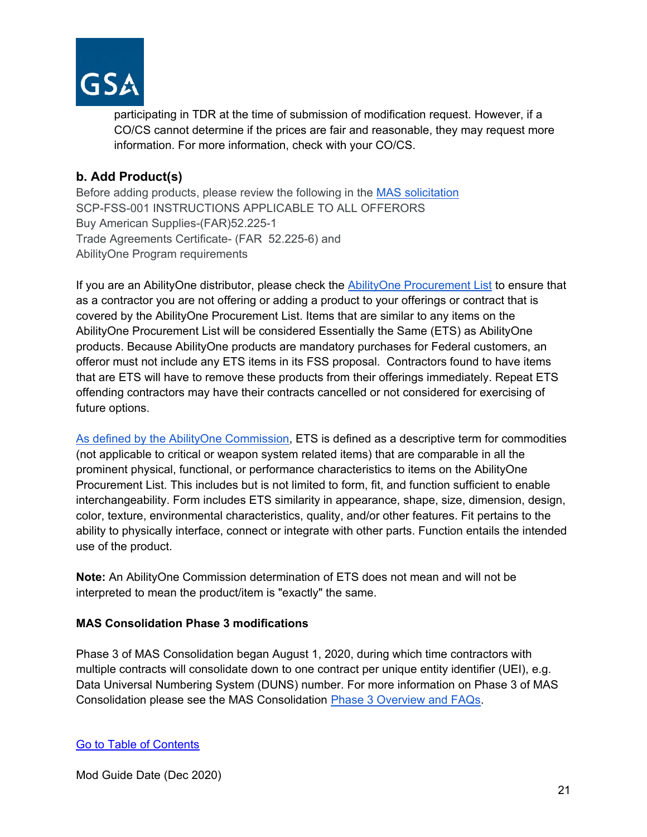

participating in TDR at the time of submission of modification request. However, if a CO/CS cannot determine if the prices are fair and reasonable, they may request more information. For more information, check with your CO/CS.

## <span id="page-20-0"></span>**b. Add Product(s)**

Before adding products, please review the following in the [MAS solicitation](https://beta.sam.gov/opp/9c6569ce85314504b780b8778abde405/view) SCP-FSS-001 INSTRUCTIONS APPLICABLE TO ALL OFFERORS Buy American Supplies-(FAR)52.225-1 Trade Agreements Certificate- (FAR 52.225-6) and AbilityOne Program requirements

If you are an AbilityOne distributor, please check the [AbilityOne Procurement List](https://www.abilityone.gov/procurement_list/product_list.html) to ensure that as a contractor you are not offering or adding a product to your offerings or contract that is covered by the AbilityOne Procurement List. Items that are similar to any items on the AbilityOne Procurement List will be considered Essentially the Same (ETS) as AbilityOne products. Because AbilityOne products are mandatory purchases for Federal customers, an offeror must not include any ETS items in its FSS proposal. Contractors found to have items that are ETS will have to remove these products from their offerings immediately. Repeat ETS offending contractors may have their contracts cancelled or not considered for exercising of future options.

[As defined by the AbilityOne Commission,](https://www.abilityone.gov/laws,_regulations_and_policy/documents/US%20AbilityOne%20Commission%20Policy%2051%20541%20Requirement%20to%20Purchase%20PL%20Products%20Instead%20of%20Essentially%20the%20Same%20Final.pdf) ETS is defined as a descriptive term for commodities (not applicable to critical or weapon system related items) that are comparable in all the prominent physical, functional, or performance characteristics to items on the AbilityOne Procurement List. This includes but is not limited to form, fit, and function sufficient to enable interchangeability. Form includes ETS similarity in appearance, shape, size, dimension, design, color, texture, environmental characteristics, quality, and/or other features. Fit pertains to the ability to physically interface, connect or integrate with other parts. Function entails the intended use of the product.

**Note:** An AbilityOne Commission determination of ETS does not mean and will not be interpreted to mean the product/item is "exactly" the same.

## **MAS Consolidation Phase 3 modifications**

Phase 3 of MAS Consolidation began August 1, 2020, during which time contractors with multiple contracts will consolidate down to one contract per unique entity identifier (UEI), e.g. Data Universal Numbering System (DUNS) number. For more information on Phase 3 of MAS Consolidation please see the MAS Consolidation [Phase 3 Overview and FAQs.](https://www.gsa.gov/cdnstatic/MAS_Consolidation_Phase_3_Overview__FAQs_for_Industry_-_August_2020_-_508.pdf)

[Go to Table of Contents](#page-1-0)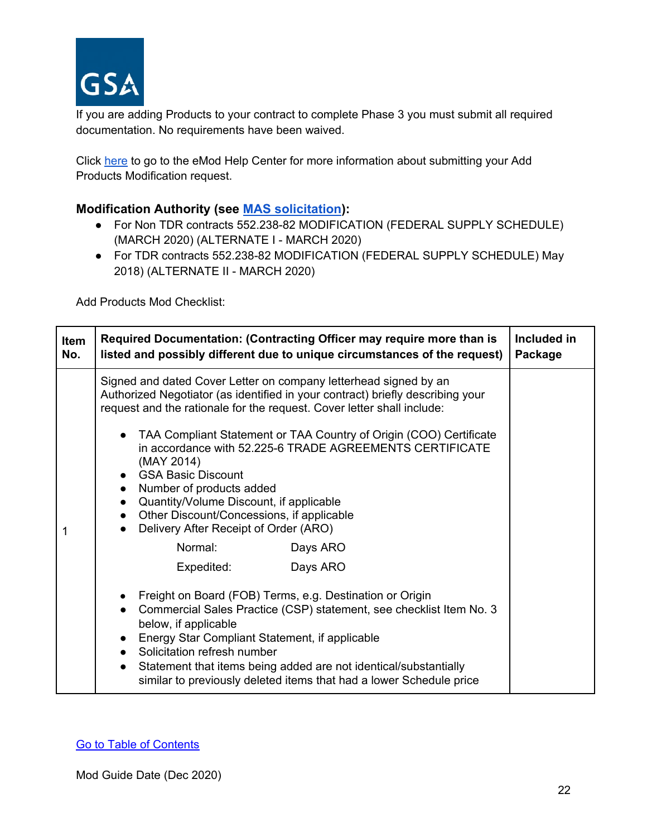

If you are adding Products to your contract to complete Phase 3 you must submit all required documentation. No requirements have been waived.

Click [here](https://eoffer.gsa.gov/AMSupport/index.html#book_page_page/modules%2Fbook%2Fdatabase.xml/eoffer_emod/emod-resources/modtypes/additions-modifications/add-product-s) to go to the eMod Help Center for more information about submitting your Add Products Modification request.

## **Modification Authority (see [MAS solicitation\)](https://beta.sam.gov/opp/9c6569ce85314504b780b8778abde405/view):**

- For Non TDR contracts 552.238-82 MODIFICATION (FEDERAL SUPPLY SCHEDULE) (MARCH 2020) (ALTERNATE I - MARCH 2020)
- For TDR contracts 552.238-82 MODIFICATION (FEDERAL SUPPLY SCHEDULE) May 2018) (ALTERNATE II - MARCH 2020)

Add Products Mod Checklist:

| Item<br>No. | Required Documentation: (Contracting Officer may require more than is<br>listed and possibly different due to unique circumstances of the request)                                                                                                                                                                                                                                                                                                                                                                                                                | Included in<br>Package |
|-------------|-------------------------------------------------------------------------------------------------------------------------------------------------------------------------------------------------------------------------------------------------------------------------------------------------------------------------------------------------------------------------------------------------------------------------------------------------------------------------------------------------------------------------------------------------------------------|------------------------|
|             | Signed and dated Cover Letter on company letterhead signed by an<br>Authorized Negotiator (as identified in your contract) briefly describing your<br>request and the rationale for the request. Cover letter shall include:<br>• TAA Compliant Statement or TAA Country of Origin (COO) Certificate<br>in accordance with 52.225-6 TRADE AGREEMENTS CERTIFICATE<br>(MAY 2014)<br>• GSA Basic Discount<br>Number of products added<br>$\bullet$<br>Quantity/Volume Discount, if applicable<br>$\bullet$<br>Other Discount/Concessions, if applicable<br>$\bullet$ |                        |
| 1           | Delivery After Receipt of Order (ARO)                                                                                                                                                                                                                                                                                                                                                                                                                                                                                                                             |                        |
|             | Normal:<br>Days ARO                                                                                                                                                                                                                                                                                                                                                                                                                                                                                                                                               |                        |
|             | Expedited:<br>Days ARO                                                                                                                                                                                                                                                                                                                                                                                                                                                                                                                                            |                        |
|             | • Freight on Board (FOB) Terms, e.g. Destination or Origin<br>Commercial Sales Practice (CSP) statement, see checklist Item No. 3<br>below, if applicable<br>Energy Star Compliant Statement, if applicable<br>$\bullet$<br>Solicitation refresh number<br>Statement that items being added are not identical/substantially<br>$\bullet$<br>similar to previously deleted items that had a lower Schedule price                                                                                                                                                   |                        |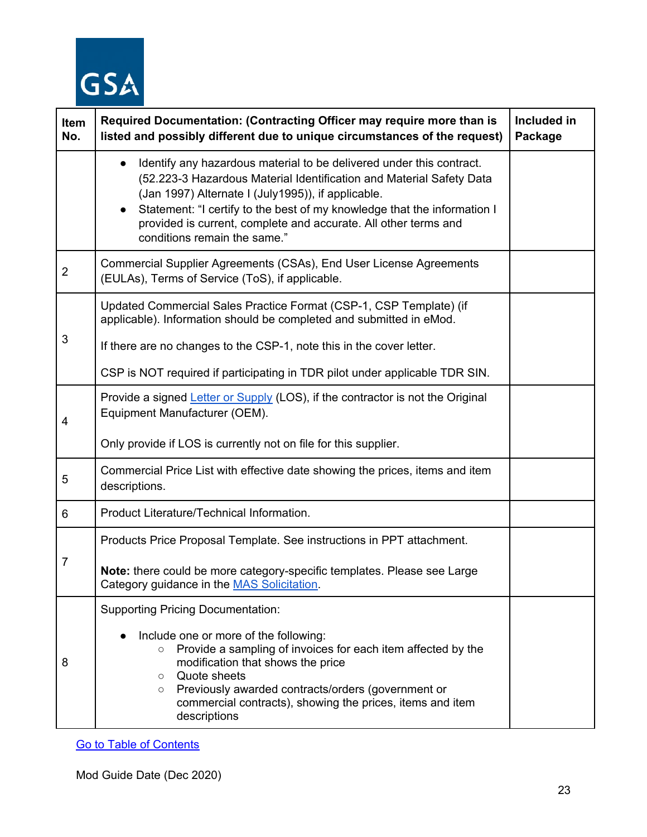

| Item<br>No.    | Required Documentation: (Contracting Officer may require more than is<br>listed and possibly different due to unique circumstances of the request)                                                                                                                                                                                                                                                          | Included in<br>Package |
|----------------|-------------------------------------------------------------------------------------------------------------------------------------------------------------------------------------------------------------------------------------------------------------------------------------------------------------------------------------------------------------------------------------------------------------|------------------------|
|                | Identify any hazardous material to be delivered under this contract.<br>$\bullet$<br>(52.223-3 Hazardous Material Identification and Material Safety Data<br>(Jan 1997) Alternate I (July1995)), if applicable.<br>Statement: "I certify to the best of my knowledge that the information I<br>$\bullet$<br>provided is current, complete and accurate. All other terms and<br>conditions remain the same." |                        |
| $\overline{2}$ | Commercial Supplier Agreements (CSAs), End User License Agreements<br>(EULAs), Terms of Service (ToS), if applicable.                                                                                                                                                                                                                                                                                       |                        |
| 3              | Updated Commercial Sales Practice Format (CSP-1, CSP Template) (if<br>applicable). Information should be completed and submitted in eMod.<br>If there are no changes to the CSP-1, note this in the cover letter.<br>CSP is NOT required if participating in TDR pilot under applicable TDR SIN.                                                                                                            |                        |
| 4              | Provide a signed Letter or Supply (LOS), if the contractor is not the Original<br>Equipment Manufacturer (OEM).<br>Only provide if LOS is currently not on file for this supplier.                                                                                                                                                                                                                          |                        |
| 5              | Commercial Price List with effective date showing the prices, items and item<br>descriptions.                                                                                                                                                                                                                                                                                                               |                        |
| 6              | Product Literature/Technical Information.                                                                                                                                                                                                                                                                                                                                                                   |                        |
| 7              | Products Price Proposal Template. See instructions in PPT attachment.<br>Note: there could be more category-specific templates. Please see Large<br>Category guidance in the MAS Solicitation.                                                                                                                                                                                                              |                        |
| 8              | <b>Supporting Pricing Documentation:</b><br>Include one or more of the following:<br>Provide a sampling of invoices for each item affected by the<br>$\circ$<br>modification that shows the price<br>Quote sheets<br>$\circ$<br>Previously awarded contracts/orders (government or<br>$\circ$<br>commercial contracts), showing the prices, items and item<br>descriptions                                  |                        |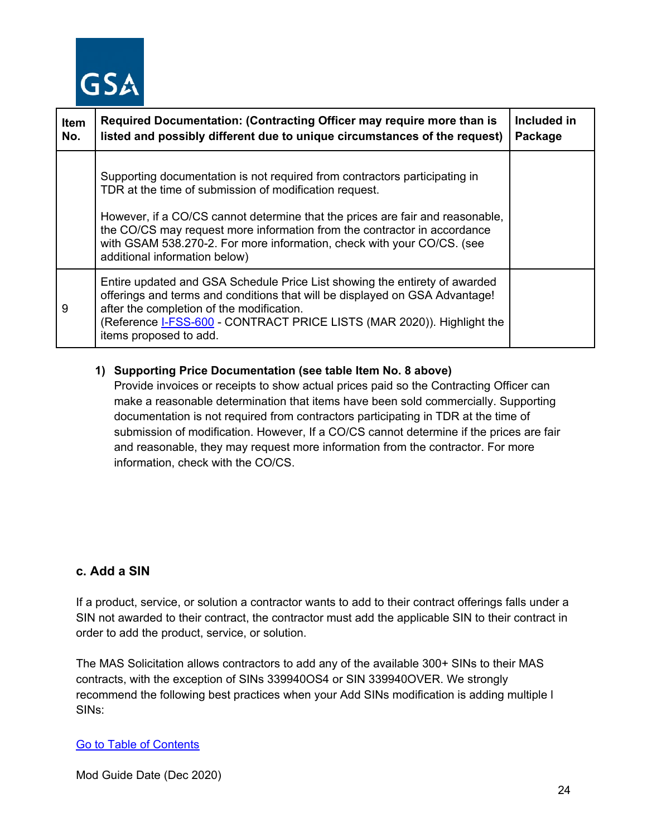

| <b>Item</b><br>No. | Required Documentation: (Contracting Officer may require more than is<br>listed and possibly different due to unique circumstances of the request)                                                                                                                                                                                                                                                           | Included in<br>Package |
|--------------------|--------------------------------------------------------------------------------------------------------------------------------------------------------------------------------------------------------------------------------------------------------------------------------------------------------------------------------------------------------------------------------------------------------------|------------------------|
|                    | Supporting documentation is not required from contractors participating in<br>TDR at the time of submission of modification request.<br>However, if a CO/CS cannot determine that the prices are fair and reasonable,<br>the CO/CS may request more information from the contractor in accordance<br>with GSAM 538.270-2. For more information, check with your CO/CS. (see<br>additional information below) |                        |
| 9                  | Entire updated and GSA Schedule Price List showing the entirety of awarded<br>offerings and terms and conditions that will be displayed on GSA Advantage!<br>after the completion of the modification.<br>(Reference I-FSS-600 - CONTRACT PRICE LISTS (MAR 2020)). Highlight the<br>items proposed to add.                                                                                                   |                        |

## **1) Supporting Price Documentation (see table Item No. 8 above)**

Provide invoices or receipts to show actual prices paid so the Contracting Officer can make a reasonable determination that items have been sold commercially. Supporting documentation is not required from contractors participating in TDR at the time of submission of modification. However, If a CO/CS cannot determine if the prices are fair and reasonable, they may request more information from the contractor. For more information, check with the CO/CS.

## <span id="page-23-0"></span>**c. Add a SIN**

If a product, service, or solution a contractor wants to add to their contract offerings falls under a SIN not awarded to their contract, the contractor must add the applicable SIN to their contract in order to add the product, service, or solution.

The MAS Solicitation allows contractors to add any of the available 300+ SINs to their MAS contracts, with the exception of SINs 339940OS4 or SIN 339940OVER. We strongly recommend the following best practices when your Add SINs modification is adding multiple l SINs:

#### [Go to Table of Contents](#page-1-0)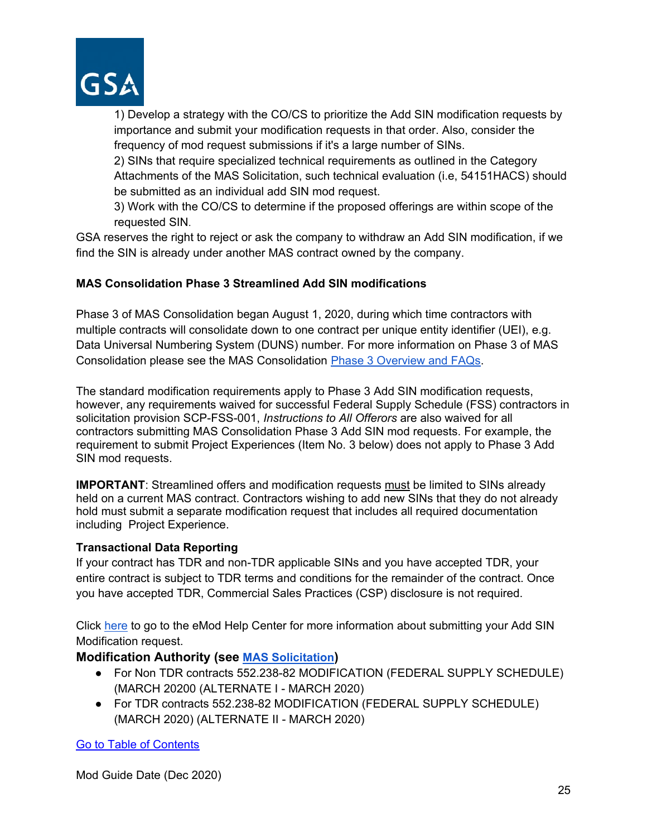

1) Develop a strategy with the CO/CS to prioritize the Add SIN modification requests by importance and submit your modification requests in that order. Also, consider the frequency of mod request submissions if it's a large number of SINs.

2) SINs that require specialized technical requirements as outlined in the Category Attachments of the MAS Solicitation, such technical evaluation (i.e, 54151HACS) should be submitted as an individual add SIN mod request.

3) Work with the CO/CS to determine if the proposed offerings are within scope of the requested SIN.

GSA reserves the right to reject or ask the company to withdraw an Add SIN modification, if we find the SIN is already under another MAS contract owned by the company.

## **MAS Consolidation Phase 3 Streamlined Add SIN modifications**

Phase 3 of MAS Consolidation began August 1, 2020, during which time contractors with multiple contracts will consolidate down to one contract per unique entity identifier (UEI), e.g. Data Universal Numbering System (DUNS) number. For more information on Phase 3 of MAS Consolidation please see the MAS Consolidation [Phase 3 Overview and FAQs.](https://www.gsa.gov/cdnstatic/MAS_Consolidation_Phase_3_Overview__FAQs_for_Industry_-_August_2020_-_508.pdf)

The standard modification requirements apply to Phase 3 Add SIN modification requests, however, any requirements waived for successful Federal Supply Schedule (FSS) contractors in solicitation provision SCP-FSS-001, *Instructions to All Offerors* are also waived for all contractors submitting MAS Consolidation Phase 3 Add SIN mod requests. For example, the requirement to submit Project Experiences (Item No. 3 below) does not apply to Phase 3 Add SIN mod requests.

**IMPORTANT**: Streamlined offers and modification requests must be limited to SINs already held on a current MAS contract. Contractors wishing to add new SINs that they do not already hold must submit a separate modification request that includes all required documentation including Project Experience.

## **Transactional Data Reporting**

If your contract has TDR and non-TDR applicable SINs and you have accepted TDR, your entire contract is subject to TDR terms and conditions for the remainder of the contract. Once you have accepted TDR, Commercial Sales Practices (CSP) disclosure is not required.

Click [here](https://eoffer.gsa.gov/AMSupport/index.html#book_page_page/modules%2Fbook%2Fdatabase.xml/eoffer_emod/emod-resources/modtypes/additions-modifications/add-sin) to go to the eMod Help Center for more information about submitting your Add SIN Modification request.

## **Modification Authority (see [MAS Solicitation\)](https://beta.sam.gov/opp/9c6569ce85314504b780b8778abde405/view)**

- For Non TDR contracts 552.238-82 MODIFICATION (FEDERAL SUPPLY SCHEDULE) (MARCH 20200 (ALTERNATE I - MARCH 2020)
- For TDR contracts 552.238-82 MODIFICATION (FEDERAL SUPPLY SCHEDULE) (MARCH 2020) (ALTERNATE II - MARCH 2020)

[Go to Table of Contents](#page-1-0)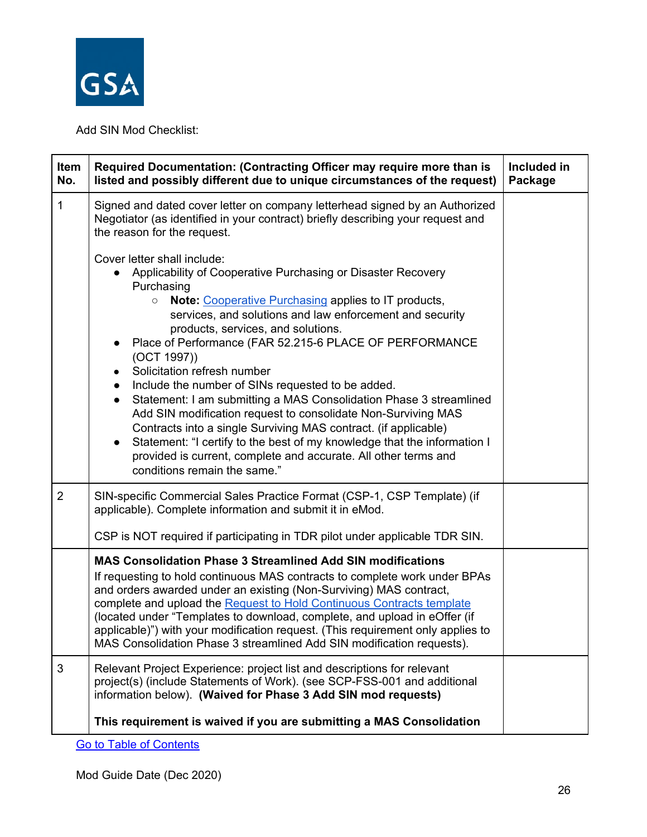

Add SIN Mod Checklist:

| Item<br>No.    | Required Documentation: (Contracting Officer may require more than is<br>listed and possibly different due to unique circumstances of the request)                                                                                                                                                                                                                                                                                                                                                                                                                                                                                                                                                                                                                                                                                                                                              | Included in<br>Package |
|----------------|-------------------------------------------------------------------------------------------------------------------------------------------------------------------------------------------------------------------------------------------------------------------------------------------------------------------------------------------------------------------------------------------------------------------------------------------------------------------------------------------------------------------------------------------------------------------------------------------------------------------------------------------------------------------------------------------------------------------------------------------------------------------------------------------------------------------------------------------------------------------------------------------------|------------------------|
| $\mathbf{1}$   | Signed and dated cover letter on company letterhead signed by an Authorized<br>Negotiator (as identified in your contract) briefly describing your request and<br>the reason for the request.                                                                                                                                                                                                                                                                                                                                                                                                                                                                                                                                                                                                                                                                                                   |                        |
|                | Cover letter shall include:<br>Applicability of Cooperative Purchasing or Disaster Recovery<br>Purchasing<br><b>Note: Cooperative Purchasing applies to IT products,</b><br>$\circ$<br>services, and solutions and law enforcement and security<br>products, services, and solutions.<br>Place of Performance (FAR 52.215-6 PLACE OF PERFORMANCE<br>$\bullet$<br>(OCT 1997)<br>Solicitation refresh number<br>Include the number of SINs requested to be added.<br>$\bullet$<br>Statement: I am submitting a MAS Consolidation Phase 3 streamlined<br>$\bullet$<br>Add SIN modification request to consolidate Non-Surviving MAS<br>Contracts into a single Surviving MAS contract. (if applicable)<br>Statement: "I certify to the best of my knowledge that the information I<br>$\bullet$<br>provided is current, complete and accurate. All other terms and<br>conditions remain the same." |                        |
| $\overline{2}$ | SIN-specific Commercial Sales Practice Format (CSP-1, CSP Template) (if<br>applicable). Complete information and submit it in eMod.<br>CSP is NOT required if participating in TDR pilot under applicable TDR SIN.                                                                                                                                                                                                                                                                                                                                                                                                                                                                                                                                                                                                                                                                              |                        |
|                | <b>MAS Consolidation Phase 3 Streamlined Add SIN modifications</b><br>If requesting to hold continuous MAS contracts to complete work under BPAs<br>and orders awarded under an existing (Non-Surviving) MAS contract,<br>complete and upload the Request to Hold Continuous Contracts template<br>(located under "Templates to download, complete, and upload in eOffer (if<br>applicable)") with your modification request. (This requirement only applies to<br>MAS Consolidation Phase 3 streamlined Add SIN modification requests).                                                                                                                                                                                                                                                                                                                                                        |                        |
| 3              | Relevant Project Experience: project list and descriptions for relevant<br>project(s) (include Statements of Work). (see SCP-FSS-001 and additional<br>information below). (Waived for Phase 3 Add SIN mod requests)                                                                                                                                                                                                                                                                                                                                                                                                                                                                                                                                                                                                                                                                            |                        |
|                | This requirement is waived if you are submitting a MAS Consolidation                                                                                                                                                                                                                                                                                                                                                                                                                                                                                                                                                                                                                                                                                                                                                                                                                            |                        |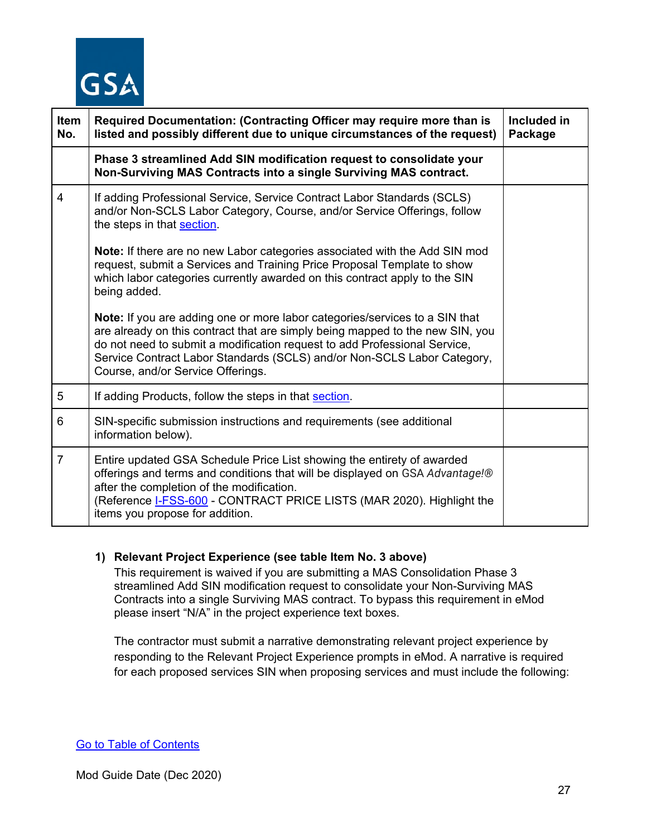

| <b>Item</b><br>No. | Required Documentation: (Contracting Officer may require more than is<br>listed and possibly different due to unique circumstances of the request)                                                                                                                                                                                                               | Included in<br>Package |
|--------------------|------------------------------------------------------------------------------------------------------------------------------------------------------------------------------------------------------------------------------------------------------------------------------------------------------------------------------------------------------------------|------------------------|
|                    | Phase 3 streamlined Add SIN modification request to consolidate your<br>Non-Surviving MAS Contracts into a single Surviving MAS contract.                                                                                                                                                                                                                        |                        |
| 4                  | If adding Professional Service, Service Contract Labor Standards (SCLS)<br>and/or Non-SCLS Labor Category, Course, and/or Service Offerings, follow<br>the steps in that section.                                                                                                                                                                                |                        |
|                    | Note: If there are no new Labor categories associated with the Add SIN mod<br>request, submit a Services and Training Price Proposal Template to show<br>which labor categories currently awarded on this contract apply to the SIN<br>being added.                                                                                                              |                        |
|                    | <b>Note:</b> If you are adding one or more labor categories/services to a SIN that<br>are already on this contract that are simply being mapped to the new SIN, you<br>do not need to submit a modification request to add Professional Service,<br>Service Contract Labor Standards (SCLS) and/or Non-SCLS Labor Category,<br>Course, and/or Service Offerings. |                        |
| 5                  | If adding Products, follow the steps in that section.                                                                                                                                                                                                                                                                                                            |                        |
| 6                  | SIN-specific submission instructions and requirements (see additional<br>information below).                                                                                                                                                                                                                                                                     |                        |
| $\overline{7}$     | Entire updated GSA Schedule Price List showing the entirety of awarded<br>offerings and terms and conditions that will be displayed on GSA Advantage!®<br>after the completion of the modification.<br>(Reference I-FSS-600 - CONTRACT PRICE LISTS (MAR 2020). Highlight the<br>items you propose for addition.                                                  |                        |

#### **1) Relevant Project Experience (see table Item No. 3 above)**

This requirement is waived if you are submitting a MAS Consolidation Phase 3 streamlined Add SIN modification request to consolidate your Non-Surviving MAS Contracts into a single Surviving MAS contract. To bypass this requirement in eMod please insert "N/A" in the project experience text boxes.

The contractor must submit a narrative demonstrating relevant project experience by responding to the Relevant Project Experience prompts in eMod. A narrative is required for each proposed services SIN when proposing services and must include the following: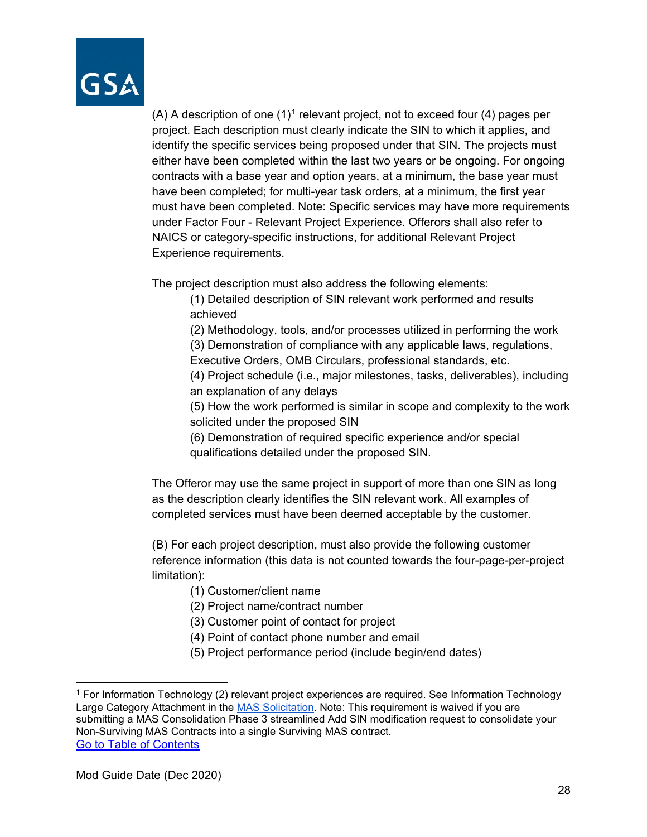

(A) A description of one  $(1)^1$  $(1)^1$  $(1)^1$  relevant project, not to exceed four (4) pages per project. Each description must clearly indicate the SIN to which it applies, and identify the specific services being proposed under that SIN. The projects must either have been completed within the last two years or be ongoing. For ongoing contracts with a base year and option years, at a minimum, the base year must have been completed; for multi-year task orders, at a minimum, the first year must have been completed. Note: Specific services may have more requirements under Factor Four - Relevant Project Experience. Offerors shall also refer to NAICS or category-specific instructions, for additional Relevant Project Experience requirements.

The project description must also address the following elements:

(1) Detailed description of SIN relevant work performed and results achieved

(2) Methodology, tools, and/or processes utilized in performing the work

(3) Demonstration of compliance with any applicable laws, regulations, Executive Orders, OMB Circulars, professional standards, etc.

(4) Project schedule (i.e., major milestones, tasks, deliverables), including an explanation of any delays

(5) How the work performed is similar in scope and complexity to the work solicited under the proposed SIN

(6) Demonstration of required specific experience and/or special qualifications detailed under the proposed SIN.

The Offeror may use the same project in support of more than one SIN as long as the description clearly identifies the SIN relevant work. All examples of completed services must have been deemed acceptable by the customer.

(B) For each project description, must also provide the following customer reference information (this data is not counted towards the four-page-per-project limitation):

- (1) Customer/client name
- (2) Project name/contract number
- (3) Customer point of contact for project
- (4) Point of contact phone number and email
- (5) Project performance period (include begin/end dates)

<span id="page-27-0"></span>[Go to Table of Contents](#page-1-0)  <sup>1</sup> For Information Technology (2) relevant project experiences are required. See Information Technology Large Category Attachment in the [MAS Solicitation.](https://beta.sam.gov/opp/9c6569ce85314504b780b8778abde405/view) Note: This requirement is waived if you are submitting a MAS Consolidation Phase 3 streamlined Add SIN modification request to consolidate your Non-Surviving MAS Contracts into a single Surviving MAS contract.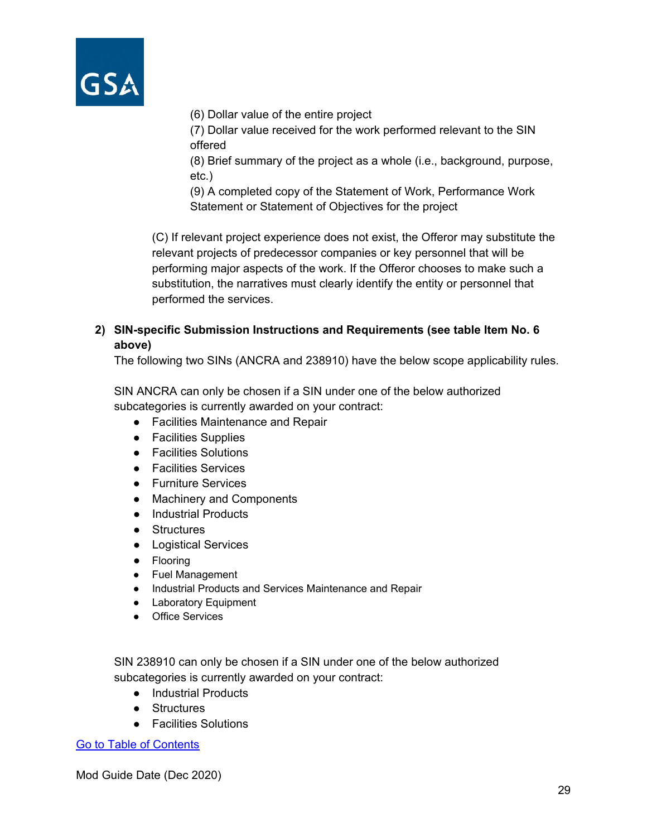

(6) Dollar value of the entire project

(7) Dollar value received for the work performed relevant to the SIN offered

(8) Brief summary of the project as a whole (i.e., background, purpose, etc.)

(9) A completed copy of the Statement of Work, Performance Work Statement or Statement of Objectives for the project

(C) If relevant project experience does not exist, the Offeror may substitute the relevant projects of predecessor companies or key personnel that will be performing major aspects of the work. If the Offeror chooses to make such a substitution, the narratives must clearly identify the entity or personnel that performed the services.

## **2) SIN-specific Submission Instructions and Requirements (see table Item No. 6 above)**

The following two SINs (ANCRA and 238910) have the below scope applicability rules.

SIN ANCRA can only be chosen if a SIN under one of the below authorized subcategories is currently awarded on your contract:

- Facilities Maintenance and Repair
- Facilities Supplies
- Facilities Solutions
- Facilities Services
- Furniture Services
- Machinery and Components
- Industrial Products
- Structures
- Logistical Services
- Flooring
- Fuel Management
- Industrial Products and Services Maintenance and Repair
- Laboratory Equipment
- Office Services

SIN 238910 can only be chosen if a SIN under one of the below authorized subcategories is currently awarded on your contract:

- Industrial Products
- Structures
- Facilities Solutions

[Go to Table of Contents](#page-1-0)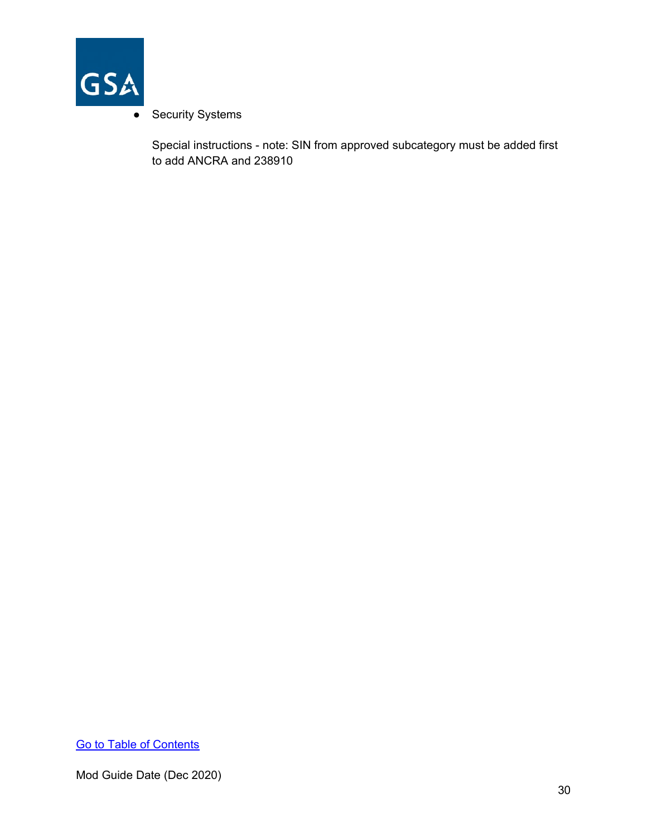

## • Security Systems

Special instructions - note: SIN from approved subcategory must be added first to add ANCRA and 238910

[Go to Table of Contents](#page-1-0)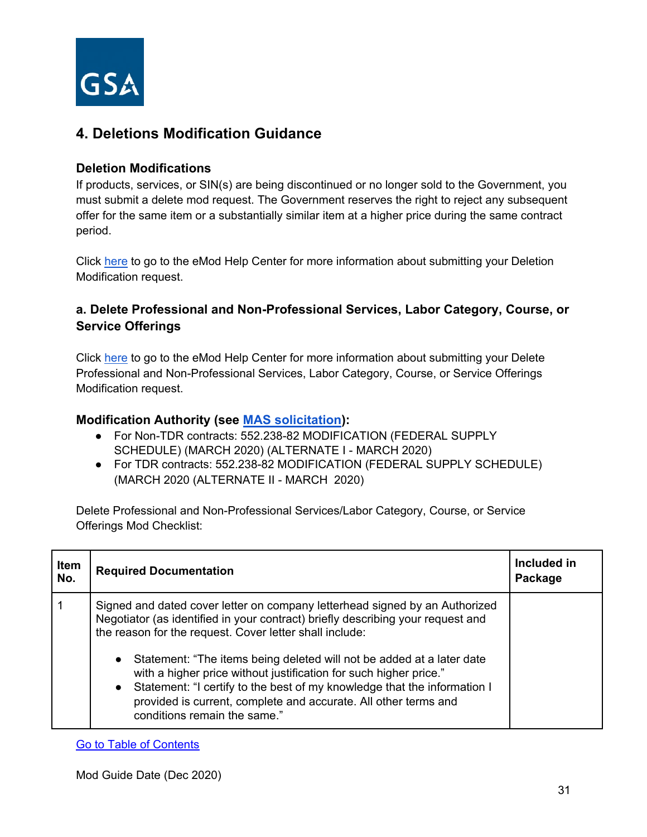

## <span id="page-30-0"></span>**4. Deletions Modification Guidance**

## **Deletion Modifications**

If products, services, or SIN(s) are being discontinued or no longer sold to the Government, you must submit a delete mod request. The Government reserves the right to reject any subsequent offer for the same item or a substantially similar item at a higher price during the same contract period.

Click [here](https://eoffer.gsa.gov/AMSupport/index.html#book_page_page/modules%2Fbook%2Fdatabase.xml/eoffer_emod/emod-resources/modtypes/deletion-modifications/deletion-modifications-overview) to go to the eMod Help Center for more information about submitting your Deletion Modification request.

## <span id="page-30-1"></span>**a. Delete Professional and Non-Professional Services, Labor Category, Course, or Service Offerings**

Click [here](https://eoffer.gsa.gov/AMSupport/index.html#book_page_page/modules%2Fbook%2Fdatabase.xml/eoffer_emod/emod-resources/modtypes/deletion-modifications/delete-labor-category-or-service-offerings) to go to the eMod Help Center for more information about submitting your Delete Professional and Non-Professional Services, Labor Category, Course, or Service Offerings Modification request.

## **Modification Authority (see [MAS solicitation\)](https://beta.sam.gov/opp/9c6569ce85314504b780b8778abde405/view):**

- For Non-TDR contracts: 552.238-82 MODIFICATION (FEDERAL SUPPLY SCHEDULE) (MARCH 2020) (ALTERNATE I - MARCH 2020)
- For TDR contracts: 552.238-82 MODIFICATION (FEDERAL SUPPLY SCHEDULE) (MARCH 2020 (ALTERNATE II - MARCH 2020)

Delete Professional and Non-Professional Services/Labor Category, Course, or Service Offerings Mod Checklist:

| Item<br>No. | <b>Required Documentation</b>                                                                                                                                                                                                                                                                                                                                                                                                                                                                                                                              | Included in<br>Package |
|-------------|------------------------------------------------------------------------------------------------------------------------------------------------------------------------------------------------------------------------------------------------------------------------------------------------------------------------------------------------------------------------------------------------------------------------------------------------------------------------------------------------------------------------------------------------------------|------------------------|
|             | Signed and dated cover letter on company letterhead signed by an Authorized<br>Negotiator (as identified in your contract) briefly describing your request and<br>the reason for the request. Cover letter shall include:<br>• Statement: "The items being deleted will not be added at a later date<br>with a higher price without justification for such higher price."<br>• Statement: "I certify to the best of my knowledge that the information I<br>provided is current, complete and accurate. All other terms and<br>conditions remain the same." |                        |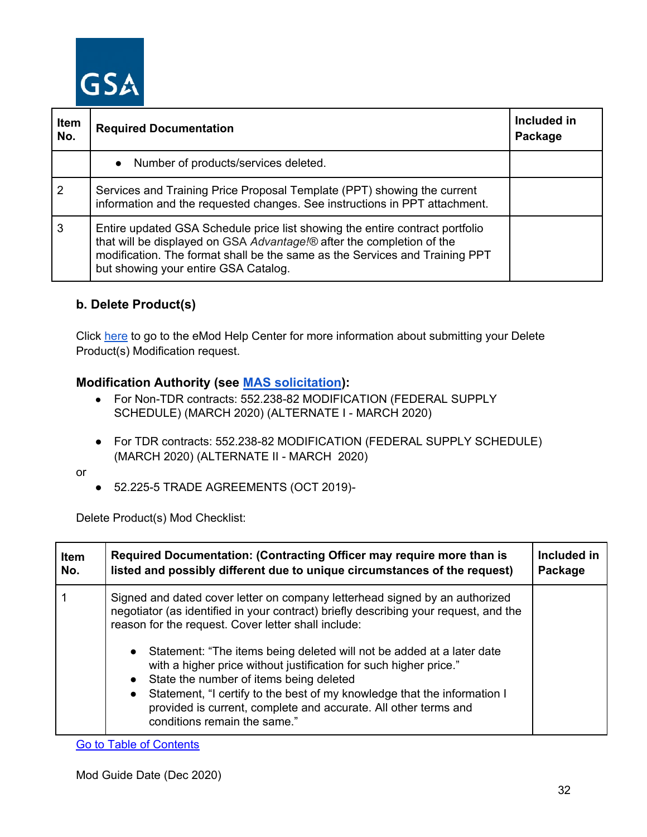

| Item<br>No. | <b>Required Documentation</b>                                                                                                                                                                                                                                                | Included in<br>Package |
|-------------|------------------------------------------------------------------------------------------------------------------------------------------------------------------------------------------------------------------------------------------------------------------------------|------------------------|
|             | • Number of products/services deleted.                                                                                                                                                                                                                                       |                        |
| 2           | Services and Training Price Proposal Template (PPT) showing the current<br>information and the requested changes. See instructions in PPT attachment.                                                                                                                        |                        |
| 3           | Entire updated GSA Schedule price list showing the entire contract portfolio<br>that will be displayed on GSA Advantage!® after the completion of the<br>modification. The format shall be the same as the Services and Training PPT<br>but showing your entire GSA Catalog. |                        |

## <span id="page-31-0"></span>**b. Delete Product(s)**

Click [here](https://eoffer.gsa.gov/AMSupport/index.html#book_page_page/modules%2Fbook%2Fdatabase.xml/eoffer_emod/emod-resources/modtypes/deletion-modifications/delete-product-s) to go to the eMod Help Center for more information about submitting your Delete Product(s) Modification request.

## **Modification Authority (see [MAS solicitation\)](https://beta.sam.gov/opp/9c6569ce85314504b780b8778abde405/view):**

- For Non-TDR contracts: 552.238-82 MODIFICATION (FEDERAL SUPPLY SCHEDULE) (MARCH 2020) (ALTERNATE I - MARCH 2020)
- For TDR contracts: 552.238-82 MODIFICATION (FEDERAL SUPPLY SCHEDULE) (MARCH 2020) (ALTERNATE II - MARCH 2020)
- or
- 52.225-5 TRADE AGREEMENTS (OCT 2019)*-*

Delete Product(s) Mod Checklist:

| <b>Item</b> | Required Documentation: (Contracting Officer may require more than is                                                                                                                                                                                                                                                                                                                                                                                                                                                                                                                                                                     | Included in |
|-------------|-------------------------------------------------------------------------------------------------------------------------------------------------------------------------------------------------------------------------------------------------------------------------------------------------------------------------------------------------------------------------------------------------------------------------------------------------------------------------------------------------------------------------------------------------------------------------------------------------------------------------------------------|-------------|
| No.         | listed and possibly different due to unique circumstances of the request)                                                                                                                                                                                                                                                                                                                                                                                                                                                                                                                                                                 | Package     |
|             | Signed and dated cover letter on company letterhead signed by an authorized<br>negotiator (as identified in your contract) briefly describing your request, and the<br>reason for the request. Cover letter shall include:<br>Statement: "The items being deleted will not be added at a later date<br>$\bullet$<br>with a higher price without justification for such higher price."<br>State the number of items being deleted<br>$\bullet$<br>Statement, "I certify to the best of my knowledge that the information I<br>$\bullet$<br>provided is current, complete and accurate. All other terms and<br>conditions remain the same." |             |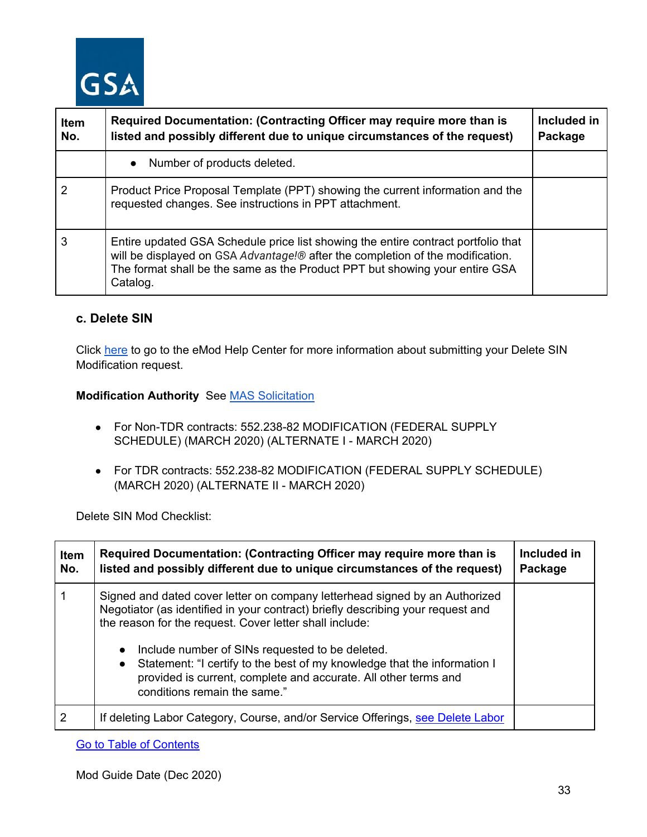

| <b>Item</b><br>No. | Required Documentation: (Contracting Officer may require more than is<br>listed and possibly different due to unique circumstances of the request)                                                                                                             | Included in<br>Package |
|--------------------|----------------------------------------------------------------------------------------------------------------------------------------------------------------------------------------------------------------------------------------------------------------|------------------------|
|                    | Number of products deleted.<br>$\bullet$                                                                                                                                                                                                                       |                        |
|                    | Product Price Proposal Template (PPT) showing the current information and the<br>requested changes. See instructions in PPT attachment.                                                                                                                        |                        |
| 3                  | Entire updated GSA Schedule price list showing the entire contract portfolio that<br>will be displayed on GSA Advantage!® after the completion of the modification.<br>The format shall be the same as the Product PPT but showing your entire GSA<br>Catalog. |                        |

## <span id="page-32-0"></span>**c. Delete SIN**

Click [here](https://eoffer.gsa.gov/AMSupport/index.html#book_page_page/modules%2Fbook%2Fdatabase.xml/eoffer_emod/emod-resources/modtypes/deletion-modifications/delete-sin) to go to the eMod Help Center for more information about submitting your Delete SIN Modification request.

## **Modification Authority** See [MAS Solicitation](https://beta.sam.gov/opp/9c6569ce85314504b780b8778abde405/view)

- For Non-TDR contracts: 552.238-82 MODIFICATION (FEDERAL SUPPLY SCHEDULE) (MARCH 2020) (ALTERNATE I - MARCH 2020)
- For TDR contracts: 552.238-82 MODIFICATION (FEDERAL SUPPLY SCHEDULE) (MARCH 2020) (ALTERNATE II - MARCH 2020)

Delete SIN Mod Checklist:

| <b>Item</b><br>No. | Required Documentation: (Contracting Officer may require more than is<br>listed and possibly different due to unique circumstances of the request)                                                                                                                                                                                                                                                                                                                         | Included in<br>Package |
|--------------------|----------------------------------------------------------------------------------------------------------------------------------------------------------------------------------------------------------------------------------------------------------------------------------------------------------------------------------------------------------------------------------------------------------------------------------------------------------------------------|------------------------|
|                    | Signed and dated cover letter on company letterhead signed by an Authorized<br>Negotiator (as identified in your contract) briefly describing your request and<br>the reason for the request. Cover letter shall include:<br>Include number of SINs requested to be deleted.<br>$\bullet$<br>• Statement: "I certify to the best of my knowledge that the information I<br>provided is current, complete and accurate. All other terms and<br>conditions remain the same." |                        |
| $\overline{2}$     | If deleting Labor Category, Course, and/or Service Offerings, see Delete Labor                                                                                                                                                                                                                                                                                                                                                                                             |                        |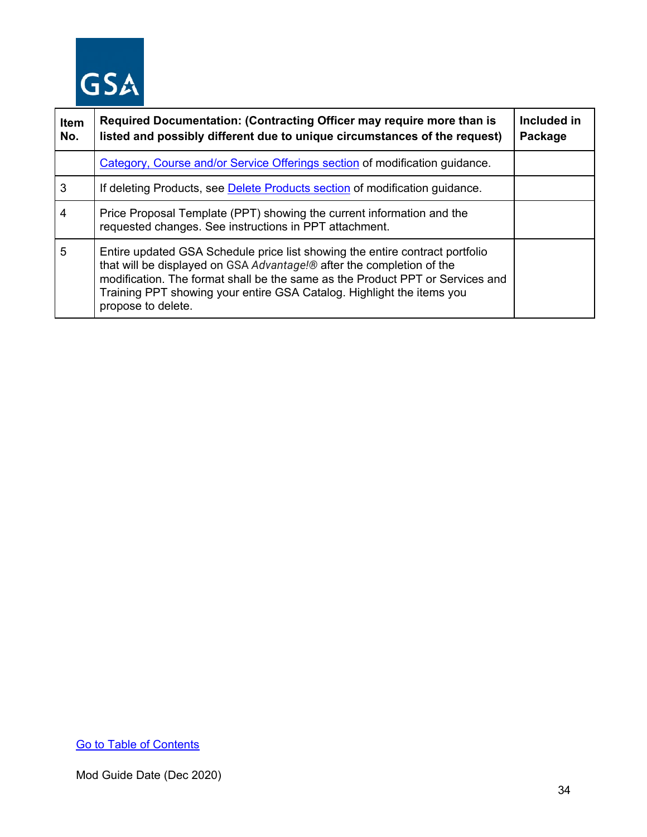

| <b>Item</b><br>No. | Required Documentation: (Contracting Officer may require more than is<br>listed and possibly different due to unique circumstances of the request)                                                                                                                                                                                    | Included in<br>Package |
|--------------------|---------------------------------------------------------------------------------------------------------------------------------------------------------------------------------------------------------------------------------------------------------------------------------------------------------------------------------------|------------------------|
|                    | Category, Course and/or Service Offerings section of modification guidance.                                                                                                                                                                                                                                                           |                        |
| 3                  | If deleting Products, see Delete Products section of modification guidance.                                                                                                                                                                                                                                                           |                        |
| 4                  | Price Proposal Template (PPT) showing the current information and the<br>requested changes. See instructions in PPT attachment.                                                                                                                                                                                                       |                        |
| 5                  | Entire updated GSA Schedule price list showing the entire contract portfolio<br>that will be displayed on GSA Advantage!® after the completion of the<br>modification. The format shall be the same as the Product PPT or Services and<br>Training PPT showing your entire GSA Catalog. Highlight the items you<br>propose to delete. |                        |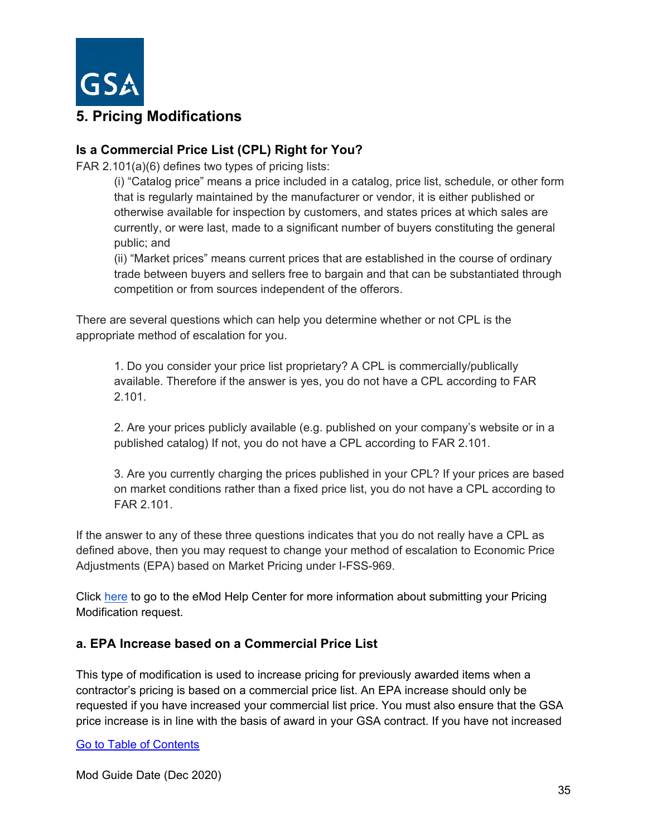

# <span id="page-34-0"></span>**5. Pricing Modifications**

## **Is a Commercial Price List (CPL) Right for You?**

FAR 2.101(a)(6) defines two types of pricing lists:

(i) "Catalog price" means a price included in a catalog, price list, schedule, or other form that is regularly maintained by the manufacturer or vendor, it is either published or otherwise available for inspection by customers, and states prices at which sales are currently, or were last, made to a significant number of buyers constituting the general public; and

(ii) "Market prices" means current prices that are established in the course of ordinary trade between buyers and sellers free to bargain and that can be substantiated through competition or from sources independent of the offerors.

There are several questions which can help you determine whether or not CPL is the appropriate method of escalation for you.

1. Do you consider your price list proprietary? A CPL is commercially/publically available. Therefore if the answer is yes, you do not have a CPL according to FAR 2.101.

2. Are your prices publicly available (e.g. published on your company's website or in a published catalog) If not, you do not have a CPL according to FAR 2.101.

3. Are you currently charging the prices published in your CPL? If your prices are based on market conditions rather than a fixed price list, you do not have a CPL according to FAR 2.101.

If the answer to any of these three questions indicates that you do not really have a CPL as defined above, then you may request to change your method of escalation to Economic Price Adjustments (EPA) based on Market Pricing under I-FSS-969.

Click [here](https://eoffer.gsa.gov/AMSupport/index.html#book_page_page/modules%2Fbook%2Fdatabase.xml/eoffer_emod/emod-resources/modtypes/pricing-modifications/pricing-modifications-overview) to go to the eMod Help Center for more information about submitting your Pricing Modification request.

## <span id="page-34-1"></span>**a. EPA Increase based on a Commercial Price List**

This type of modification is used to increase pricing for previously awarded items when a contractor's pricing is based on a commercial price list. An EPA increase should only be requested if you have increased your commercial list price. You must also ensure that the GSA price increase is in line with the basis of award in your GSA contract. If you have not increased

[Go to Table of Contents](#page-1-0)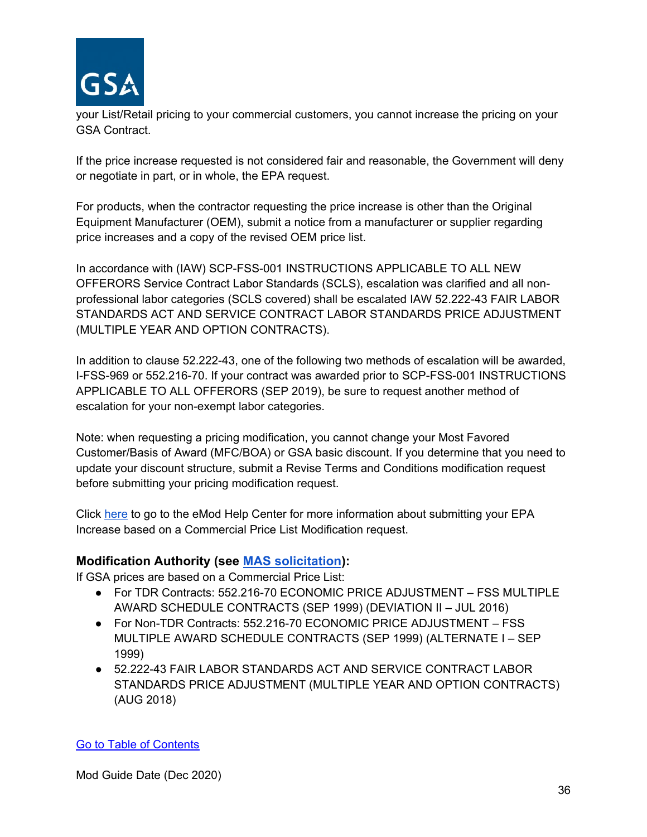

your List/Retail pricing to your commercial customers, you cannot increase the pricing on your GSA Contract.

If the price increase requested is not considered fair and reasonable, the Government will deny or negotiate in part, or in whole, the EPA request.

For products, when the contractor requesting the price increase is other than the Original Equipment Manufacturer (OEM), submit a notice from a manufacturer or supplier regarding price increases and a copy of the revised OEM price list.

In accordance with (IAW) SCP-FSS-001 INSTRUCTIONS APPLICABLE TO ALL NEW OFFERORS Service Contract Labor Standards (SCLS), escalation was clarified and all nonprofessional labor categories (SCLS covered) shall be escalated IAW 52.222-43 FAIR LABOR STANDARDS ACT AND SERVICE CONTRACT LABOR STANDARDS PRICE ADJUSTMENT (MULTIPLE YEAR AND OPTION CONTRACTS).

In addition to clause 52.222-43, one of the following two methods of escalation will be awarded, I-FSS-969 or 552.216-70. If your contract was awarded prior to SCP-FSS-001 INSTRUCTIONS APPLICABLE TO ALL OFFERORS (SEP 2019), be sure to request another method of escalation for your non-exempt labor categories.

Note: when requesting a pricing modification, you cannot change your Most Favored Customer/Basis of Award (MFC/BOA) or GSA basic discount. If you determine that you need to update your discount structure, submit a Revise Terms and Conditions modification request before submitting your pricing modification request.

Click [here](https://eoffer.gsa.gov/AMSupport/index.html#book_page_page/modules%2Fbook%2Fdatabase.xml/eoffer_emod/emod-resources/modtypes/pricing-modifications/economic-price-adjustments-epa-with-commercial-price-list-increase) to go to the eMod Help Center for more information about submitting your EPA Increase based on a Commercial Price List Modification request.

## **Modification Authority (see [MAS solicitation\)](https://beta.sam.gov/opp/9c6569ce85314504b780b8778abde405/view):**

If GSA prices are based on a Commercial Price List:

- For TDR Contracts: 552.216-70 ECONOMIC PRICE ADJUSTMENT FSS MULTIPLE AWARD SCHEDULE CONTRACTS (SEP 1999) (DEVIATION II – JUL 2016)
- For Non-TDR Contracts: 552.216-70 ECONOMIC PRICE ADJUSTMENT FSS MULTIPLE AWARD SCHEDULE CONTRACTS (SEP 1999) (ALTERNATE I – SEP 1999)
- 52.222-43 FAIR LABOR STANDARDS ACT AND SERVICE CONTRACT LABOR STANDARDS PRICE ADJUSTMENT (MULTIPLE YEAR AND OPTION CONTRACTS) (AUG 2018)

## [Go to Table of Contents](#page-1-0)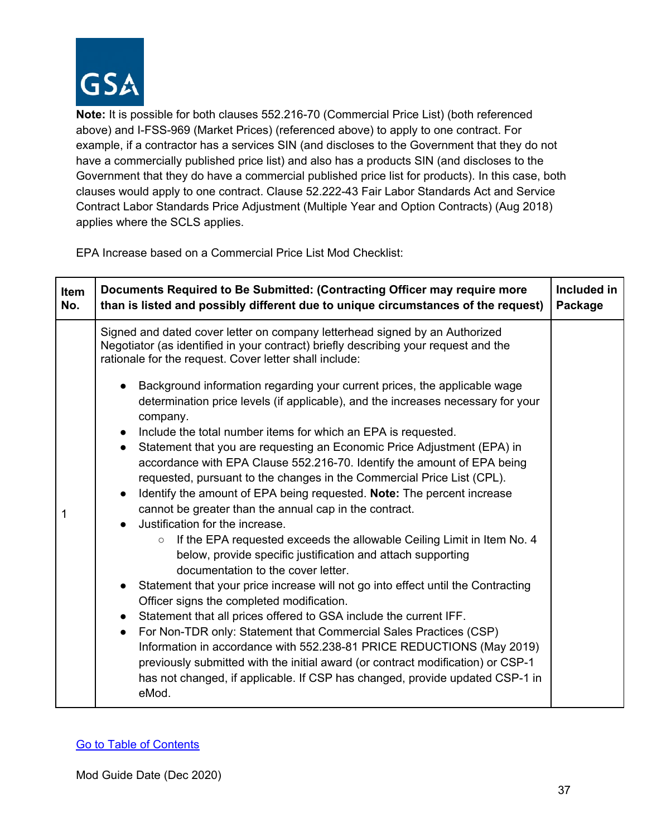

**Note:** It is possible for both clauses 552.216-70 (Commercial Price List) (both referenced above) and I-FSS-969 (Market Prices) (referenced above) to apply to one contract. For example, if a contractor has a services SIN (and discloses to the Government that they do not have a commercially published price list) and also has a products SIN (and discloses to the Government that they do have a commercial published price list for products). In this case, both clauses would apply to one contract. Clause 52.222-43 Fair Labor Standards Act and Service Contract Labor Standards Price Adjustment (Multiple Year and Option Contracts) (Aug 2018) applies where the SCLS applies.

EPA Increase based on a Commercial Price List Mod Checklist:

| Signed and dated cover letter on company letterhead signed by an Authorized<br>Negotiator (as identified in your contract) briefly describing your request and the<br>rationale for the request. Cover letter shall include:<br>Background information regarding your current prices, the applicable wage<br>determination price levels (if applicable), and the increases necessary for your<br>company.                                                                                                                                                                                                                                                                                                                                                                                                                                                                                                                                                                                                                                                                                                                                                                                                                     | Item<br>No. |
|-------------------------------------------------------------------------------------------------------------------------------------------------------------------------------------------------------------------------------------------------------------------------------------------------------------------------------------------------------------------------------------------------------------------------------------------------------------------------------------------------------------------------------------------------------------------------------------------------------------------------------------------------------------------------------------------------------------------------------------------------------------------------------------------------------------------------------------------------------------------------------------------------------------------------------------------------------------------------------------------------------------------------------------------------------------------------------------------------------------------------------------------------------------------------------------------------------------------------------|-------------|
| Include the total number items for which an EPA is requested.<br>$\bullet$<br>Statement that you are requesting an Economic Price Adjustment (EPA) in<br>accordance with EPA Clause 552.216-70. Identify the amount of EPA being<br>requested, pursuant to the changes in the Commercial Price List (CPL).<br>Identify the amount of EPA being requested. Note: The percent increase<br>cannot be greater than the annual cap in the contract.<br>1<br>Justification for the increase.<br>If the EPA requested exceeds the allowable Ceiling Limit in Item No. 4<br>$\circ$<br>below, provide specific justification and attach supporting<br>documentation to the cover letter.<br>Statement that your price increase will not go into effect until the Contracting<br>Officer signs the completed modification.<br>Statement that all prices offered to GSA include the current IFF.<br>For Non-TDR only: Statement that Commercial Sales Practices (CSP)<br>$\bullet$<br>Information in accordance with 552.238-81 PRICE REDUCTIONS (May 2019)<br>previously submitted with the initial award (or contract modification) or CSP-1<br>has not changed, if applicable. If CSP has changed, provide updated CSP-1 in<br>eMod. |             |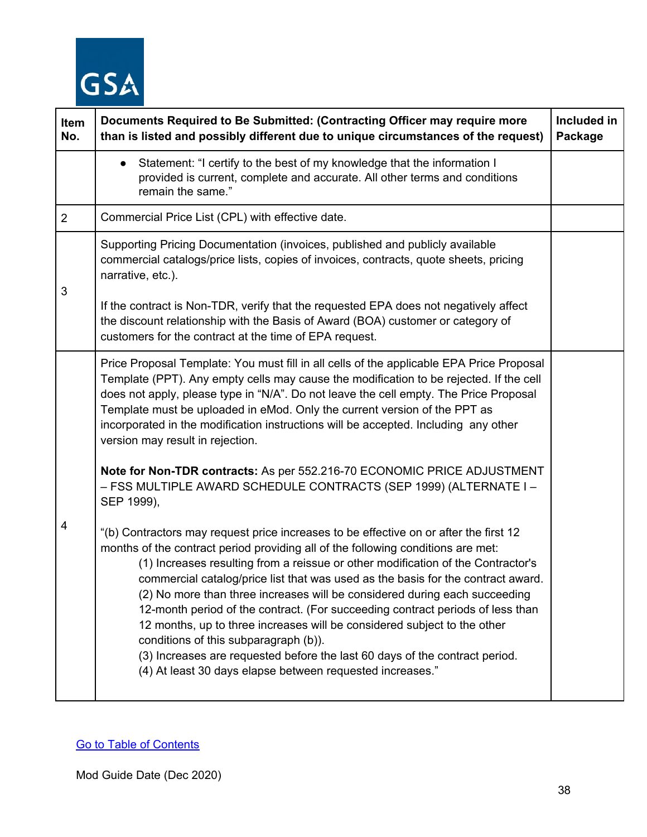

| Item<br>No.    | Documents Required to Be Submitted: (Contracting Officer may require more<br>than is listed and possibly different due to unique circumstances of the request)                                                                                                                                                                                                                                                                                                                                                                                                                                                                                                                                                                                                                    | Included in<br>Package |
|----------------|-----------------------------------------------------------------------------------------------------------------------------------------------------------------------------------------------------------------------------------------------------------------------------------------------------------------------------------------------------------------------------------------------------------------------------------------------------------------------------------------------------------------------------------------------------------------------------------------------------------------------------------------------------------------------------------------------------------------------------------------------------------------------------------|------------------------|
|                | Statement: "I certify to the best of my knowledge that the information I<br>$\bullet$<br>provided is current, complete and accurate. All other terms and conditions<br>remain the same."                                                                                                                                                                                                                                                                                                                                                                                                                                                                                                                                                                                          |                        |
| $\overline{2}$ | Commercial Price List (CPL) with effective date.                                                                                                                                                                                                                                                                                                                                                                                                                                                                                                                                                                                                                                                                                                                                  |                        |
| 3              | Supporting Pricing Documentation (invoices, published and publicly available<br>commercial catalogs/price lists, copies of invoices, contracts, quote sheets, pricing<br>narrative, etc.).                                                                                                                                                                                                                                                                                                                                                                                                                                                                                                                                                                                        |                        |
|                | If the contract is Non-TDR, verify that the requested EPA does not negatively affect<br>the discount relationship with the Basis of Award (BOA) customer or category of<br>customers for the contract at the time of EPA request.                                                                                                                                                                                                                                                                                                                                                                                                                                                                                                                                                 |                        |
| 4              | Price Proposal Template: You must fill in all cells of the applicable EPA Price Proposal<br>Template (PPT). Any empty cells may cause the modification to be rejected. If the cell<br>does not apply, please type in "N/A". Do not leave the cell empty. The Price Proposal<br>Template must be uploaded in eMod. Only the current version of the PPT as<br>incorporated in the modification instructions will be accepted. Including any other<br>version may result in rejection.                                                                                                                                                                                                                                                                                               |                        |
|                | Note for Non-TDR contracts: As per 552.216-70 ECONOMIC PRICE ADJUSTMENT<br>- FSS MULTIPLE AWARD SCHEDULE CONTRACTS (SEP 1999) (ALTERNATE I-<br>SEP 1999),                                                                                                                                                                                                                                                                                                                                                                                                                                                                                                                                                                                                                         |                        |
|                | "(b) Contractors may request price increases to be effective on or after the first 12<br>months of the contract period providing all of the following conditions are met:<br>(1) Increases resulting from a reissue or other modification of the Contractor's<br>commercial catalog/price list that was used as the basis for the contract award<br>(2) No more than three increases will be considered during each succeeding<br>12-month period of the contract. (For succeeding contract periods of less than<br>12 months, up to three increases will be considered subject to the other<br>conditions of this subparagraph (b)).<br>(3) Increases are requested before the last 60 days of the contract period.<br>(4) At least 30 days elapse between requested increases." |                        |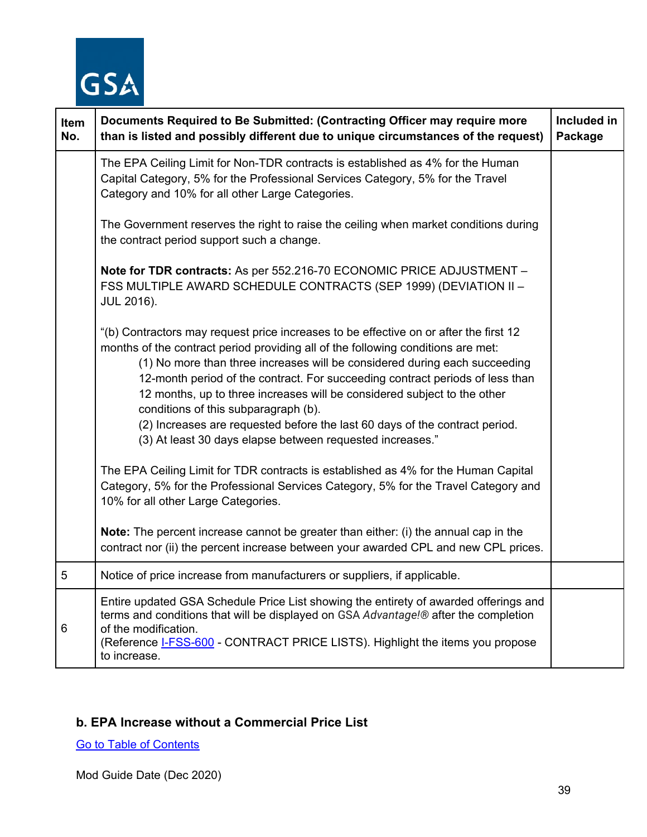

| Item<br>No. | Documents Required to Be Submitted: (Contracting Officer may require more<br>than is listed and possibly different due to unique circumstances of the request)                                                                                                                                                                                                                                                                                                                                                                                                                                           | Included in<br>Package |
|-------------|----------------------------------------------------------------------------------------------------------------------------------------------------------------------------------------------------------------------------------------------------------------------------------------------------------------------------------------------------------------------------------------------------------------------------------------------------------------------------------------------------------------------------------------------------------------------------------------------------------|------------------------|
|             | The EPA Ceiling Limit for Non-TDR contracts is established as 4% for the Human<br>Capital Category, 5% for the Professional Services Category, 5% for the Travel<br>Category and 10% for all other Large Categories.                                                                                                                                                                                                                                                                                                                                                                                     |                        |
|             | The Government reserves the right to raise the ceiling when market conditions during<br>the contract period support such a change.                                                                                                                                                                                                                                                                                                                                                                                                                                                                       |                        |
|             | Note for TDR contracts: As per 552.216-70 ECONOMIC PRICE ADJUSTMENT -<br>FSS MULTIPLE AWARD SCHEDULE CONTRACTS (SEP 1999) (DEVIATION II -<br><b>JUL 2016).</b>                                                                                                                                                                                                                                                                                                                                                                                                                                           |                        |
|             | "(b) Contractors may request price increases to be effective on or after the first 12<br>months of the contract period providing all of the following conditions are met:<br>(1) No more than three increases will be considered during each succeeding<br>12-month period of the contract. For succeeding contract periods of less than<br>12 months, up to three increases will be considered subject to the other<br>conditions of this subparagraph (b).<br>(2) Increases are requested before the last 60 days of the contract period.<br>(3) At least 30 days elapse between requested increases." |                        |
|             | The EPA Ceiling Limit for TDR contracts is established as 4% for the Human Capital<br>Category, 5% for the Professional Services Category, 5% for the Travel Category and<br>10% for all other Large Categories.                                                                                                                                                                                                                                                                                                                                                                                         |                        |
|             | <b>Note:</b> The percent increase cannot be greater than either: (i) the annual cap in the<br>contract nor (ii) the percent increase between your awarded CPL and new CPL prices.                                                                                                                                                                                                                                                                                                                                                                                                                        |                        |
| 5           | Notice of price increase from manufacturers or suppliers, if applicable.                                                                                                                                                                                                                                                                                                                                                                                                                                                                                                                                 |                        |
| 6           | Entire updated GSA Schedule Price List showing the entirety of awarded offerings and<br>terms and conditions that will be displayed on GSA Advantage!® after the completion<br>of the modification.<br>(Reference <b>I-FSS-600</b> - CONTRACT PRICE LISTS). Highlight the items you propose<br>to increase.                                                                                                                                                                                                                                                                                              |                        |

## **b. EPA Increase without a Commercial Price List**

[Go to Table of Contents](#page-1-0)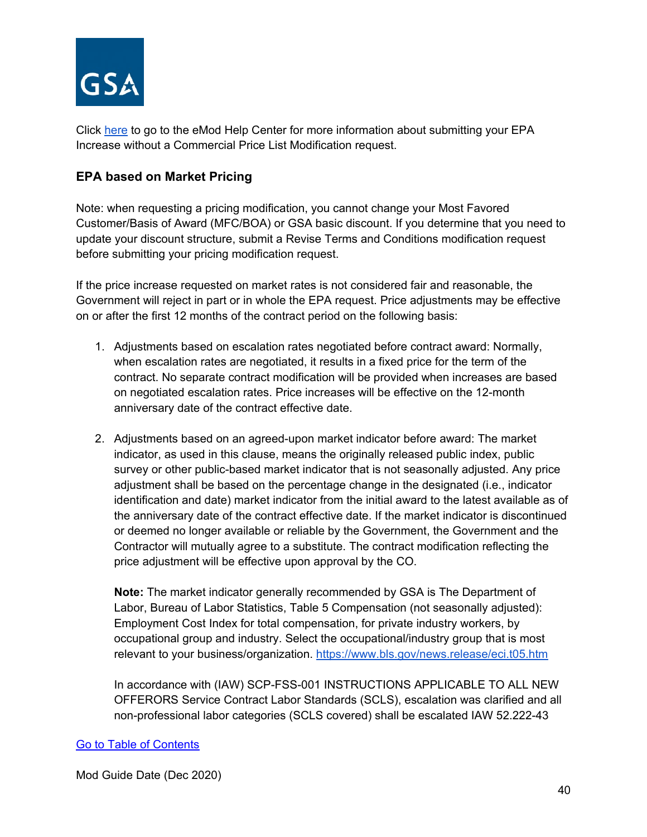

Click [here](https://eoffer.gsa.gov/AMSupport/index.html#book_page_page/modules%2Fbook%2Fdatabase.xml/eoffer_emod/emod-resources/modtypes/pricing-modifications/economic-price-adjustments-epa-without-commercial-price-list-increase) to go to the eMod Help Center for more information about submitting your EPA Increase without a Commercial Price List Modification request.

## **EPA based on Market Pricing**

Note: when requesting a pricing modification, you cannot change your Most Favored Customer/Basis of Award (MFC/BOA) or GSA basic discount. If you determine that you need to update your discount structure, submit a Revise Terms and Conditions modification request before submitting your pricing modification request.

If the price increase requested on market rates is not considered fair and reasonable, the Government will reject in part or in whole the EPA request. Price adjustments may be effective on or after the first 12 months of the contract period on the following basis:

- 1. Adjustments based on escalation rates negotiated before contract award: Normally, when escalation rates are negotiated, it results in a fixed price for the term of the contract. No separate contract modification will be provided when increases are based on negotiated escalation rates. Price increases will be effective on the 12-month anniversary date of the contract effective date.
- 2. Adjustments based on an agreed-upon market indicator before award: The market indicator, as used in this clause, means the originally released public index, public survey or other public-based market indicator that is not seasonally adjusted. Any price adjustment shall be based on the percentage change in the designated (i.e., indicator identification and date) market indicator from the initial award to the latest available as of the anniversary date of the contract effective date. If the market indicator is discontinued or deemed no longer available or reliable by the Government, the Government and the Contractor will mutually agree to a substitute. The contract modification reflecting the price adjustment will be effective upon approval by the CO.

**Note:** The market indicator generally recommended by GSA is The Department of Labor, Bureau of Labor Statistics, Table 5 Compensation (not seasonally adjusted): Employment Cost Index for total compensation, for private industry workers, by occupational group and industry. Select the occupational/industry group that is most relevant to your business/organization.<https://www.bls.gov/news.release/eci.t05.htm>

In accordance with (IAW) SCP-FSS-001 INSTRUCTIONS APPLICABLE TO ALL NEW OFFERORS Service Contract Labor Standards (SCLS), escalation was clarified and all non-professional labor categories (SCLS covered) shall be escalated IAW 52.222-43

#### [Go to Table of Contents](#page-1-0)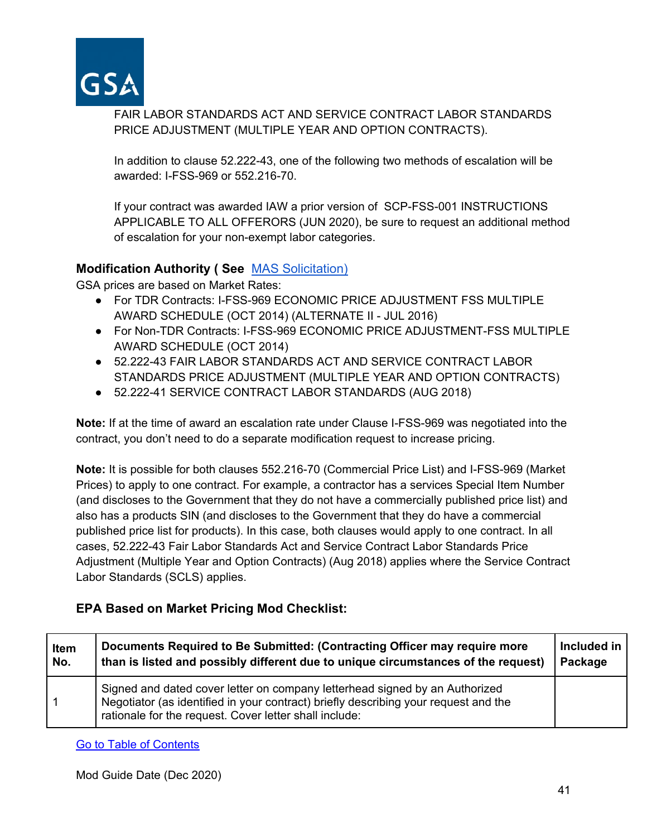

FAIR LABOR STANDARDS ACT AND SERVICE CONTRACT LABOR STANDARDS PRICE ADJUSTMENT (MULTIPLE YEAR AND OPTION CONTRACTS).

In addition to clause 52.222-43, one of the following two methods of escalation will be awarded: I-FSS-969 or 552.216-70.

If your contract was awarded IAW a prior version of SCP-FSS-001 INSTRUCTIONS APPLICABLE TO ALL OFFERORS (JUN 2020), be sure to request an additional method of escalation for your non-exempt labor categories.

#### **Modification Authority ( See** [MAS Solicitation\)](https://beta.sam.gov/opp/9c6569ce85314504b780b8778abde405/view)

GSA prices are based on Market Rates:

- For TDR Contracts: I-FSS-969 ECONOMIC PRICE ADJUSTMENT FSS MULTIPLE AWARD SCHEDULE (OCT 2014) (ALTERNATE II - JUL 2016)
- For Non-TDR Contracts: I-FSS-969 ECONOMIC PRICE ADJUSTMENT-FSS MULTIPLE AWARD SCHEDULE (OCT 2014)
- 52.222-43 FAIR LABOR STANDARDS ACT AND SERVICE CONTRACT LABOR STANDARDS PRICE ADJUSTMENT (MULTIPLE YEAR AND OPTION CONTRACTS)
- 52.222-41 SERVICE CONTRACT LABOR STANDARDS (AUG 2018)

**Note:** If at the time of award an escalation rate under Clause I-FSS-969 was negotiated into the contract, you don't need to do a separate modification request to increase pricing.

**Note:** It is possible for both clauses 552.216-70 (Commercial Price List) and I-FSS-969 (Market Prices) to apply to one contract. For example, a contractor has a services Special Item Number (and discloses to the Government that they do not have a commercially published price list) and also has a products SIN (and discloses to the Government that they do have a commercial published price list for products). In this case, both clauses would apply to one contract. In all cases, 52.222-43 Fair Labor Standards Act and Service Contract Labor Standards Price Adjustment (Multiple Year and Option Contracts) (Aug 2018) applies where the Service Contract Labor Standards (SCLS) applies.

## **EPA Based on Market Pricing Mod Checklist:**

| Item | Documents Required to Be Submitted: (Contracting Officer may require more                                                                                                                                                    | Included in |
|------|------------------------------------------------------------------------------------------------------------------------------------------------------------------------------------------------------------------------------|-------------|
| No.  | than is listed and possibly different due to unique circumstances of the request)                                                                                                                                            | Package     |
|      | Signed and dated cover letter on company letterhead signed by an Authorized<br>Negotiator (as identified in your contract) briefly describing your request and the<br>rationale for the request. Cover letter shall include: |             |

[Go to Table of Contents](#page-1-0)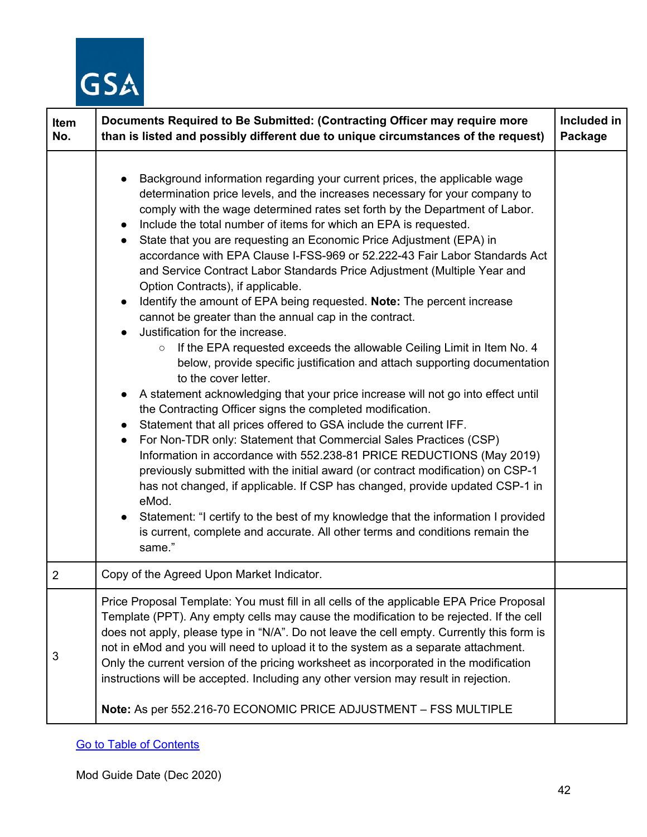

| Item<br>No.    | Documents Required to Be Submitted: (Contracting Officer may require more<br>than is listed and possibly different due to unique circumstances of the request)                                                                                                                                                                                                                                                                                                                                                                                                                                                                                                                                                                                                                                                                                                                                                                                                                                                                                                                                                                                                                                                                                                                                                                                                                                                                                                                                                                                                                                                                                                                                                           | Included in<br>Package |
|----------------|--------------------------------------------------------------------------------------------------------------------------------------------------------------------------------------------------------------------------------------------------------------------------------------------------------------------------------------------------------------------------------------------------------------------------------------------------------------------------------------------------------------------------------------------------------------------------------------------------------------------------------------------------------------------------------------------------------------------------------------------------------------------------------------------------------------------------------------------------------------------------------------------------------------------------------------------------------------------------------------------------------------------------------------------------------------------------------------------------------------------------------------------------------------------------------------------------------------------------------------------------------------------------------------------------------------------------------------------------------------------------------------------------------------------------------------------------------------------------------------------------------------------------------------------------------------------------------------------------------------------------------------------------------------------------------------------------------------------------|------------------------|
|                | Background information regarding your current prices, the applicable wage<br>determination price levels, and the increases necessary for your company to<br>comply with the wage determined rates set forth by the Department of Labor.<br>Include the total number of items for which an EPA is requested.<br>$\bullet$<br>State that you are requesting an Economic Price Adjustment (EPA) in<br>accordance with EPA Clause I-FSS-969 or 52.222-43 Fair Labor Standards Act<br>and Service Contract Labor Standards Price Adjustment (Multiple Year and<br>Option Contracts), if applicable.<br>Identify the amount of EPA being requested. Note: The percent increase<br>cannot be greater than the annual cap in the contract.<br>Justification for the increase.<br>If the EPA requested exceeds the allowable Ceiling Limit in Item No. 4<br>$\circ$<br>below, provide specific justification and attach supporting documentation<br>to the cover letter.<br>A statement acknowledging that your price increase will not go into effect until<br>the Contracting Officer signs the completed modification.<br>Statement that all prices offered to GSA include the current IFF.<br>For Non-TDR only: Statement that Commercial Sales Practices (CSP)<br>$\bullet$<br>Information in accordance with 552.238-81 PRICE REDUCTIONS (May 2019)<br>previously submitted with the initial award (or contract modification) on CSP-1<br>has not changed, if applicable. If CSP has changed, provide updated CSP-1 in<br>eMod.<br>Statement: "I certify to the best of my knowledge that the information I provided<br>$\bullet$<br>is current, complete and accurate. All other terms and conditions remain the<br>same." |                        |
| $\overline{2}$ | Copy of the Agreed Upon Market Indicator.                                                                                                                                                                                                                                                                                                                                                                                                                                                                                                                                                                                                                                                                                                                                                                                                                                                                                                                                                                                                                                                                                                                                                                                                                                                                                                                                                                                                                                                                                                                                                                                                                                                                                |                        |
| 3              | Price Proposal Template: You must fill in all cells of the applicable EPA Price Proposal<br>Template (PPT). Any empty cells may cause the modification to be rejected. If the cell<br>does not apply, please type in "N/A". Do not leave the cell empty. Currently this form is<br>not in eMod and you will need to upload it to the system as a separate attachment.<br>Only the current version of the pricing worksheet as incorporated in the modification<br>instructions will be accepted. Including any other version may result in rejection.<br>Note: As per 552.216-70 ECONOMIC PRICE ADJUSTMENT - FSS MULTIPLE                                                                                                                                                                                                                                                                                                                                                                                                                                                                                                                                                                                                                                                                                                                                                                                                                                                                                                                                                                                                                                                                                                |                        |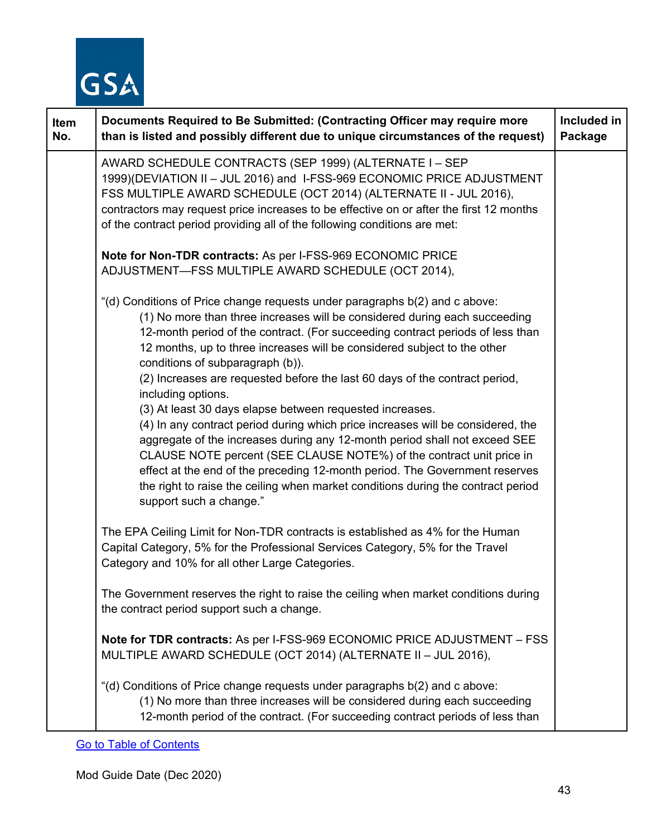

| Item<br>No. | Documents Required to Be Submitted: (Contracting Officer may require more<br>than is listed and possibly different due to unique circumstances of the request)                                                                                                                                                                                                                                                                                                                                                                                                                                                                                                                                                                                                                                                                                                                                                                                                      | Included in<br>Package |
|-------------|---------------------------------------------------------------------------------------------------------------------------------------------------------------------------------------------------------------------------------------------------------------------------------------------------------------------------------------------------------------------------------------------------------------------------------------------------------------------------------------------------------------------------------------------------------------------------------------------------------------------------------------------------------------------------------------------------------------------------------------------------------------------------------------------------------------------------------------------------------------------------------------------------------------------------------------------------------------------|------------------------|
|             | AWARD SCHEDULE CONTRACTS (SEP 1999) (ALTERNATE I - SEP<br>1999)(DEVIATION II - JUL 2016) and I-FSS-969 ECONOMIC PRICE ADJUSTMENT<br>FSS MULTIPLE AWARD SCHEDULE (OCT 2014) (ALTERNATE II - JUL 2016),<br>contractors may request price increases to be effective on or after the first 12 months<br>of the contract period providing all of the following conditions are met:                                                                                                                                                                                                                                                                                                                                                                                                                                                                                                                                                                                       |                        |
|             | Note for Non-TDR contracts: As per I-FSS-969 ECONOMIC PRICE<br>ADJUSTMENT-FSS MULTIPLE AWARD SCHEDULE (OCT 2014),                                                                                                                                                                                                                                                                                                                                                                                                                                                                                                                                                                                                                                                                                                                                                                                                                                                   |                        |
|             | "(d) Conditions of Price change requests under paragraphs b(2) and c above:<br>(1) No more than three increases will be considered during each succeeding<br>12-month period of the contract. (For succeeding contract periods of less than<br>12 months, up to three increases will be considered subject to the other<br>conditions of subparagraph (b)).<br>(2) Increases are requested before the last 60 days of the contract period,<br>including options.<br>(3) At least 30 days elapse between requested increases.<br>(4) In any contract period during which price increases will be considered, the<br>aggregate of the increases during any 12-month period shall not exceed SEE<br>CLAUSE NOTE percent (SEE CLAUSE NOTE%) of the contract unit price in<br>effect at the end of the preceding 12-month period. The Government reserves<br>the right to raise the ceiling when market conditions during the contract period<br>support such a change." |                        |
|             | The EPA Ceiling Limit for Non-TDR contracts is established as 4% for the Human<br>Capital Category, 5% for the Professional Services Category, 5% for the Travel<br>Category and 10% for all other Large Categories.                                                                                                                                                                                                                                                                                                                                                                                                                                                                                                                                                                                                                                                                                                                                                |                        |
|             | The Government reserves the right to raise the ceiling when market conditions during<br>the contract period support such a change.                                                                                                                                                                                                                                                                                                                                                                                                                                                                                                                                                                                                                                                                                                                                                                                                                                  |                        |
|             | Note for TDR contracts: As per I-FSS-969 ECONOMIC PRICE ADJUSTMENT - FSS<br>MULTIPLE AWARD SCHEDULE (OCT 2014) (ALTERNATE II - JUL 2016),                                                                                                                                                                                                                                                                                                                                                                                                                                                                                                                                                                                                                                                                                                                                                                                                                           |                        |
|             | "(d) Conditions of Price change requests under paragraphs b(2) and c above:<br>(1) No more than three increases will be considered during each succeeding<br>12-month period of the contract. (For succeeding contract periods of less than                                                                                                                                                                                                                                                                                                                                                                                                                                                                                                                                                                                                                                                                                                                         |                        |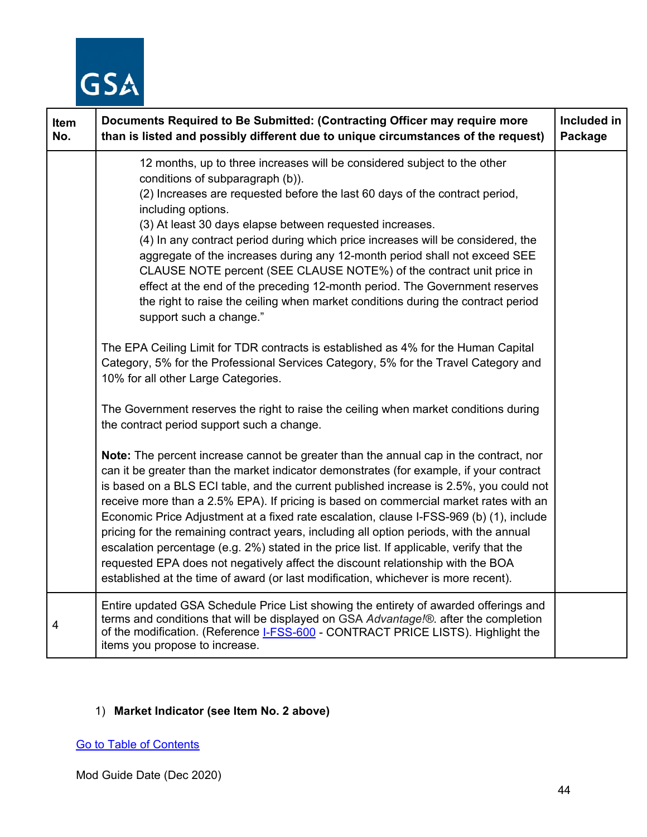

| Item<br>No. | Documents Required to Be Submitted: (Contracting Officer may require more<br>than is listed and possibly different due to unique circumstances of the request)                                                                                                                                                                                                                                                                                                                                                                                                                                                                                                                                                                                                                                                                 | Included in<br>Package |
|-------------|--------------------------------------------------------------------------------------------------------------------------------------------------------------------------------------------------------------------------------------------------------------------------------------------------------------------------------------------------------------------------------------------------------------------------------------------------------------------------------------------------------------------------------------------------------------------------------------------------------------------------------------------------------------------------------------------------------------------------------------------------------------------------------------------------------------------------------|------------------------|
|             | 12 months, up to three increases will be considered subject to the other<br>conditions of subparagraph (b)).<br>(2) Increases are requested before the last 60 days of the contract period,<br>including options.<br>(3) At least 30 days elapse between requested increases.<br>(4) In any contract period during which price increases will be considered, the<br>aggregate of the increases during any 12-month period shall not exceed SEE<br>CLAUSE NOTE percent (SEE CLAUSE NOTE%) of the contract unit price in<br>effect at the end of the preceding 12-month period. The Government reserves<br>the right to raise the ceiling when market conditions during the contract period<br>support such a change."                                                                                                           |                        |
|             | The EPA Ceiling Limit for TDR contracts is established as 4% for the Human Capital<br>Category, 5% for the Professional Services Category, 5% for the Travel Category and<br>10% for all other Large Categories.                                                                                                                                                                                                                                                                                                                                                                                                                                                                                                                                                                                                               |                        |
|             | The Government reserves the right to raise the ceiling when market conditions during<br>the contract period support such a change.                                                                                                                                                                                                                                                                                                                                                                                                                                                                                                                                                                                                                                                                                             |                        |
|             | Note: The percent increase cannot be greater than the annual cap in the contract, nor<br>can it be greater than the market indicator demonstrates (for example, if your contract<br>is based on a BLS ECI table, and the current published increase is 2.5%, you could not<br>receive more than a 2.5% EPA). If pricing is based on commercial market rates with an<br>Economic Price Adjustment at a fixed rate escalation, clause I-FSS-969 (b) (1), include<br>pricing for the remaining contract years, including all option periods, with the annual<br>escalation percentage (e.g. 2%) stated in the price list. If applicable, verify that the<br>requested EPA does not negatively affect the discount relationship with the BOA<br>established at the time of award (or last modification, whichever is more recent). |                        |
| 4           | Entire updated GSA Schedule Price List showing the entirety of awarded offerings and<br>terms and conditions that will be displayed on GSA Advantage!®. after the completion<br>of the modification. (Reference I-FSS-600 - CONTRACT PRICE LISTS). Highlight the<br>items you propose to increase.                                                                                                                                                                                                                                                                                                                                                                                                                                                                                                                             |                        |

## 1) **Market Indicator (see Item No. 2 above)**

[Go to Table of Contents](#page-1-0)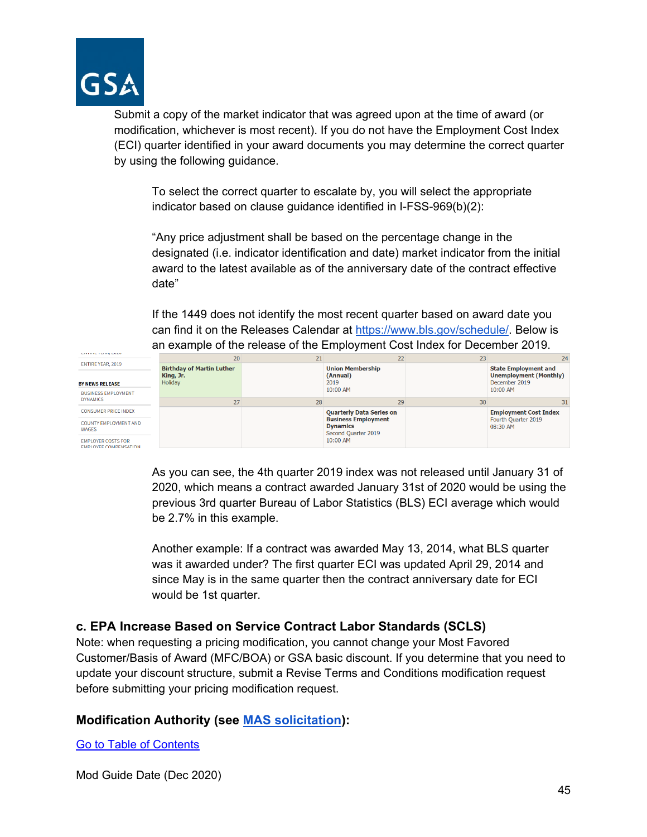

Submit a copy of the market indicator that was agreed upon at the time of award (or modification, whichever is most recent). If you do not have the Employment Cost Index (ECI) quarter identified in your award documents you may determine the correct quarter by using the following guidance.

To select the correct quarter to escalate by, you will select the appropriate indicator based on clause guidance identified in I-FSS-969(b)(2):

"Any price adjustment shall be based on the percentage change in the designated (i.e. indicator identification and date) market indicator from the initial award to the latest available as of the anniversary date of the contract effective date"

If the 1449 does not identify the most recent quarter based on award date you can find it on the Releases Calendar at [https://www.bls.gov/schedule/.](https://www.bls.gov/schedule/) Below is an example of the release of the Employment Cost Index for December 2019.



As you can see, the 4th quarter 2019 index was not released until January 31 of 2020, which means a contract awarded January 31st of 2020 would be using the previous 3rd quarter Bureau of Labor Statistics (BLS) ECI average which would be 2.7% in this example.

Another example: If a contract was awarded May 13, 2014, what BLS quarter was it awarded under? The first quarter ECI was updated April 29, 2014 and since May is in the same quarter then the contract anniversary date for ECI would be 1st quarter.

#### **c. EPA Increase Based on Service Contract Labor Standards (SCLS)**

Note: when requesting a pricing modification, you cannot change your Most Favored Customer/Basis of Award (MFC/BOA) or GSA basic discount. If you determine that you need to update your discount structure, submit a Revise Terms and Conditions modification request before submitting your pricing modification request.

#### **Modification Authority (see [MAS solicitation\)](https://beta.sam.gov/opp/9c6569ce85314504b780b8778abde405/view):**

[Go to Table of Contents](#page-1-0)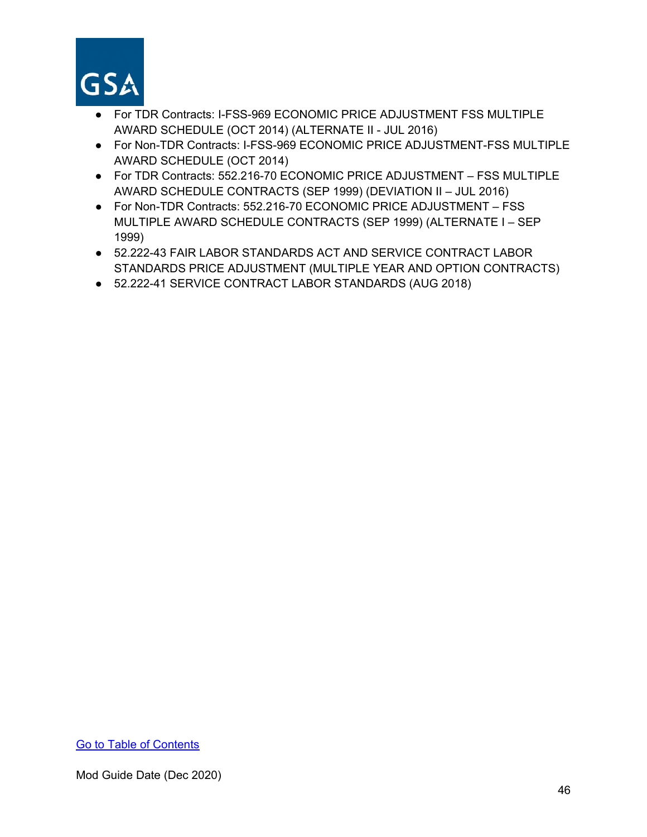

- For TDR Contracts: I-FSS-969 ECONOMIC PRICE ADJUSTMENT FSS MULTIPLE AWARD SCHEDULE (OCT 2014) (ALTERNATE II - JUL 2016)
- For Non-TDR Contracts: I-FSS-969 ECONOMIC PRICE ADJUSTMENT-FSS MULTIPLE AWARD SCHEDULE (OCT 2014)
- For TDR Contracts: 552.216-70 ECONOMIC PRICE ADJUSTMENT FSS MULTIPLE AWARD SCHEDULE CONTRACTS (SEP 1999) (DEVIATION II – JUL 2016)
- For Non-TDR Contracts: 552.216-70 ECONOMIC PRICE ADJUSTMENT FSS MULTIPLE AWARD SCHEDULE CONTRACTS (SEP 1999) (ALTERNATE I – SEP 1999)
- 52.222-43 FAIR LABOR STANDARDS ACT AND SERVICE CONTRACT LABOR STANDARDS PRICE ADJUSTMENT (MULTIPLE YEAR AND OPTION CONTRACTS)
- 52.222-41 SERVICE CONTRACT LABOR STANDARDS (AUG 2018)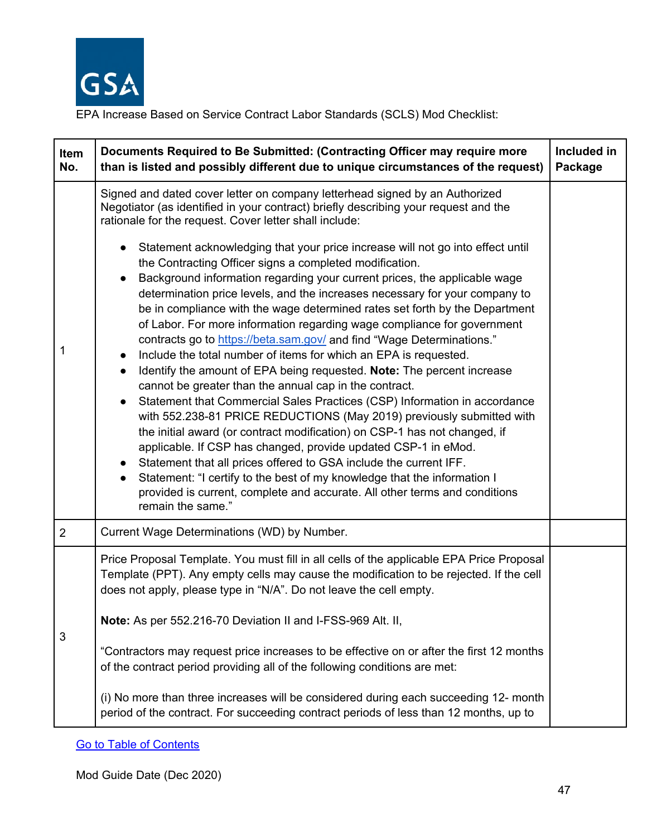

EPA Increase Based on Service Contract Labor Standards (SCLS) Mod Checklist:

| Item<br>No. | Documents Required to Be Submitted: (Contracting Officer may require more<br>than is listed and possibly different due to unique circumstances of the request)                                                                                                                                                                                                                                                                                                                                                                                                                                                                                                                                                                                                                                                                                                                                                                                                                                                                                                                                                                                                                                                                                                                                                                                                                                                                                                                                                                                                      | Included in<br>Package |
|-------------|---------------------------------------------------------------------------------------------------------------------------------------------------------------------------------------------------------------------------------------------------------------------------------------------------------------------------------------------------------------------------------------------------------------------------------------------------------------------------------------------------------------------------------------------------------------------------------------------------------------------------------------------------------------------------------------------------------------------------------------------------------------------------------------------------------------------------------------------------------------------------------------------------------------------------------------------------------------------------------------------------------------------------------------------------------------------------------------------------------------------------------------------------------------------------------------------------------------------------------------------------------------------------------------------------------------------------------------------------------------------------------------------------------------------------------------------------------------------------------------------------------------------------------------------------------------------|------------------------|
| 1           | Signed and dated cover letter on company letterhead signed by an Authorized<br>Negotiator (as identified in your contract) briefly describing your request and the<br>rationale for the request. Cover letter shall include:<br>Statement acknowledging that your price increase will not go into effect until<br>the Contracting Officer signs a completed modification.<br>Background information regarding your current prices, the applicable wage<br>determination price levels, and the increases necessary for your company to<br>be in compliance with the wage determined rates set forth by the Department<br>of Labor. For more information regarding wage compliance for government<br>contracts go to https://beta.sam.gov/ and find "Wage Determinations."<br>Include the total number of items for which an EPA is requested.<br>$\bullet$<br>Identify the amount of EPA being requested. Note: The percent increase<br>$\bullet$<br>cannot be greater than the annual cap in the contract.<br>Statement that Commercial Sales Practices (CSP) Information in accordance<br>with 552.238-81 PRICE REDUCTIONS (May 2019) previously submitted with<br>the initial award (or contract modification) on CSP-1 has not changed, if<br>applicable. If CSP has changed, provide updated CSP-1 in eMod.<br>Statement that all prices offered to GSA include the current IFF.<br>Statement: "I certify to the best of my knowledge that the information I<br>provided is current, complete and accurate. All other terms and conditions<br>remain the same." |                        |
| 2           | Current Wage Determinations (WD) by Number.                                                                                                                                                                                                                                                                                                                                                                                                                                                                                                                                                                                                                                                                                                                                                                                                                                                                                                                                                                                                                                                                                                                                                                                                                                                                                                                                                                                                                                                                                                                         |                        |
| 3           | Price Proposal Template. You must fill in all cells of the applicable EPA Price Proposal<br>Template (PPT). Any empty cells may cause the modification to be rejected. If the cell<br>does not apply, please type in "N/A". Do not leave the cell empty.<br>Note: As per 552.216-70 Deviation II and I-FSS-969 Alt. II,<br>"Contractors may request price increases to be effective on or after the first 12 months<br>of the contract period providing all of the following conditions are met:                                                                                                                                                                                                                                                                                                                                                                                                                                                                                                                                                                                                                                                                                                                                                                                                                                                                                                                                                                                                                                                                    |                        |
|             | (i) No more than three increases will be considered during each succeeding 12- month<br>period of the contract. For succeeding contract periods of less than 12 months, up to                                                                                                                                                                                                                                                                                                                                                                                                                                                                                                                                                                                                                                                                                                                                                                                                                                                                                                                                                                                                                                                                                                                                                                                                                                                                                                                                                                                       |                        |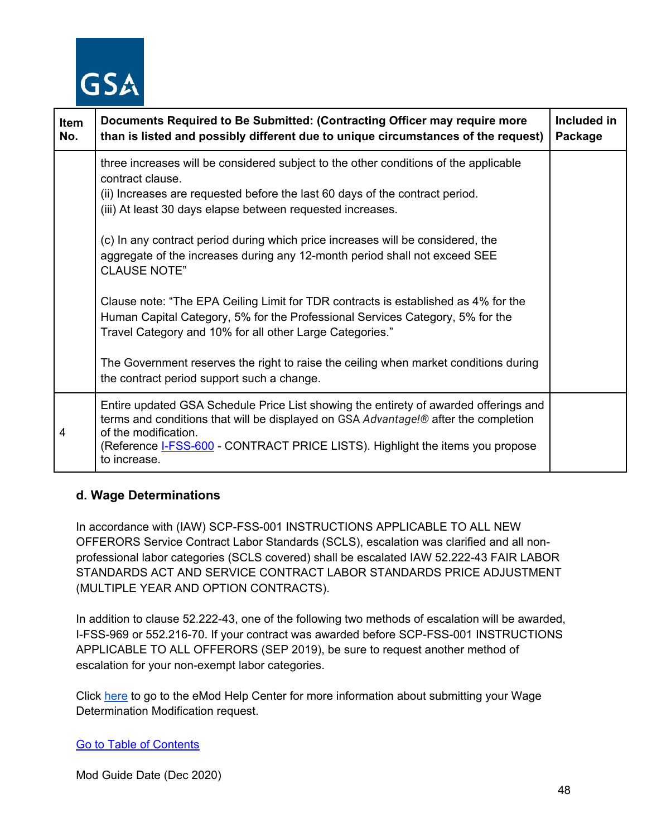

| Item<br>No. | Documents Required to Be Submitted: (Contracting Officer may require more<br>than is listed and possibly different due to unique circumstances of the request)                                                                                                                                       | Included in<br>Package |
|-------------|------------------------------------------------------------------------------------------------------------------------------------------------------------------------------------------------------------------------------------------------------------------------------------------------------|------------------------|
|             | three increases will be considered subject to the other conditions of the applicable<br>contract clause.<br>(ii) Increases are requested before the last 60 days of the contract period.<br>(iii) At least 30 days elapse between requested increases.                                               |                        |
|             | (c) In any contract period during which price increases will be considered, the<br>aggregate of the increases during any 12-month period shall not exceed SEE<br><b>CLAUSE NOTE"</b>                                                                                                                 |                        |
|             | Clause note: "The EPA Ceiling Limit for TDR contracts is established as 4% for the<br>Human Capital Category, 5% for the Professional Services Category, 5% for the<br>Travel Category and 10% for all other Large Categories."                                                                      |                        |
|             | The Government reserves the right to raise the ceiling when market conditions during<br>the contract period support such a change.                                                                                                                                                                   |                        |
| 4           | Entire updated GSA Schedule Price List showing the entirety of awarded offerings and<br>terms and conditions that will be displayed on GSA Advantage!® after the completion<br>of the modification.<br>(Reference I-FSS-600 - CONTRACT PRICE LISTS). Highlight the items you propose<br>to increase. |                        |

## **d. Wage Determinations**

In accordance with (IAW) SCP-FSS-001 INSTRUCTIONS APPLICABLE TO ALL NEW OFFERORS Service Contract Labor Standards (SCLS), escalation was clarified and all nonprofessional labor categories (SCLS covered) shall be escalated IAW 52.222-43 FAIR LABOR STANDARDS ACT AND SERVICE CONTRACT LABOR STANDARDS PRICE ADJUSTMENT (MULTIPLE YEAR AND OPTION CONTRACTS).

In addition to clause 52.222-43, one of the following two methods of escalation will be awarded, I-FSS-969 or 552.216-70. If your contract was awarded before SCP-FSS-001 INSTRUCTIONS APPLICABLE TO ALL OFFERORS (SEP 2019), be sure to request another method of escalation for your non-exempt labor categories.

Click [here](https://eoffer.gsa.gov/AMSupport/index.html#book_page_page/modules%2Fbook%2Fdatabase.xml/eoffer_emod/emod-resources/modtypes/pricing-modifications/wage-determinations) to go to the eMod Help Center for more information about submitting your Wage Determination Modification request.

#### [Go to Table of Contents](#page-1-0)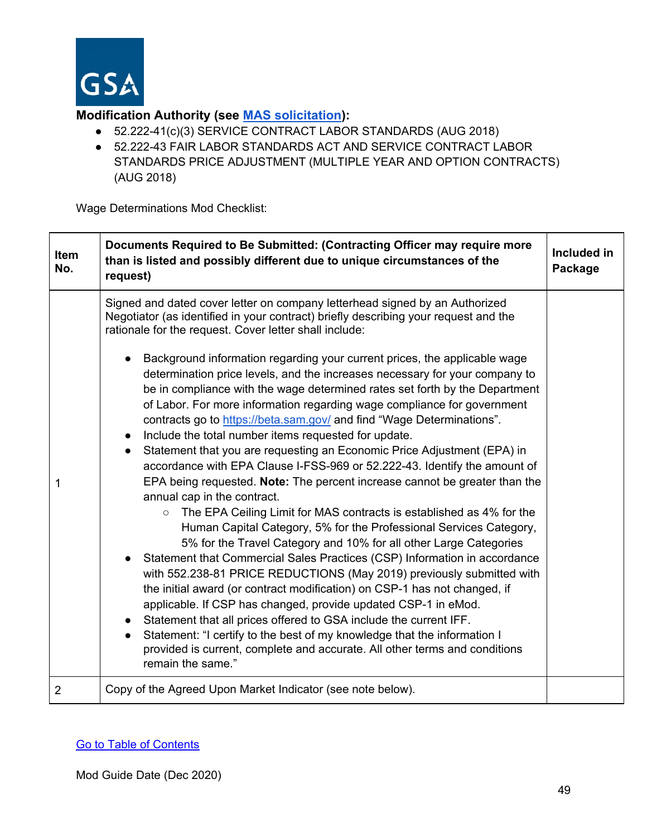

## **Modification Authority (see [MAS solicitation\)](https://beta.sam.gov/opp/9c6569ce85314504b780b8778abde405/view):**

- 52.222-41(c)(3) SERVICE CONTRACT LABOR STANDARDS (AUG 2018)
- 52.222-43 FAIR LABOR STANDARDS ACT AND SERVICE CONTRACT LABOR STANDARDS PRICE ADJUSTMENT (MULTIPLE YEAR AND OPTION CONTRACTS) (AUG 2018)

Wage Determinations Mod Checklist:

| Item<br>No.    | Documents Required to Be Submitted: (Contracting Officer may require more<br>than is listed and possibly different due to unique circumstances of the<br>request)                                                                                                                                                                                                                                                                                                                                                                                                                                                                                                                                                                                                                                                                                                                                                                                                                                                                                                                                                                                                                                                                                                                                                                                                                                                                                                                                                                                      | Included in<br>Package |
|----------------|--------------------------------------------------------------------------------------------------------------------------------------------------------------------------------------------------------------------------------------------------------------------------------------------------------------------------------------------------------------------------------------------------------------------------------------------------------------------------------------------------------------------------------------------------------------------------------------------------------------------------------------------------------------------------------------------------------------------------------------------------------------------------------------------------------------------------------------------------------------------------------------------------------------------------------------------------------------------------------------------------------------------------------------------------------------------------------------------------------------------------------------------------------------------------------------------------------------------------------------------------------------------------------------------------------------------------------------------------------------------------------------------------------------------------------------------------------------------------------------------------------------------------------------------------------|------------------------|
|                | Signed and dated cover letter on company letterhead signed by an Authorized<br>Negotiator (as identified in your contract) briefly describing your request and the<br>rationale for the request. Cover letter shall include:                                                                                                                                                                                                                                                                                                                                                                                                                                                                                                                                                                                                                                                                                                                                                                                                                                                                                                                                                                                                                                                                                                                                                                                                                                                                                                                           |                        |
| 1              | Background information regarding your current prices, the applicable wage<br>determination price levels, and the increases necessary for your company to<br>be in compliance with the wage determined rates set forth by the Department<br>of Labor. For more information regarding wage compliance for government<br>contracts go to https://beta.sam.gov/ and find "Wage Determinations".<br>Include the total number items requested for update.<br>$\bullet$<br>Statement that you are requesting an Economic Price Adjustment (EPA) in<br>$\bullet$<br>accordance with EPA Clause I-FSS-969 or 52.222-43. Identify the amount of<br>EPA being requested. Note: The percent increase cannot be greater than the<br>annual cap in the contract.<br>The EPA Ceiling Limit for MAS contracts is established as 4% for the<br>$\circ$<br>Human Capital Category, 5% for the Professional Services Category,<br>5% for the Travel Category and 10% for all other Large Categories<br>Statement that Commercial Sales Practices (CSP) Information in accordance<br>with 552.238-81 PRICE REDUCTIONS (May 2019) previously submitted with<br>the initial award (or contract modification) on CSP-1 has not changed, if<br>applicable. If CSP has changed, provide updated CSP-1 in eMod.<br>Statement that all prices offered to GSA include the current IFF.<br>Statement: "I certify to the best of my knowledge that the information I<br>$\bullet$<br>provided is current, complete and accurate. All other terms and conditions<br>remain the same." |                        |
| $\overline{2}$ | Copy of the Agreed Upon Market Indicator (see note below).                                                                                                                                                                                                                                                                                                                                                                                                                                                                                                                                                                                                                                                                                                                                                                                                                                                                                                                                                                                                                                                                                                                                                                                                                                                                                                                                                                                                                                                                                             |                        |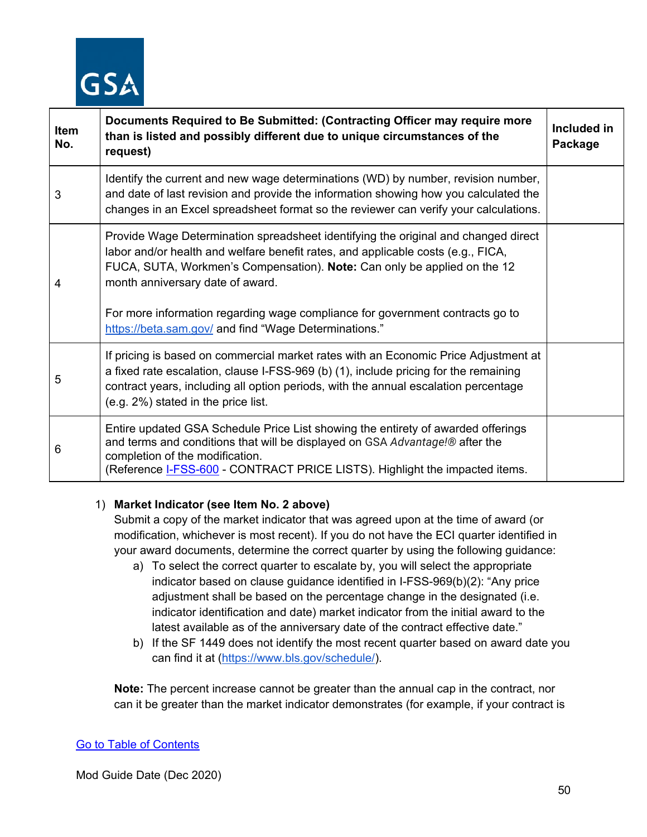

| Item<br>No. | Documents Required to Be Submitted: (Contracting Officer may require more<br>than is listed and possibly different due to unique circumstances of the<br>request)                                                                                                                                                                                                                                                                | Included in<br>Package |
|-------------|----------------------------------------------------------------------------------------------------------------------------------------------------------------------------------------------------------------------------------------------------------------------------------------------------------------------------------------------------------------------------------------------------------------------------------|------------------------|
| 3           | Identify the current and new wage determinations (WD) by number, revision number,<br>and date of last revision and provide the information showing how you calculated the<br>changes in an Excel spreadsheet format so the reviewer can verify your calculations.                                                                                                                                                                |                        |
| 4           | Provide Wage Determination spreadsheet identifying the original and changed direct<br>labor and/or health and welfare benefit rates, and applicable costs (e.g., FICA,<br>FUCA, SUTA, Workmen's Compensation). Note: Can only be applied on the 12<br>month anniversary date of award.<br>For more information regarding wage compliance for government contracts go to<br>https://beta.sam.gov/ and find "Wage Determinations." |                        |
| 5           | If pricing is based on commercial market rates with an Economic Price Adjustment at<br>a fixed rate escalation, clause I-FSS-969 (b) (1), include pricing for the remaining<br>contract years, including all option periods, with the annual escalation percentage<br>(e.g. 2%) stated in the price list.                                                                                                                        |                        |
| 6           | Entire updated GSA Schedule Price List showing the entirety of awarded offerings<br>and terms and conditions that will be displayed on GSA Advantage!® after the<br>completion of the modification.<br>(Reference <b>I-FSS-600</b> - CONTRACT PRICE LISTS). Highlight the impacted items.                                                                                                                                        |                        |

#### 1) **Market Indicator (see Item No. 2 above)**

Submit a copy of the market indicator that was agreed upon at the time of award (or modification, whichever is most recent). If you do not have the ECI quarter identified in your award documents, determine the correct quarter by using the following guidance:

- a) To select the correct quarter to escalate by, you will select the appropriate indicator based on clause guidance identified in I-FSS-969(b)(2): "Any price adjustment shall be based on the percentage change in the designated (i.e. indicator identification and date) market indicator from the initial award to the latest available as of the anniversary date of the contract effective date."
- b) If the SF 1449 does not identify the most recent quarter based on award date you can find it at [\(https://www.bls.gov/schedule/\)](https://www.bls.gov/schedule/).

**Note:** The percent increase cannot be greater than the annual cap in the contract, nor can it be greater than the market indicator demonstrates (for example, if your contract is

#### [Go to Table of Contents](#page-1-0)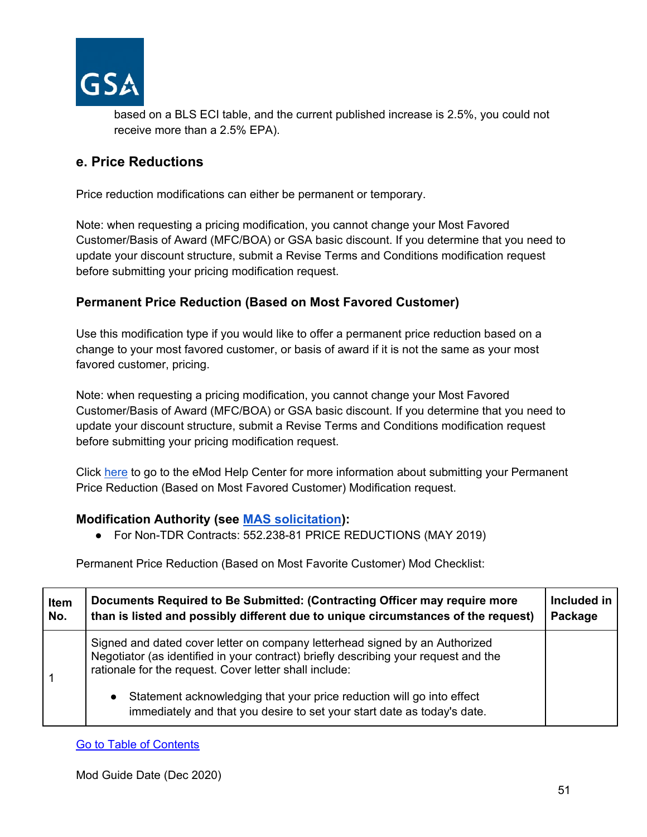

based on a BLS ECI table, and the current published increase is 2.5%, you could not receive more than a 2.5% EPA).

## **e. Price Reductions**

Price reduction modifications can either be permanent or temporary.

Note: when requesting a pricing modification, you cannot change your Most Favored Customer/Basis of Award (MFC/BOA) or GSA basic discount. If you determine that you need to update your discount structure, submit a Revise Terms and Conditions modification request before submitting your pricing modification request.

## **Permanent Price Reduction (Based on Most Favored Customer)**

Use this modification type if you would like to offer a permanent price reduction based on a change to your most favored customer, or basis of award if it is not the same as your most favored customer, pricing.

Note: when requesting a pricing modification, you cannot change your Most Favored Customer/Basis of Award (MFC/BOA) or GSA basic discount. If you determine that you need to update your discount structure, submit a Revise Terms and Conditions modification request before submitting your pricing modification request.

Click [here](https://eoffer.gsa.gov/AMSupport/index.html#book_page_page/modules%2Fbook%2Fdatabase.xml/eoffer_emod/emod-resources/modtypes/pricing-modifications/permanent-price-reduction-based-on-most-favored-customer) to go to the eMod Help Center for more information about submitting your Permanent Price Reduction (Based on Most Favored Customer) Modification request.

#### **Modification Authority (see [MAS solicitation\)](https://beta.sam.gov/opp/9c6569ce85314504b780b8778abde405/view):**

● For Non-TDR Contracts: 552.238-81 PRICE REDUCTIONS (MAY 2019)

Permanent Price Reduction (Based on Most Favorite Customer) Mod Checklist:

| Item | Documents Required to Be Submitted: (Contracting Officer may require more                                                                                                                                                                                                                                                                                                                     | Included in |
|------|-----------------------------------------------------------------------------------------------------------------------------------------------------------------------------------------------------------------------------------------------------------------------------------------------------------------------------------------------------------------------------------------------|-------------|
| No.  | than is listed and possibly different due to unique circumstances of the request)                                                                                                                                                                                                                                                                                                             | Package     |
|      | Signed and dated cover letter on company letterhead signed by an Authorized<br>Negotiator (as identified in your contract) briefly describing your request and the<br>rationale for the request. Cover letter shall include:<br>Statement acknowledging that your price reduction will go into effect<br>$\bullet$<br>immediately and that you desire to set your start date as today's date. |             |

[Go to Table of Contents](#page-1-0)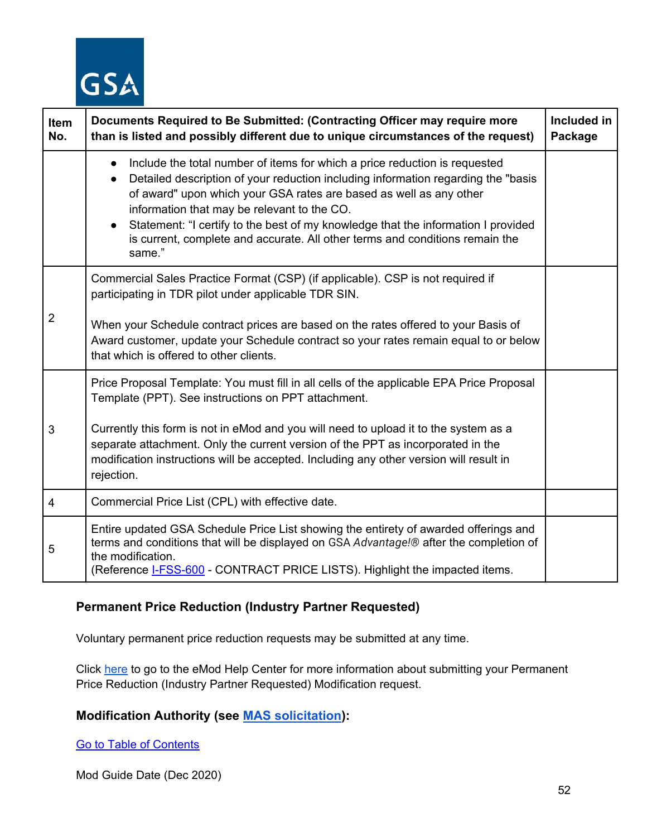

| Item<br>No.    | Documents Required to Be Submitted: (Contracting Officer may require more<br>than is listed and possibly different due to unique circumstances of the request)                                                                                                                                                                                                                                                                                                                                              | Included in<br>Package |
|----------------|-------------------------------------------------------------------------------------------------------------------------------------------------------------------------------------------------------------------------------------------------------------------------------------------------------------------------------------------------------------------------------------------------------------------------------------------------------------------------------------------------------------|------------------------|
|                | Include the total number of items for which a price reduction is requested<br>$\bullet$<br>Detailed description of your reduction including information regarding the "basis"<br>$\bullet$<br>of award" upon which your GSA rates are based as well as any other<br>information that may be relevant to the CO.<br>Statement: "I certify to the best of my knowledge that the information I provided<br>$\bullet$<br>is current, complete and accurate. All other terms and conditions remain the<br>same." |                        |
|                | Commercial Sales Practice Format (CSP) (if applicable). CSP is not required if<br>participating in TDR pilot under applicable TDR SIN.                                                                                                                                                                                                                                                                                                                                                                      |                        |
| $\overline{2}$ | When your Schedule contract prices are based on the rates offered to your Basis of<br>Award customer, update your Schedule contract so your rates remain equal to or below<br>that which is offered to other clients.                                                                                                                                                                                                                                                                                       |                        |
|                | Price Proposal Template: You must fill in all cells of the applicable EPA Price Proposal<br>Template (PPT). See instructions on PPT attachment.                                                                                                                                                                                                                                                                                                                                                             |                        |
| 3              | Currently this form is not in eMod and you will need to upload it to the system as a<br>separate attachment. Only the current version of the PPT as incorporated in the<br>modification instructions will be accepted. Including any other version will result in<br>rejection.                                                                                                                                                                                                                             |                        |
| $\overline{4}$ | Commercial Price List (CPL) with effective date.                                                                                                                                                                                                                                                                                                                                                                                                                                                            |                        |
| 5              | Entire updated GSA Schedule Price List showing the entirety of awarded offerings and<br>terms and conditions that will be displayed on GSA Advantage!® after the completion of<br>the modification.<br>(Reference <b>I-FSS-600</b> - CONTRACT PRICE LISTS). Highlight the impacted items.                                                                                                                                                                                                                   |                        |

## **Permanent Price Reduction (Industry Partner Requested)**

Voluntary permanent price reduction requests may be submitted at any time.

Click [here](https://eoffer.gsa.gov/AMSupport/index.html#book_page_page/modules%2Fbook%2Fdatabase.xml/eoffer_emod/emod-resources/modtypes/pricing-modifications/permanent-price-reduction-industry-partner-requested) to go to the eMod Help Center for more information about submitting your Permanent Price Reduction (Industry Partner Requested) Modification request.

## **Modification Authority (see [MAS solicitation\)](https://beta.sam.gov/opp/9c6569ce85314504b780b8778abde405/view):**

[Go to Table of Contents](#page-1-0)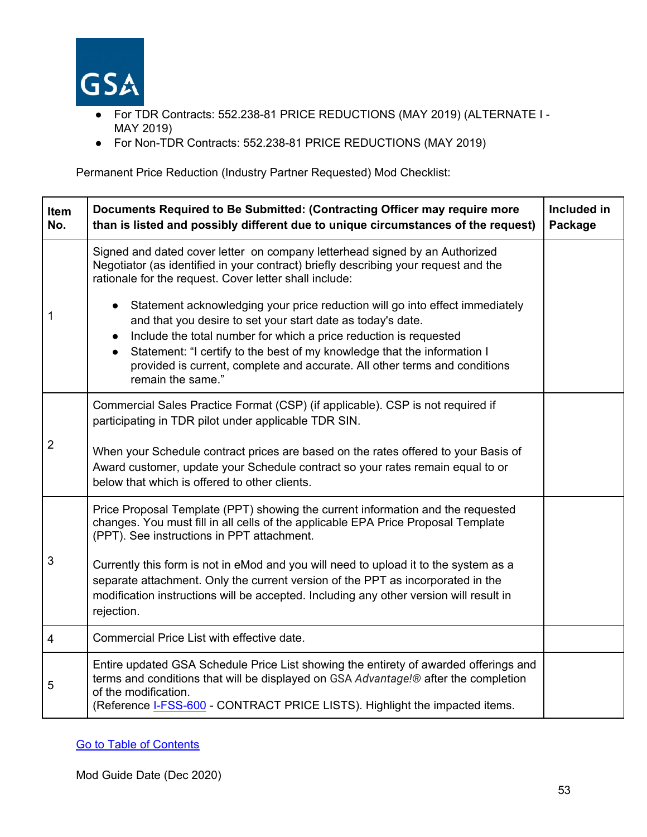

- For TDR Contracts: 552.238-81 PRICE REDUCTIONS (MAY 2019) (ALTERNATE I MAY 2019)
- For Non-TDR Contracts: 552.238-81 PRICE REDUCTIONS (MAY 2019)

Permanent Price Reduction (Industry Partner Requested) Mod Checklist:

| Item<br>No.    | Documents Required to Be Submitted: (Contracting Officer may require more<br>than is listed and possibly different due to unique circumstances of the request)                                                                                                                                                                                                                                                                                                                                                                                                                                                                                    | Included in<br>Package |
|----------------|---------------------------------------------------------------------------------------------------------------------------------------------------------------------------------------------------------------------------------------------------------------------------------------------------------------------------------------------------------------------------------------------------------------------------------------------------------------------------------------------------------------------------------------------------------------------------------------------------------------------------------------------------|------------------------|
| 1              | Signed and dated cover letter on company letterhead signed by an Authorized<br>Negotiator (as identified in your contract) briefly describing your request and the<br>rationale for the request. Cover letter shall include:<br>Statement acknowledging your price reduction will go into effect immediately<br>$\bullet$<br>and that you desire to set your start date as today's date.<br>Include the total number for which a price reduction is requested<br>$\bullet$<br>Statement: "I certify to the best of my knowledge that the information I<br>$\bullet$<br>provided is current, complete and accurate. All other terms and conditions |                        |
|                | remain the same."                                                                                                                                                                                                                                                                                                                                                                                                                                                                                                                                                                                                                                 |                        |
|                | Commercial Sales Practice Format (CSP) (if applicable). CSP is not required if<br>participating in TDR pilot under applicable TDR SIN.                                                                                                                                                                                                                                                                                                                                                                                                                                                                                                            |                        |
| $\overline{2}$ | When your Schedule contract prices are based on the rates offered to your Basis of<br>Award customer, update your Schedule contract so your rates remain equal to or<br>below that which is offered to other clients.                                                                                                                                                                                                                                                                                                                                                                                                                             |                        |
|                | Price Proposal Template (PPT) showing the current information and the requested<br>changes. You must fill in all cells of the applicable EPA Price Proposal Template<br>(PPT). See instructions in PPT attachment.                                                                                                                                                                                                                                                                                                                                                                                                                                |                        |
| 3              | Currently this form is not in eMod and you will need to upload it to the system as a<br>separate attachment. Only the current version of the PPT as incorporated in the<br>modification instructions will be accepted. Including any other version will result in<br>rejection.                                                                                                                                                                                                                                                                                                                                                                   |                        |
| $\overline{4}$ | Commercial Price List with effective date.                                                                                                                                                                                                                                                                                                                                                                                                                                                                                                                                                                                                        |                        |
| 5              | Entire updated GSA Schedule Price List showing the entirety of awarded offerings and<br>terms and conditions that will be displayed on GSA Advantage!® after the completion<br>of the modification.<br>(Reference <b>I-FSS-600</b> - CONTRACT PRICE LISTS). Highlight the impacted items.                                                                                                                                                                                                                                                                                                                                                         |                        |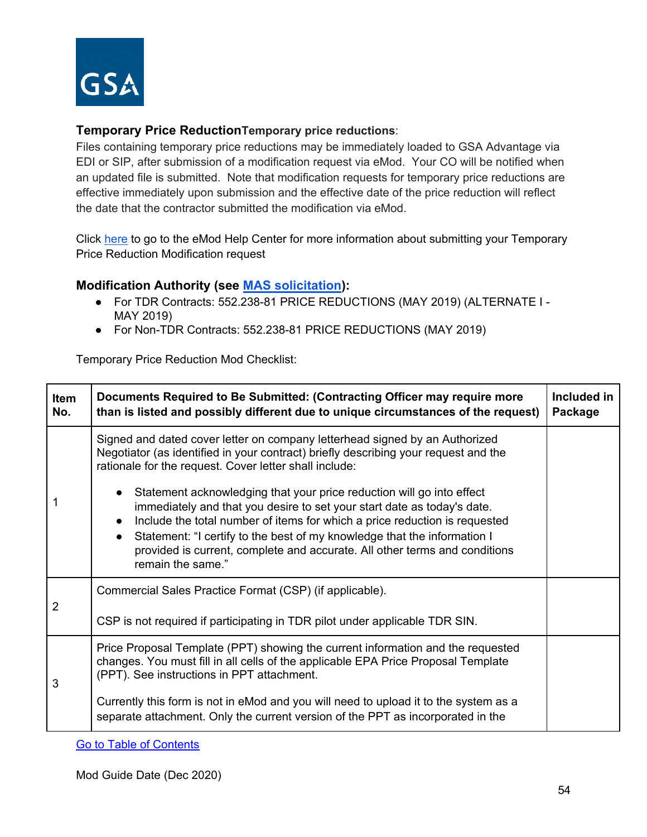

#### **Temporary Price ReductionTemporary price reductions**:

Files containing temporary price reductions may be immediately loaded to GSA Advantage via EDI or SIP, after submission of a modification request via eMod. Your CO will be notified when an updated file is submitted. Note that modification requests for temporary price reductions are effective immediately upon submission and the effective date of the price reduction will reflect the date that the contractor submitted the modification via eMod.

Click [here](https://eoffer.gsa.gov/AMSupport/index.html#book_page_page/modules%2Fbook%2Fdatabase.xml/eoffer_emod/emod-resources/modtypes/pricing-modifications/temporary-price-reduction) to go to the eMod Help Center for more information about submitting your Temporary Price Reduction Modification request

#### **Modification Authority (see [MAS solicitation\)](https://beta.sam.gov/opp/9c6569ce85314504b780b8778abde405/view):**

- For TDR Contracts: 552.238-81 PRICE REDUCTIONS (MAY 2019) (ALTERNATE I MAY 2019)
- For Non-TDR Contracts: 552.238-81 PRICE REDUCTIONS (MAY 2019)

Temporary Price Reduction Mod Checklist:

| Item<br>No.    | Documents Required to Be Submitted: (Contracting Officer may require more<br>than is listed and possibly different due to unique circumstances of the request)                                                                                                                                                                                                                                                                                                                                                                                                                                                                                                                       | Included in<br>Package |
|----------------|--------------------------------------------------------------------------------------------------------------------------------------------------------------------------------------------------------------------------------------------------------------------------------------------------------------------------------------------------------------------------------------------------------------------------------------------------------------------------------------------------------------------------------------------------------------------------------------------------------------------------------------------------------------------------------------|------------------------|
|                | Signed and dated cover letter on company letterhead signed by an Authorized<br>Negotiator (as identified in your contract) briefly describing your request and the<br>rationale for the request. Cover letter shall include:<br>Statement acknowledging that your price reduction will go into effect<br>$\bullet$<br>immediately and that you desire to set your start date as today's date.<br>Include the total number of items for which a price reduction is requested<br>$\bullet$<br>Statement: "I certify to the best of my knowledge that the information I<br>$\bullet$<br>provided is current, complete and accurate. All other terms and conditions<br>remain the same." |                        |
| $\overline{2}$ | Commercial Sales Practice Format (CSP) (if applicable).<br>CSP is not required if participating in TDR pilot under applicable TDR SIN.                                                                                                                                                                                                                                                                                                                                                                                                                                                                                                                                               |                        |
| 3              | Price Proposal Template (PPT) showing the current information and the requested<br>changes. You must fill in all cells of the applicable EPA Price Proposal Template<br>(PPT). See instructions in PPT attachment.<br>Currently this form is not in eMod and you will need to upload it to the system as a<br>separate attachment. Only the current version of the PPT as incorporated in the                                                                                                                                                                                                                                                                                        |                        |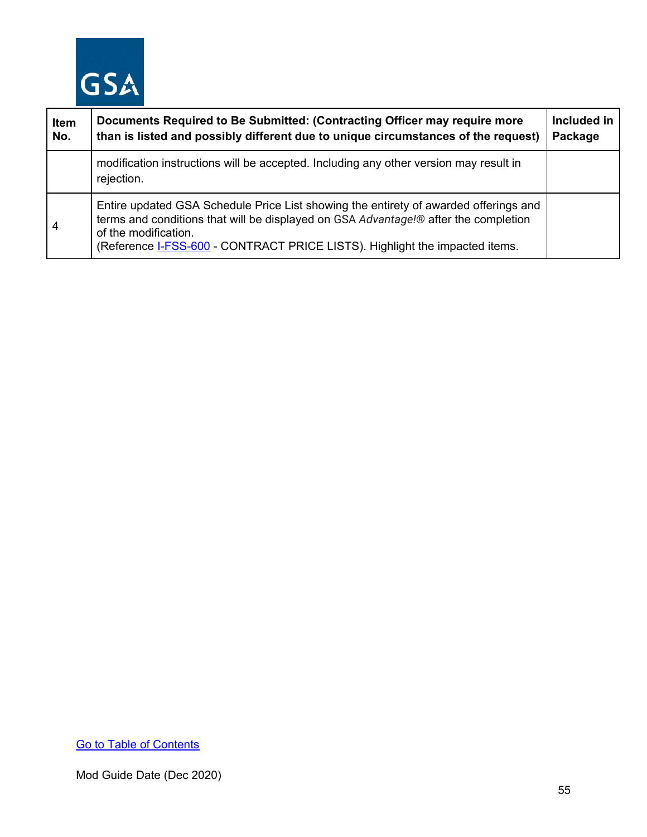

| Item<br>No. | Documents Required to Be Submitted: (Contracting Officer may require more<br>than is listed and possibly different due to unique circumstances of the request)                                                                                                                     | Included in<br>Package |
|-------------|------------------------------------------------------------------------------------------------------------------------------------------------------------------------------------------------------------------------------------------------------------------------------------|------------------------|
|             | modification instructions will be accepted. Including any other version may result in<br>rejection.                                                                                                                                                                                |                        |
| 4           | Entire updated GSA Schedule Price List showing the entirety of awarded offerings and<br>terms and conditions that will be displayed on GSA Advantage!® after the completion<br>of the modification.<br>(Reference I-FSS-600 - CONTRACT PRICE LISTS). Highlight the impacted items. |                        |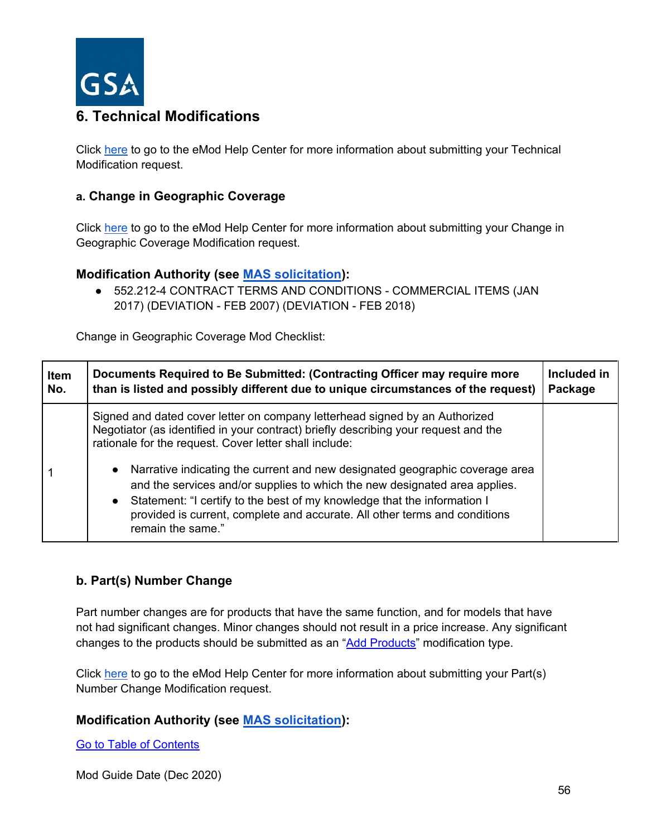

# **6. Technical Modifications**

Click [here](https://eoffer.gsa.gov/AMSupport/index.html#book_page_page/modules%2Fbook%2Fdatabase.xml/eoffer_emod/emod-resources/modtypes/technical-modifications/technical-modifications-overview) to go to the eMod Help Center for more information about submitting your Technical Modification request.

#### **a. Change in Geographic Coverage**

Click [here](https://eoffer.gsa.gov/AMSupport/index.html#book_page_page/modules%2Fbook%2Fdatabase.xml/eoffer_emod/emod-resources/modtypes/technical-modifications/change-in-geographic-coverage-scope) to go to the eMod Help Center for more information about submitting your Change in Geographic Coverage Modification request.

## **Modification Authority (see [MAS solicitation\)](https://beta.sam.gov/opp/9c6569ce85314504b780b8778abde405/view):**

● 552.212-4 CONTRACT TERMS AND CONDITIONS - COMMERCIAL ITEMS (JAN 2017) (DEVIATION - FEB 2007) (DEVIATION - FEB 2018)

Change in Geographic Coverage Mod Checklist:

| <b>Item</b> | Documents Required to Be Submitted: (Contracting Officer may require more                                                                                                                                                                                                                                                                                                                                                                                                                                                                                                                | Included in |
|-------------|------------------------------------------------------------------------------------------------------------------------------------------------------------------------------------------------------------------------------------------------------------------------------------------------------------------------------------------------------------------------------------------------------------------------------------------------------------------------------------------------------------------------------------------------------------------------------------------|-------------|
| No.         | than is listed and possibly different due to unique circumstances of the request)                                                                                                                                                                                                                                                                                                                                                                                                                                                                                                        | Package     |
|             | Signed and dated cover letter on company letterhead signed by an Authorized<br>Negotiator (as identified in your contract) briefly describing your request and the<br>rationale for the request. Cover letter shall include:<br>Narrative indicating the current and new designated geographic coverage area<br>$\bullet$<br>and the services and/or supplies to which the new designated area applies.<br>• Statement: "I certify to the best of my knowledge that the information I<br>provided is current, complete and accurate. All other terms and conditions<br>remain the same." |             |

## **b. Part(s) Number Change**

Part number changes are for products that have the same function, and for models that have not had significant changes. Minor changes should not result in a price increase. Any significant changes to the products should be submitted as an ["Add Products"](#page-20-0) modification type.

Click [here](https://eoffer.gsa.gov/AMSupport/index.html#book_page_page/modules%2Fbook%2Fdatabase.xml/eoffer_emod/emod-resources/modtypes/technical-modifications/part-s-number-change) to go to the eMod Help Center for more information about submitting your Part(s) Number Change Modification request.

#### **Modification Authority (see [MAS solicitation\)](https://beta.sam.gov/opp/9c6569ce85314504b780b8778abde405/view):**

[Go to Table of Contents](#page-1-0)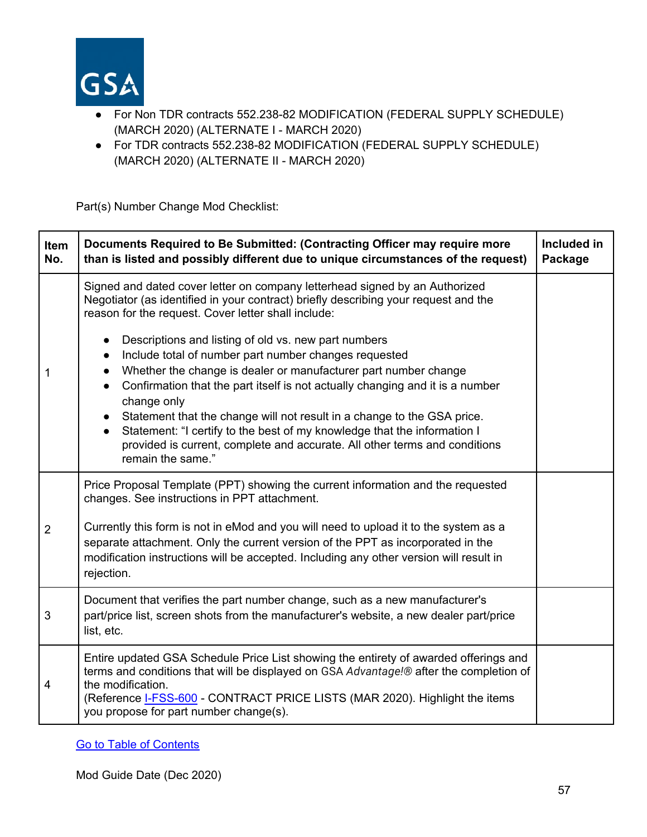

- For Non TDR contracts 552.238-82 MODIFICATION (FEDERAL SUPPLY SCHEDULE) (MARCH 2020) (ALTERNATE I - MARCH 2020)
- For TDR contracts 552.238-82 MODIFICATION (FEDERAL SUPPLY SCHEDULE) (MARCH 2020) (ALTERNATE II - MARCH 2020)

Part(s) Number Change Mod Checklist:

| Item<br>No.    | Documents Required to Be Submitted: (Contracting Officer may require more<br>than is listed and possibly different due to unique circumstances of the request)                                                                                                                                                                                                                                                                                                                                                                                          | Included in<br>Package |
|----------------|---------------------------------------------------------------------------------------------------------------------------------------------------------------------------------------------------------------------------------------------------------------------------------------------------------------------------------------------------------------------------------------------------------------------------------------------------------------------------------------------------------------------------------------------------------|------------------------|
|                | Signed and dated cover letter on company letterhead signed by an Authorized<br>Negotiator (as identified in your contract) briefly describing your request and the<br>reason for the request. Cover letter shall include:                                                                                                                                                                                                                                                                                                                               |                        |
| $\mathbf 1$    | Descriptions and listing of old vs. new part numbers<br>$\bullet$<br>Include total of number part number changes requested<br>Whether the change is dealer or manufacturer part number change<br>Confirmation that the part itself is not actually changing and it is a number<br>change only<br>Statement that the change will not result in a change to the GSA price.<br>Statement: "I certify to the best of my knowledge that the information I<br>provided is current, complete and accurate. All other terms and conditions<br>remain the same." |                        |
|                | Price Proposal Template (PPT) showing the current information and the requested<br>changes. See instructions in PPT attachment.                                                                                                                                                                                                                                                                                                                                                                                                                         |                        |
| $\overline{2}$ | Currently this form is not in eMod and you will need to upload it to the system as a<br>separate attachment. Only the current version of the PPT as incorporated in the<br>modification instructions will be accepted. Including any other version will result in<br>rejection.                                                                                                                                                                                                                                                                         |                        |
| $\mathbf{3}$   | Document that verifies the part number change, such as a new manufacturer's<br>part/price list, screen shots from the manufacturer's website, a new dealer part/price<br>list, etc.                                                                                                                                                                                                                                                                                                                                                                     |                        |
| 4              | Entire updated GSA Schedule Price List showing the entirety of awarded offerings and<br>terms and conditions that will be displayed on GSA Advantage!® after the completion of<br>the modification.<br>(Reference <b>I-FSS-600</b> - CONTRACT PRICE LISTS (MAR 2020). Highlight the items<br>you propose for part number change(s).                                                                                                                                                                                                                     |                        |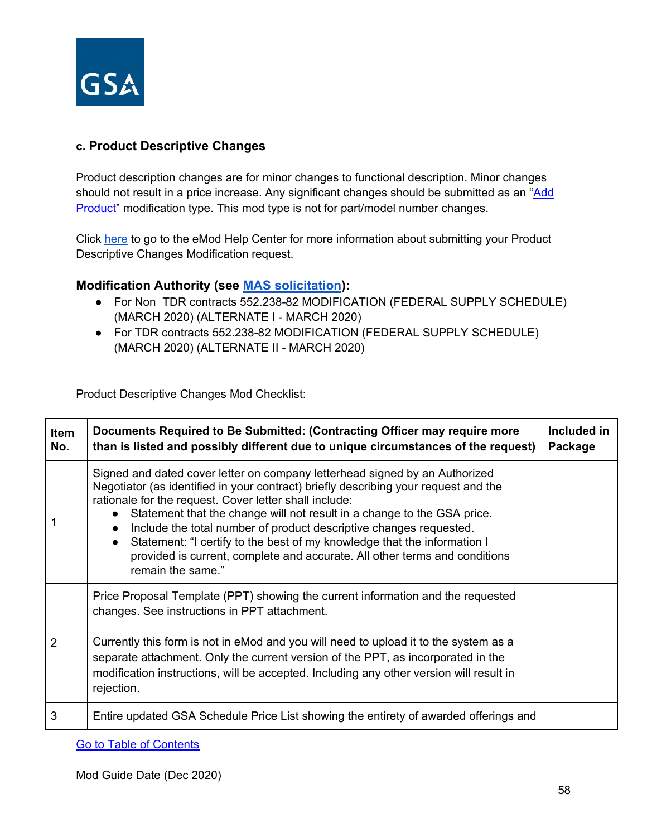

#### **c. Product Descriptive Changes**

Product description changes are for minor changes to functional description. Minor changes should not result in a price increase. Any significant changes should be submitted as an "Add [Product"](#page-20-0) modification type. This mod type is not for part/model number changes.

Click [here](https://eoffer.gsa.gov/AMSupport/index.html#book_page_page/modules%2Fbook%2Fdatabase.xml/eoffer_emod/emod-resources/modtypes/technical-modifications/product-descriptive-change) to go to the eMod Help Center for more information about submitting your Product Descriptive Changes Modification request.

#### **Modification Authority (see [MAS solicitation\)](https://beta.sam.gov/opp/9c6569ce85314504b780b8778abde405/view):**

- For Non TDR contracts 552.238-82 MODIFICATION (FEDERAL SUPPLY SCHEDULE) (MARCH 2020) (ALTERNATE I - MARCH 2020)
- For TDR contracts 552.238-82 MODIFICATION (FEDERAL SUPPLY SCHEDULE) (MARCH 2020) (ALTERNATE II - MARCH 2020)

Product Descriptive Changes Mod Checklist:

| Item<br>No.    | Documents Required to Be Submitted: (Contracting Officer may require more<br>than is listed and possibly different due to unique circumstances of the request)                                                                                                                                                                                                                                                                                                                                                                                                                                      | Included in<br>Package |
|----------------|-----------------------------------------------------------------------------------------------------------------------------------------------------------------------------------------------------------------------------------------------------------------------------------------------------------------------------------------------------------------------------------------------------------------------------------------------------------------------------------------------------------------------------------------------------------------------------------------------------|------------------------|
|                | Signed and dated cover letter on company letterhead signed by an Authorized<br>Negotiator (as identified in your contract) briefly describing your request and the<br>rationale for the request. Cover letter shall include:<br>Statement that the change will not result in a change to the GSA price.<br>$\bullet$<br>Include the total number of product descriptive changes requested.<br>$\bullet$<br>Statement: "I certify to the best of my knowledge that the information I<br>$\bullet$<br>provided is current, complete and accurate. All other terms and conditions<br>remain the same." |                        |
|                | Price Proposal Template (PPT) showing the current information and the requested<br>changes. See instructions in PPT attachment.                                                                                                                                                                                                                                                                                                                                                                                                                                                                     |                        |
| $\overline{2}$ | Currently this form is not in eMod and you will need to upload it to the system as a<br>separate attachment. Only the current version of the PPT, as incorporated in the<br>modification instructions, will be accepted. Including any other version will result in<br>rejection.                                                                                                                                                                                                                                                                                                                   |                        |
| 3              | Entire updated GSA Schedule Price List showing the entirety of awarded offerings and                                                                                                                                                                                                                                                                                                                                                                                                                                                                                                                |                        |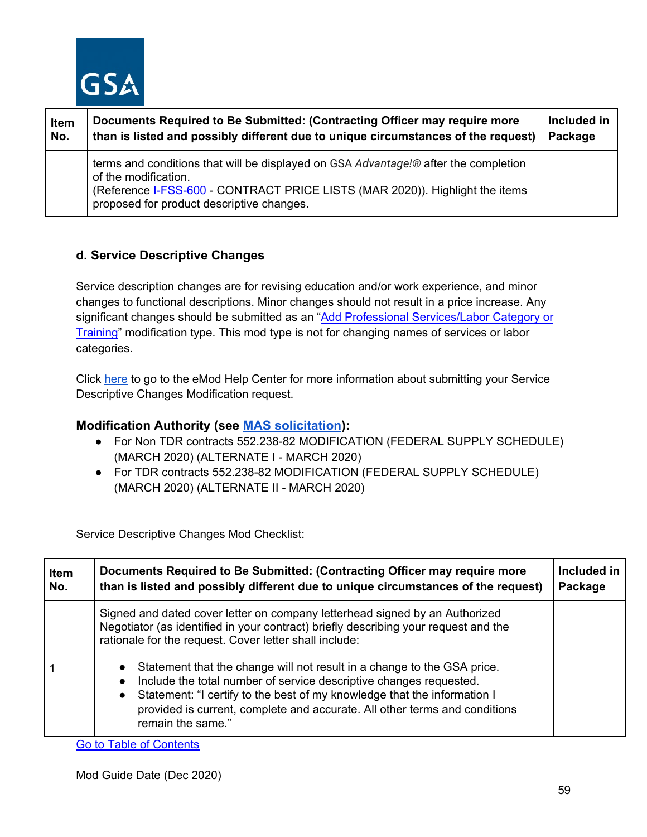

| Item | Documents Required to Be Submitted: (Contracting Officer may require more                                                                                                                                                                | Included in |
|------|------------------------------------------------------------------------------------------------------------------------------------------------------------------------------------------------------------------------------------------|-------------|
| No.  | than is listed and possibly different due to unique circumstances of the request)                                                                                                                                                        | Package     |
|      | terms and conditions that will be displayed on GSA Advantage!® after the completion<br>of the modification.<br>(Reference I-FSS-600 - CONTRACT PRICE LISTS (MAR 2020)). Highlight the items<br>proposed for product descriptive changes. |             |

## **d. Service Descriptive Changes**

Service description changes are for revising education and/or work experience, and minor changes to functional descriptions. Minor changes should not result in a price increase. Any significant changes should be submitted as an "Add Professional Services/Labor Category or [Training"](#page-13-0) modification type. This mod type is not for changing names of services or labor categories.

Click [here](https://eoffer.gsa.gov/AMSupport/index.html#book_page_page/modules%2Fbook%2Fdatabase.xml/eoffer_emod/emod-resources/modtypes/technical-modifications/service-descriptive-change) to go to the eMod Help Center for more information about submitting your Service Descriptive Changes Modification request.

## **Modification Authority (see [MAS solicitation\)](https://beta.sam.gov/opp/9c6569ce85314504b780b8778abde405/view):**

- For Non TDR contracts 552.238-82 MODIFICATION (FEDERAL SUPPLY SCHEDULE) (MARCH 2020) (ALTERNATE I - MARCH 2020)
- For TDR contracts 552.238-82 MODIFICATION (FEDERAL SUPPLY SCHEDULE) (MARCH 2020) (ALTERNATE II - MARCH 2020)

Service Descriptive Changes Mod Checklist:

| <b>Item</b> | Documents Required to Be Submitted: (Contracting Officer may require more                                                                                                                                                                                                                                                                                                                                                                                                                                                                                                                           | Included in |
|-------------|-----------------------------------------------------------------------------------------------------------------------------------------------------------------------------------------------------------------------------------------------------------------------------------------------------------------------------------------------------------------------------------------------------------------------------------------------------------------------------------------------------------------------------------------------------------------------------------------------------|-------------|
| No.         | than is listed and possibly different due to unique circumstances of the request)                                                                                                                                                                                                                                                                                                                                                                                                                                                                                                                   | Package     |
|             | Signed and dated cover letter on company letterhead signed by an Authorized<br>Negotiator (as identified in your contract) briefly describing your request and the<br>rationale for the request. Cover letter shall include:<br>Statement that the change will not result in a change to the GSA price.<br>$\bullet$<br>Include the total number of service descriptive changes requested.<br>$\bullet$<br>Statement: "I certify to the best of my knowledge that the information I<br>$\bullet$<br>provided is current, complete and accurate. All other terms and conditions<br>remain the same." |             |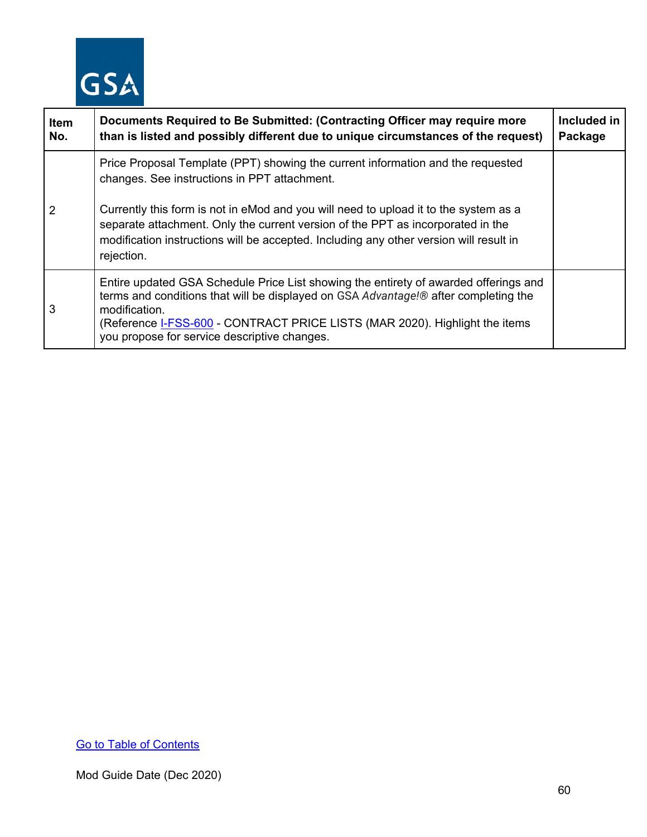

| Item<br>No.    | Documents Required to Be Submitted: (Contracting Officer may require more<br>than is listed and possibly different due to unique circumstances of the request)                                                                                                                                                                     | Included in<br>Package |
|----------------|------------------------------------------------------------------------------------------------------------------------------------------------------------------------------------------------------------------------------------------------------------------------------------------------------------------------------------|------------------------|
|                | Price Proposal Template (PPT) showing the current information and the requested<br>changes. See instructions in PPT attachment.                                                                                                                                                                                                    |                        |
| $\overline{2}$ | Currently this form is not in eMod and you will need to upload it to the system as a<br>separate attachment. Only the current version of the PPT as incorporated in the<br>modification instructions will be accepted. Including any other version will result in<br>rejection.                                                    |                        |
| 3              | Entire updated GSA Schedule Price List showing the entirety of awarded offerings and<br>terms and conditions that will be displayed on GSA Advantage!® after completing the<br>modification.<br>(Reference <b>I-FSS-600</b> - CONTRACT PRICE LISTS (MAR 2020). Highlight the items<br>you propose for service descriptive changes. |                        |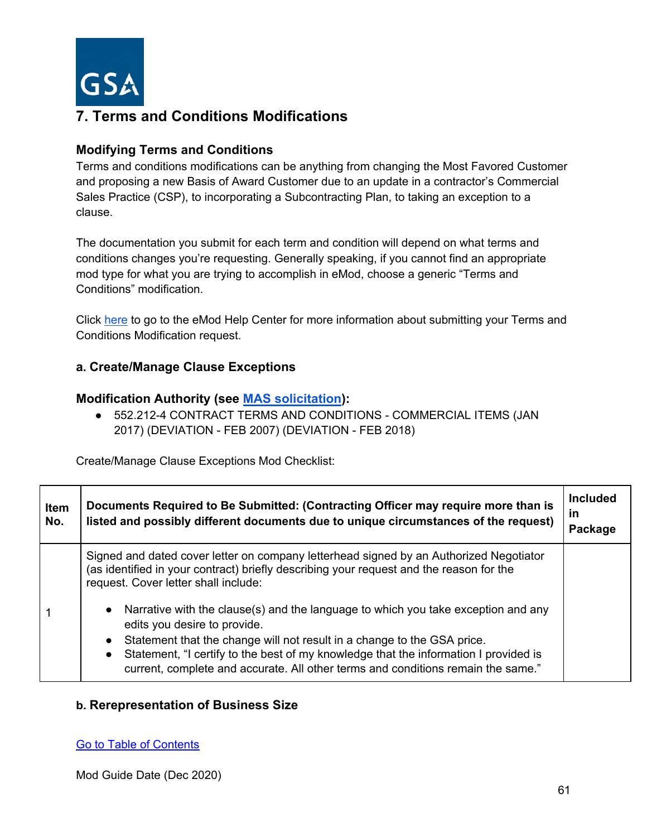

# **7. Terms and Conditions Modifications**

#### **Modifying Terms and Conditions**

Terms and conditions modifications can be anything from changing the Most Favored Customer and proposing a new Basis of Award Customer due to an update in a contractor's Commercial Sales Practice (CSP), to incorporating a Subcontracting Plan, to taking an exception to a clause.

The documentation you submit for each term and condition will depend on what terms and conditions changes you're requesting. Generally speaking, if you cannot find an appropriate mod type for what you are trying to accomplish in eMod, choose a generic "Terms and Conditions" modification.

Click [here](https://eoffer.gsa.gov/AMSupport/index.html#book_page_page/modules%2Fbook%2Fdatabase.xml/eoffer_emod/emod-resources/modtypes/terms-and-conditions-modifications/terms-and-conditions-modifications-overview) to go to the eMod Help Center for more information about submitting your Terms and Conditions Modification request.

#### **a. Create/Manage Clause Exceptions**

#### **Modification Authority (see [MAS solicitation\)](https://beta.sam.gov/opp/9c6569ce85314504b780b8778abde405/view):**

● 552.212-4 CONTRACT TERMS AND CONDITIONS - COMMERCIAL ITEMS (JAN 2017) (DEVIATION - FEB 2007) (DEVIATION - FEB 2018)

Create/Manage Clause Exceptions Mod Checklist:

| Item<br>No. | Documents Required to Be Submitted: (Contracting Officer may require more than is<br>listed and possibly different documents due to unique circumstances of the request)                                                                                                                                                                                                                                                                                                                                                                                                                                           | <b>Included</b><br><u>in</u><br>Package |
|-------------|--------------------------------------------------------------------------------------------------------------------------------------------------------------------------------------------------------------------------------------------------------------------------------------------------------------------------------------------------------------------------------------------------------------------------------------------------------------------------------------------------------------------------------------------------------------------------------------------------------------------|-----------------------------------------|
|             | Signed and dated cover letter on company letterhead signed by an Authorized Negotiator<br>(as identified in your contract) briefly describing your request and the reason for the<br>request. Cover letter shall include:<br>Narrative with the clause(s) and the language to which you take exception and any<br>edits you desire to provide.<br>Statement that the change will not result in a change to the GSA price.<br>Statement, "I certify to the best of my knowledge that the information I provided is<br>$\bullet$<br>current, complete and accurate. All other terms and conditions remain the same." |                                         |

#### **b. Rerepresentation of Business Size**

#### [Go to Table of Contents](#page-1-0)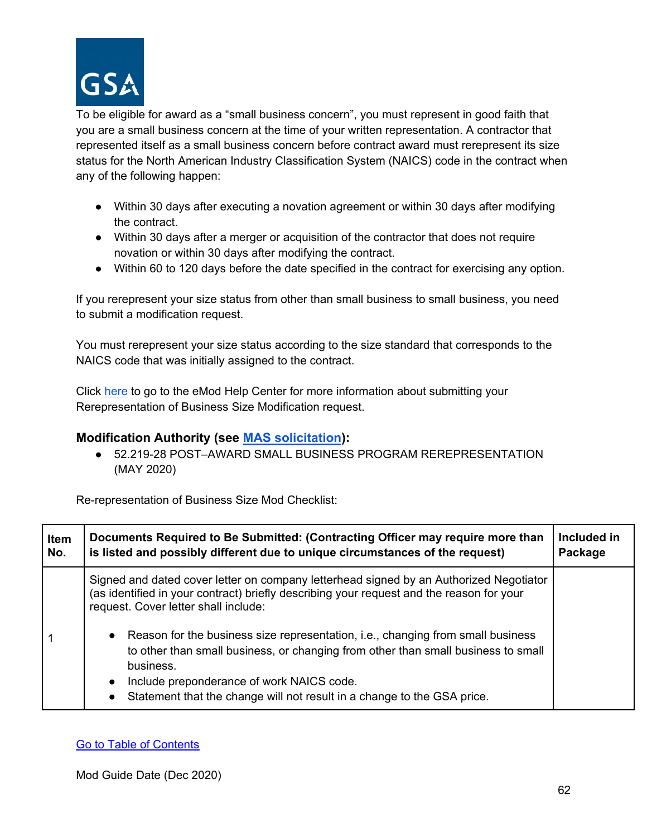

To be eligible for award as a "small business concern", you must represent in good faith that you are a small business concern at the time of your written representation. A contractor that represented itself as a small business concern before contract award must rerepresent its size status for the North American Industry Classification System (NAICS) code in the contract when any of the following happen:

- Within 30 days after executing a novation agreement or within 30 days after modifying the contract.
- Within 30 days after a merger or acquisition of the contractor that does not require novation or within 30 days after modifying the contract.
- Within 60 to 120 days before the date specified in the contract for exercising any option.

If you rerepresent your size status from other than small business to small business, you need to submit a modification request.

You must rerepresent your size status according to the size standard that corresponds to the NAICS code that was initially assigned to the contract.

Click [here](https://eoffer.gsa.gov/AMSupport/index.html#book_page_page/modules%2Fbook%2Fdatabase.xml/eoffer_emod/emod-resources/modtypes/terms-and-conditions-modifications/re-representation-of-business-size) to go to the eMod Help Center for more information about submitting your Rerepresentation of Business Size Modification request.

## **Modification Authority (see [MAS solicitation\)](https://beta.sam.gov/opp/9c6569ce85314504b780b8778abde405/view):**

● 52.219-28 POST–AWARD SMALL BUSINESS PROGRAM REREPRESENTATION (MAY 2020)

Re-representation of Business Size Mod Checklist:

| Item | Documents Required to Be Submitted: (Contracting Officer may require more than                                                                                                                                                                                                                                                                                                                                                                                                                                                          | Included in |
|------|-----------------------------------------------------------------------------------------------------------------------------------------------------------------------------------------------------------------------------------------------------------------------------------------------------------------------------------------------------------------------------------------------------------------------------------------------------------------------------------------------------------------------------------------|-------------|
| No.  | is listed and possibly different due to unique circumstances of the request)                                                                                                                                                                                                                                                                                                                                                                                                                                                            | Package     |
|      | Signed and dated cover letter on company letterhead signed by an Authorized Negotiator<br>(as identified in your contract) briefly describing your request and the reason for your<br>request. Cover letter shall include:<br>Reason for the business size representation, i.e., changing from small business<br>to other than small business, or changing from other than small business to small<br>business.<br>Include preponderance of work NAICS code.<br>Statement that the change will not result in a change to the GSA price. |             |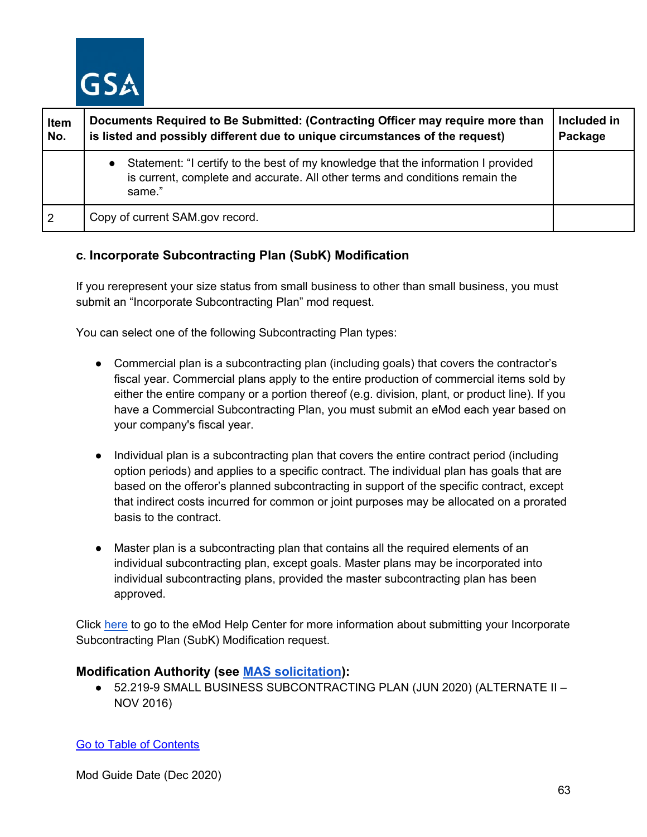

| Item<br>No.    | Documents Required to Be Submitted: (Contracting Officer may require more than<br>is listed and possibly different due to unique circumstances of the request)                           | Included in<br>Package |
|----------------|------------------------------------------------------------------------------------------------------------------------------------------------------------------------------------------|------------------------|
|                | Statement: "I certify to the best of my knowledge that the information I provided<br>$\bullet$<br>is current, complete and accurate. All other terms and conditions remain the<br>same." |                        |
| $\overline{2}$ | Copy of current SAM.gov record.                                                                                                                                                          |                        |

## **c. Incorporate Subcontracting Plan (SubK) Modification**

If you rerepresent your size status from small business to other than small business, you must submit an "Incorporate Subcontracting Plan" mod request.

You can select one of the following Subcontracting Plan types:

- Commercial plan is a subcontracting plan (including goals) that covers the contractor's fiscal year. Commercial plans apply to the entire production of commercial items sold by either the entire company or a portion thereof (e.g. division, plant, or product line). If you have a Commercial Subcontracting Plan, you must submit an eMod each year based on your company's fiscal year.
- Individual plan is a subcontracting plan that covers the entire contract period (including option periods) and applies to a specific contract. The individual plan has goals that are based on the offeror's planned subcontracting in support of the specific contract, except that indirect costs incurred for common or joint purposes may be allocated on a prorated basis to the contract.
- Master plan is a subcontracting plan that contains all the required elements of an individual subcontracting plan, except goals. Master plans may be incorporated into individual subcontracting plans, provided the master subcontracting plan has been approved.

Click [here](https://eoffer.gsa.gov/AMSupport/index.html#book_page_page/modules%2Fbook%2Fdatabase.xml/eoffer_emod/emod-resources/modtypes/terms-and-conditions-modifications/subcontracting-modification) to go to the eMod Help Center for more information about submitting your Incorporate Subcontracting Plan (SubK) Modification request.

#### **Modification Authority (see [MAS solicitation\)](https://beta.sam.gov/opp/9c6569ce85314504b780b8778abde405/view):**

● 52.219-9 SMALL BUSINESS SUBCONTRACTING PLAN (JUN 2020) (ALTERNATE II – NOV 2016)

[Go to Table of Contents](#page-1-0)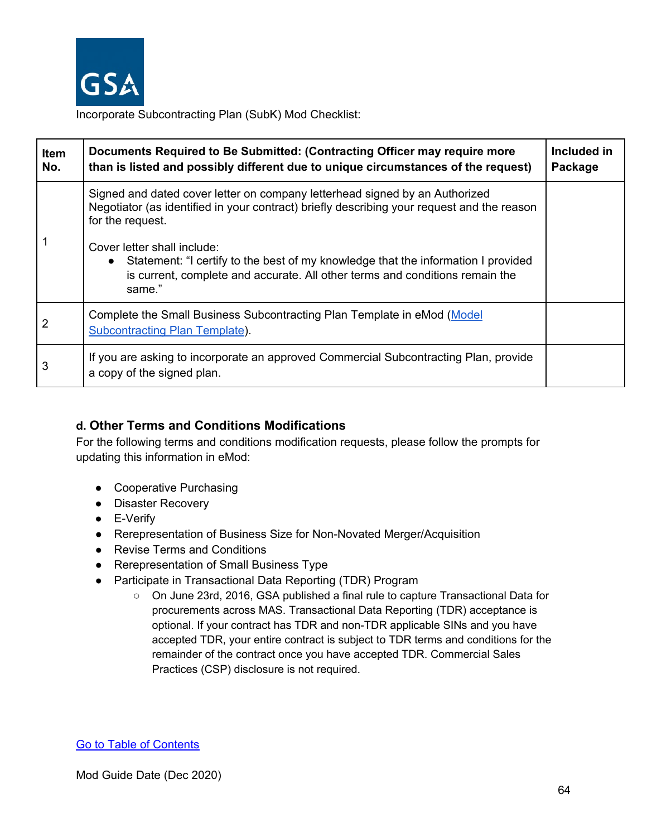

Incorporate Subcontracting Plan (SubK) Mod Checklist:

| <b>Item</b><br>No. | Documents Required to Be Submitted: (Contracting Officer may require more<br>than is listed and possibly different due to unique circumstances of the request)                                                          | Included in<br>Package |
|--------------------|-------------------------------------------------------------------------------------------------------------------------------------------------------------------------------------------------------------------------|------------------------|
|                    | Signed and dated cover letter on company letterhead signed by an Authorized<br>Negotiator (as identified in your contract) briefly describing your request and the reason<br>for the request.                           |                        |
|                    | Cover letter shall include:<br>Statement: "I certify to the best of my knowledge that the information I provided<br>$\bullet$<br>is current, complete and accurate. All other terms and conditions remain the<br>same." |                        |
|                    | Complete the Small Business Subcontracting Plan Template in eMod (Model<br><b>Subcontracting Plan Template).</b>                                                                                                        |                        |
| 3                  | If you are asking to incorporate an approved Commercial Subcontracting Plan, provide<br>a copy of the signed plan.                                                                                                      |                        |

## **d. Other Terms and Conditions Modifications**

For the following terms and conditions modification requests, please follow the prompts for updating this information in eMod:

- Cooperative Purchasing
- Disaster Recovery
- E-Verify
- Rerepresentation of Business Size for Non-Novated Merger/Acquisition
- Revise Terms and Conditions
- Rerepresentation of Small Business Type
- Participate in Transactional Data Reporting (TDR) Program
	- On June 23rd, 2016, GSA published a final rule to capture Transactional Data for procurements across MAS. Transactional Data Reporting (TDR) acceptance is optional. If your contract has TDR and non-TDR applicable SINs and you have accepted TDR, your entire contract is subject to TDR terms and conditions for the remainder of the contract once you have accepted TDR. Commercial Sales Practices (CSP) disclosure is not required.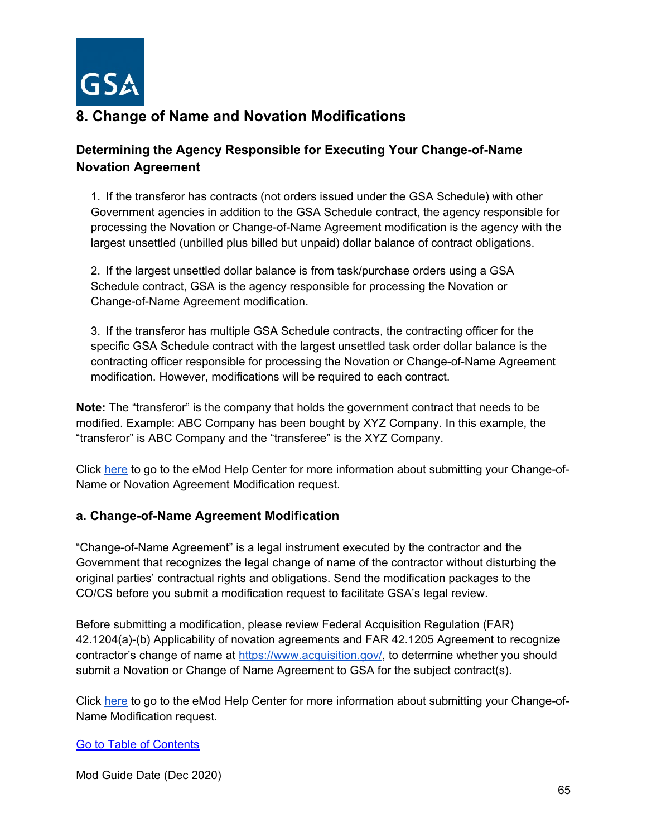

# **8. Change of Name and Novation Modifications**

## **Determining the Agency Responsible for Executing Your Change-of-Name Novation Agreement**

1. If the transferor has contracts (not orders issued under the GSA Schedule) with other Government agencies in addition to the GSA Schedule contract, the agency responsible for processing the Novation or Change-of-Name Agreement modification is the agency with the largest unsettled (unbilled plus billed but unpaid) dollar balance of contract obligations.

2. If the largest unsettled dollar balance is from task/purchase orders using a GSA Schedule contract, GSA is the agency responsible for processing the Novation or Change-of-Name Agreement modification.

3. If the transferor has multiple GSA Schedule contracts, the contracting officer for the specific GSA Schedule contract with the largest unsettled task order dollar balance is the contracting officer responsible for processing the Novation or Change-of-Name Agreement modification. However, modifications will be required to each contract.

**Note:** The "transferor" is the company that holds the government contract that needs to be modified. Example: ABC Company has been bought by XYZ Company. In this example, the "transferor" is ABC Company and the "transferee" is the XYZ Company.

Click [here](https://eoffer.gsa.gov/AMSupport/index.html#book_page_page/modules%2Fbook%2Fdatabase.xml/eoffer_emod/emod-resources/modtypes/legal-modifications/legal-modifications-overview) to go to the eMod Help Center for more information about submitting your Change-of-Name or Novation Agreement Modification request.

## **a. Change-of-Name Agreement Modification**

"Change-of-Name Agreement" is a legal instrument executed by the contractor and the Government that recognizes the legal change of name of the contractor without disturbing the original parties' contractual rights and obligations. Send the modification packages to the CO/CS before you submit a modification request to facilitate GSA's legal review.

Before submitting a modification, please review Federal Acquisition Regulation (FAR) 42.1204(a)-(b) Applicability of novation agreements and FAR 42.1205 Agreement to recognize contractor's change of name at [https://www.acquisition.gov/,](https://www.acquisition.gov/) to determine whether you should submit a Novation or Change of Name Agreement to GSA for the subject contract(s).

Click [here](https://eoffer.gsa.gov/AMSupport/index.html#book_page_page/modules%2Fbook%2Fdatabase.xml/eoffer_emod/emod-resources/modtypes/legal-modifications/change-of-name-agreement-modification) to go to the eMod Help Center for more information about submitting your Change-of-Name Modification request.

#### [Go to Table of Contents](#page-1-0)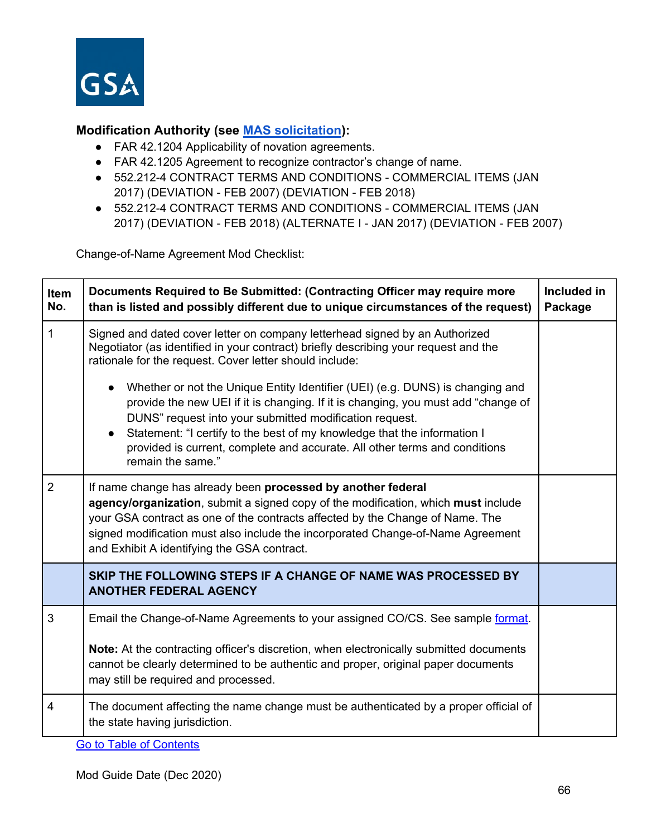

## **Modification Authority (see [MAS solicitation\)](https://beta.sam.gov/opp/9c6569ce85314504b780b8778abde405/view):**

- FAR 42.1204 Applicability of novation agreements.
- FAR 42.1205 Agreement to recognize contractor's change of name.
- 552.212-4 CONTRACT TERMS AND CONDITIONS COMMERCIAL ITEMS (JAN 2017) (DEVIATION - FEB 2007) (DEVIATION - FEB 2018)
- 552.212-4 CONTRACT TERMS AND CONDITIONS COMMERCIAL ITEMS (JAN 2017) (DEVIATION - FEB 2018) (ALTERNATE I - JAN 2017) (DEVIATION - FEB 2007)

Change-of-Name Agreement Mod Checklist:

| <b>Item</b><br>No. | Documents Required to Be Submitted: (Contracting Officer may require more<br>than is listed and possibly different due to unique circumstances of the request)                                                                                                                                                                                                                                               | Included in<br>Package |
|--------------------|--------------------------------------------------------------------------------------------------------------------------------------------------------------------------------------------------------------------------------------------------------------------------------------------------------------------------------------------------------------------------------------------------------------|------------------------|
| $\mathbf{1}$       | Signed and dated cover letter on company letterhead signed by an Authorized<br>Negotiator (as identified in your contract) briefly describing your request and the<br>rationale for the request. Cover letter should include:                                                                                                                                                                                |                        |
|                    | Whether or not the Unique Entity Identifier (UEI) (e.g. DUNS) is changing and<br>provide the new UEI if it is changing. If it is changing, you must add "change of<br>DUNS" request into your submitted modification request.<br>Statement: "I certify to the best of my knowledge that the information I<br>provided is current, complete and accurate. All other terms and conditions<br>remain the same." |                        |
| $\overline{2}$     | If name change has already been processed by another federal<br>agency/organization, submit a signed copy of the modification, which must include<br>your GSA contract as one of the contracts affected by the Change of Name. The<br>signed modification must also include the incorporated Change-of-Name Agreement<br>and Exhibit A identifying the GSA contract.                                         |                        |
|                    | SKIP THE FOLLOWING STEPS IF A CHANGE OF NAME WAS PROCESSED BY<br><b>ANOTHER FEDERAL AGENCY</b>                                                                                                                                                                                                                                                                                                               |                        |
| $\mathbf{3}$       | Email the Change-of-Name Agreements to your assigned CO/CS. See sample format.<br>Note: At the contracting officer's discretion, when electronically submitted documents<br>cannot be clearly determined to be authentic and proper, original paper documents<br>may still be required and processed.                                                                                                        |                        |
| 4                  | The document affecting the name change must be authenticated by a proper official of<br>the state having jurisdiction.                                                                                                                                                                                                                                                                                       |                        |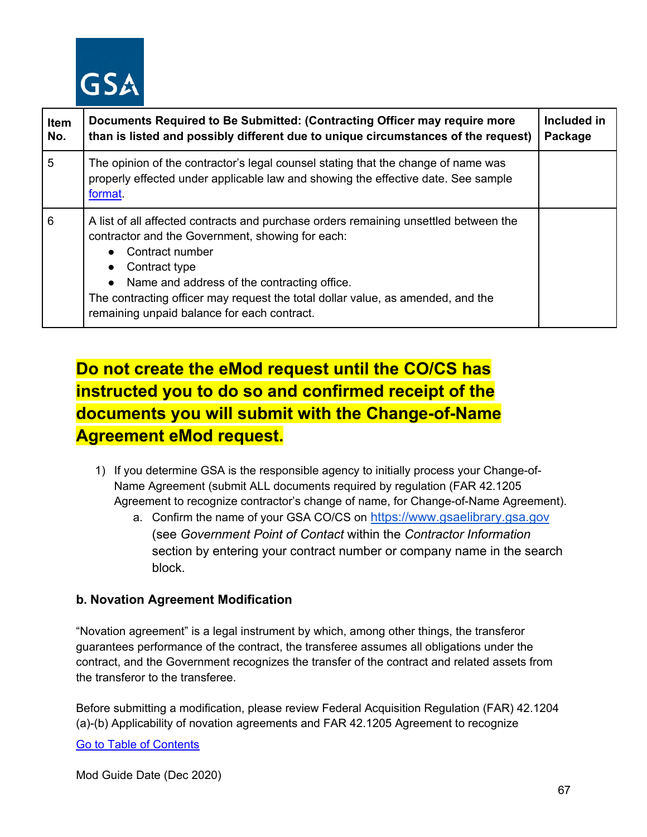

| <b>Item</b><br>No. | Documents Required to Be Submitted: (Contracting Officer may require more<br>than is listed and possibly different due to unique circumstances of the request)                                                                                                                                                                                                | Included in<br>Package |
|--------------------|---------------------------------------------------------------------------------------------------------------------------------------------------------------------------------------------------------------------------------------------------------------------------------------------------------------------------------------------------------------|------------------------|
| 5                  | The opinion of the contractor's legal counsel stating that the change of name was<br>properly effected under applicable law and showing the effective date. See sample<br>format.                                                                                                                                                                             |                        |
| 6                  | A list of all affected contracts and purchase orders remaining unsettled between the<br>contractor and the Government, showing for each:<br>Contract number<br>Contract type<br>Name and address of the contracting office.<br>The contracting officer may request the total dollar value, as amended, and the<br>remaining unpaid balance for each contract. |                        |

# **Do not create the eMod request until the CO/CS has instructed you to do so and confirmed receipt of the documents you will submit with the Change-of-Name Agreement eMod request.**

- 1) If you determine GSA is the responsible agency to initially process your Change-of-Name Agreement (submit ALL documents required by regulation (FAR 42.1205 Agreement to recognize contractor's change of name, for Change-of-Name Agreement).
	- a. Confirm the name of your GSA CO/CS on [https://www.gsaelibrary.gsa.gov](https://www.gsaelibrary.gsa.gov/ElibMain/home.do) (see *Government Point of Contact* within the *Contractor Information* section by entering your contract number or company name in the search block.

## **b. Novation Agreement Modification**

"Novation agreement" is a legal instrument by which, among other things, the transferor guarantees performance of the contract, the transferee assumes all obligations under the contract, and the Government recognizes the transfer of the contract and related assets from the transferor to the transferee.

Before submitting a modification, please review Federal Acquisition Regulation (FAR) 42.1204 (a)-(b) Applicability of novation agreements and FAR 42.1205 Agreement to recognize

#### [Go to Table of Contents](#page-1-0)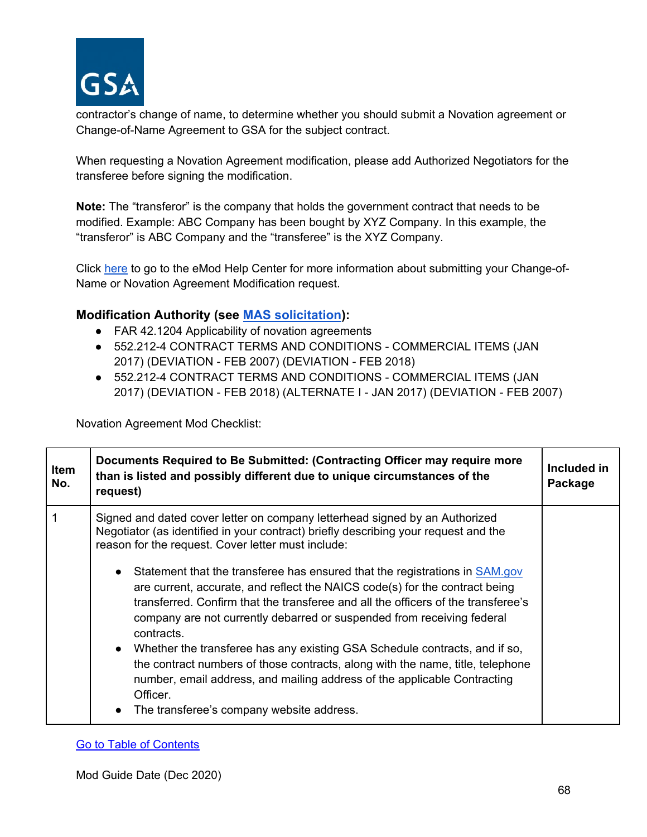

contractor's change of name, to determine whether you should submit a Novation agreement or Change-of-Name Agreement to GSA for the subject contract.

When requesting a Novation Agreement modification, please add Authorized Negotiators for the transferee before signing the modification.

**Note:** The "transferor" is the company that holds the government contract that needs to be modified. Example: ABC Company has been bought by XYZ Company. In this example, the "transferor" is ABC Company and the "transferee" is the XYZ Company.

Click [here](https://eoffer.gsa.gov/AMSupport/index.html#book_page_page/modules%2Fbook%2Fdatabase.xml/eoffer_emod/emod-resources/modtypes/legal-modifications/novation-agreement-modification) to go to the eMod Help Center for more information about submitting your Change-of-Name or Novation Agreement Modification request.

#### **Modification Authority (see [MAS solicitation\)](https://beta.sam.gov/opp/9c6569ce85314504b780b8778abde405/view):**

- FAR 42.1204 Applicability of novation agreements
- 552.212-4 CONTRACT TERMS AND CONDITIONS COMMERCIAL ITEMS (JAN 2017) (DEVIATION - FEB 2007) (DEVIATION - FEB 2018)
- 552.212-4 CONTRACT TERMS AND CONDITIONS COMMERCIAL ITEMS (JAN 2017) (DEVIATION - FEB 2018) (ALTERNATE I - JAN 2017) (DEVIATION - FEB 2007)

Novation Agreement Mod Checklist:

| <b>Item</b><br>No.<br>request)                                                            | Documents Required to Be Submitted: (Contracting Officer may require more<br>than is listed and possibly different due to unique circumstances of the                                                                                                                                                                                                                                                                                                                                                                                                                                                                                                                                                                                                                                          | Included in<br>Package |
|-------------------------------------------------------------------------------------------|------------------------------------------------------------------------------------------------------------------------------------------------------------------------------------------------------------------------------------------------------------------------------------------------------------------------------------------------------------------------------------------------------------------------------------------------------------------------------------------------------------------------------------------------------------------------------------------------------------------------------------------------------------------------------------------------------------------------------------------------------------------------------------------------|------------------------|
| reason for the request. Cover letter must include:<br>contracts.<br>Officer.<br>$\bullet$ | Signed and dated cover letter on company letterhead signed by an Authorized<br>Negotiator (as identified in your contract) briefly describing your request and the<br>• Statement that the transferee has ensured that the registrations in $SAM.gov$<br>are current, accurate, and reflect the NAICS code(s) for the contract being<br>transferred. Confirm that the transferee and all the officers of the transferee's<br>company are not currently debarred or suspended from receiving federal<br>• Whether the transferee has any existing GSA Schedule contracts, and if so,<br>the contract numbers of those contracts, along with the name, title, telephone<br>number, email address, and mailing address of the applicable Contracting<br>The transferee's company website address. |                        |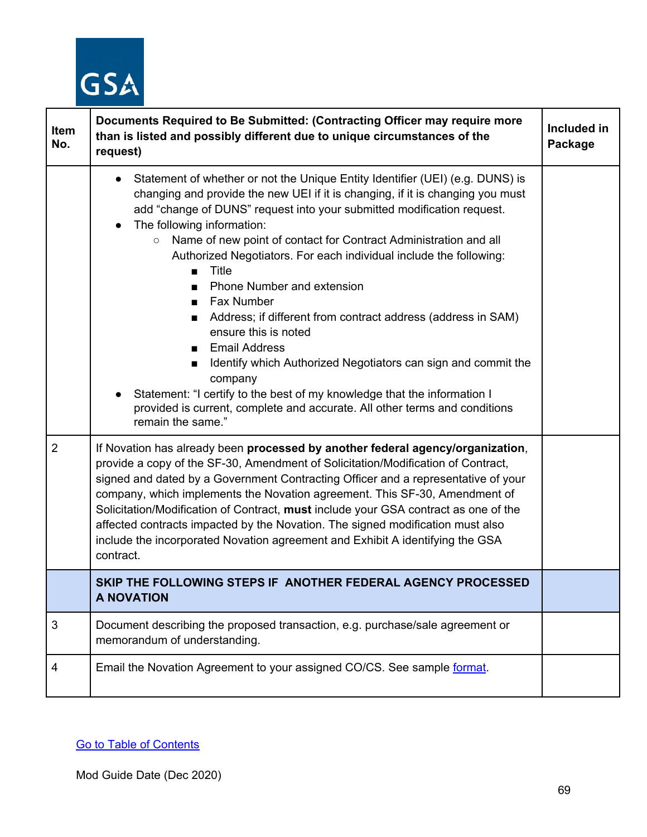

| Item<br>No.    | Documents Required to Be Submitted: (Contracting Officer may require more<br>than is listed and possibly different due to unique circumstances of the<br>request)                                                                                                                                                                                                                                                                                                                                                                                                                                                                                                                                                                                                                                                                                                                                        | Included in<br>Package |
|----------------|----------------------------------------------------------------------------------------------------------------------------------------------------------------------------------------------------------------------------------------------------------------------------------------------------------------------------------------------------------------------------------------------------------------------------------------------------------------------------------------------------------------------------------------------------------------------------------------------------------------------------------------------------------------------------------------------------------------------------------------------------------------------------------------------------------------------------------------------------------------------------------------------------------|------------------------|
|                | Statement of whether or not the Unique Entity Identifier (UEI) (e.g. DUNS) is<br>$\bullet$<br>changing and provide the new UEI if it is changing, if it is changing you must<br>add "change of DUNS" request into your submitted modification request.<br>The following information:<br>$\bullet$<br>Name of new point of contact for Contract Administration and all<br>$\circ$<br>Authorized Negotiators. For each individual include the following:<br>Title<br>Phone Number and extension<br>■ Fax Number<br>Address; if different from contract address (address in SAM)<br>$\mathbf{r}$<br>ensure this is noted<br><b>Email Address</b><br>Identify which Authorized Negotiators can sign and commit the<br>company<br>Statement: "I certify to the best of my knowledge that the information I<br>provided is current, complete and accurate. All other terms and conditions<br>remain the same." |                        |
| $\overline{2}$ | If Novation has already been processed by another federal agency/organization,<br>provide a copy of the SF-30, Amendment of Solicitation/Modification of Contract,<br>signed and dated by a Government Contracting Officer and a representative of your<br>company, which implements the Novation agreement. This SF-30, Amendment of<br>Solicitation/Modification of Contract, must include your GSA contract as one of the<br>affected contracts impacted by the Novation. The signed modification must also<br>include the incorporated Novation agreement and Exhibit A identifying the GSA<br>contract.                                                                                                                                                                                                                                                                                             |                        |
|                | SKIP THE FOLLOWING STEPS IF ANOTHER FEDERAL AGENCY PROCESSED<br>A NOVATION                                                                                                                                                                                                                                                                                                                                                                                                                                                                                                                                                                                                                                                                                                                                                                                                                               |                        |
| 3              | Document describing the proposed transaction, e.g. purchase/sale agreement or<br>memorandum of understanding.                                                                                                                                                                                                                                                                                                                                                                                                                                                                                                                                                                                                                                                                                                                                                                                            |                        |
| 4              | Email the Novation Agreement to your assigned CO/CS. See sample format.                                                                                                                                                                                                                                                                                                                                                                                                                                                                                                                                                                                                                                                                                                                                                                                                                                  |                        |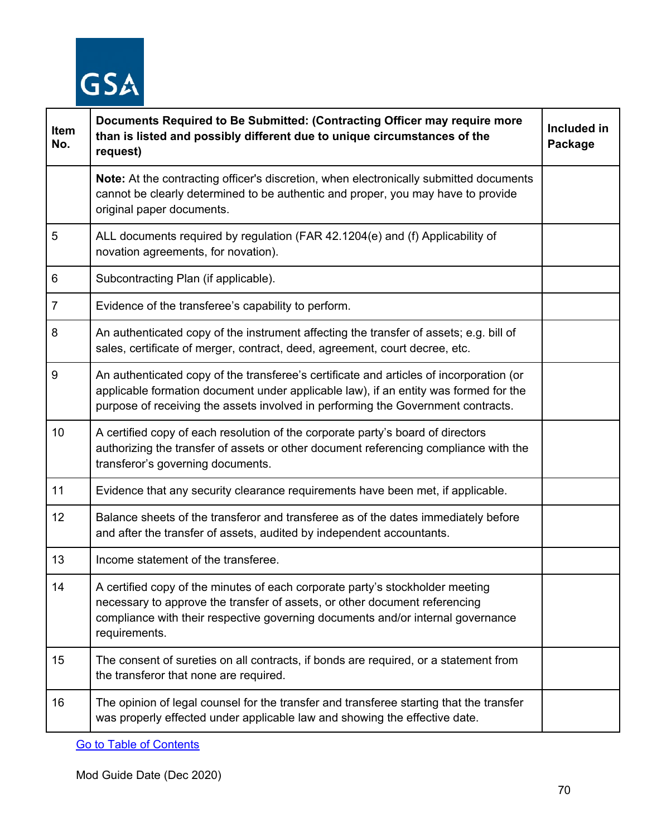

| Item<br>No.    | Documents Required to Be Submitted: (Contracting Officer may require more<br>than is listed and possibly different due to unique circumstances of the<br>request)                                                                                                   | Included in<br>Package |
|----------------|---------------------------------------------------------------------------------------------------------------------------------------------------------------------------------------------------------------------------------------------------------------------|------------------------|
|                | <b>Note:</b> At the contracting officer's discretion, when electronically submitted documents<br>cannot be clearly determined to be authentic and proper, you may have to provide<br>original paper documents.                                                      |                        |
| 5              | ALL documents required by regulation (FAR 42.1204(e) and (f) Applicability of<br>novation agreements, for novation).                                                                                                                                                |                        |
| 6              | Subcontracting Plan (if applicable).                                                                                                                                                                                                                                |                        |
| $\overline{7}$ | Evidence of the transferee's capability to perform.                                                                                                                                                                                                                 |                        |
| 8              | An authenticated copy of the instrument affecting the transfer of assets; e.g. bill of<br>sales, certificate of merger, contract, deed, agreement, court decree, etc.                                                                                               |                        |
| 9              | An authenticated copy of the transferee's certificate and articles of incorporation (or<br>applicable formation document under applicable law), if an entity was formed for the<br>purpose of receiving the assets involved in performing the Government contracts. |                        |
| 10             | A certified copy of each resolution of the corporate party's board of directors<br>authorizing the transfer of assets or other document referencing compliance with the<br>transferor's governing documents.                                                        |                        |
| 11             | Evidence that any security clearance requirements have been met, if applicable.                                                                                                                                                                                     |                        |
| 12             | Balance sheets of the transferor and transferee as of the dates immediately before<br>and after the transfer of assets, audited by independent accountants.                                                                                                         |                        |
| 13             | Income statement of the transferee.                                                                                                                                                                                                                                 |                        |
| 14             | A certified copy of the minutes of each corporate party's stockholder meeting<br>necessary to approve the transfer of assets, or other document referencing<br>compliance with their respective governing documents and/or internal governance<br>requirements.     |                        |
| 15             | The consent of sureties on all contracts, if bonds are required, or a statement from<br>the transferor that none are required.                                                                                                                                      |                        |
| 16             | The opinion of legal counsel for the transfer and transferee starting that the transfer<br>was properly effected under applicable law and showing the effective date.                                                                                               |                        |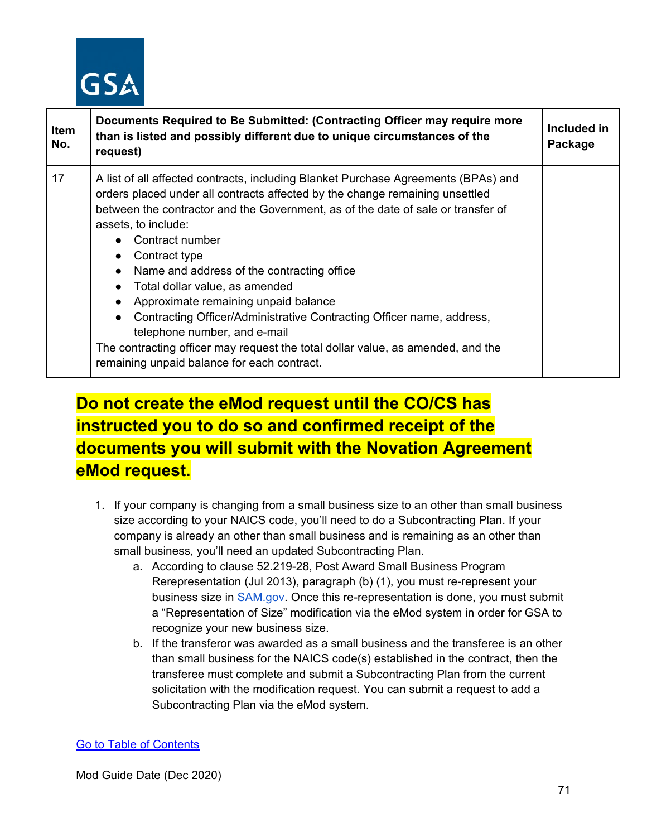

| <b>Item</b><br>No. | Documents Required to Be Submitted: (Contracting Officer may require more<br>than is listed and possibly different due to unique circumstances of the<br>request)                                                                                                                                                                                                                                                                                                                                                                                                                                                                                                                                                             | Included in<br>Package |
|--------------------|-------------------------------------------------------------------------------------------------------------------------------------------------------------------------------------------------------------------------------------------------------------------------------------------------------------------------------------------------------------------------------------------------------------------------------------------------------------------------------------------------------------------------------------------------------------------------------------------------------------------------------------------------------------------------------------------------------------------------------|------------------------|
| 17                 | A list of all affected contracts, including Blanket Purchase Agreements (BPAs) and<br>orders placed under all contracts affected by the change remaining unsettled<br>between the contractor and the Government, as of the date of sale or transfer of<br>assets, to include:<br>Contract number<br>Contract type<br>$\bullet$<br>Name and address of the contracting office<br>$\bullet$<br>• Total dollar value, as amended<br>Approximate remaining unpaid balance<br>Contracting Officer/Administrative Contracting Officer name, address,<br>$\bullet$<br>telephone number, and e-mail<br>The contracting officer may request the total dollar value, as amended, and the<br>remaining unpaid balance for each contract. |                        |

# **Do not create the eMod request until the CO/CS has instructed you to do so and confirmed receipt of the documents you will submit with the Novation Agreement eMod request.**

- 1. If your company is changing from a small business size to an other than small business size according to your NAICS code, you'll need to do a Subcontracting Plan. If your company is already an other than small business and is remaining as an other than small business, you'll need an updated Subcontracting Plan.
	- a. According to clause 52.219-28, Post Award Small Business Program Rerepresentation (Jul 2013), paragraph (b) (1), you must re-represent your business size in [SAM.gov.](https://www.sam.gov/SAM/) Once this re-representation is done, you must submit a "Representation of Size" modification via the eMod system in order for GSA to recognize your new business size.
	- b. If the transferor was awarded as a small business and the transferee is an other than small business for the NAICS code(s) established in the contract, then the transferee must complete and submit a Subcontracting Plan from the current solicitation with the modification request. You can submit a request to add a Subcontracting Plan via the eMod system.

#### [Go to Table of Contents](#page-1-0)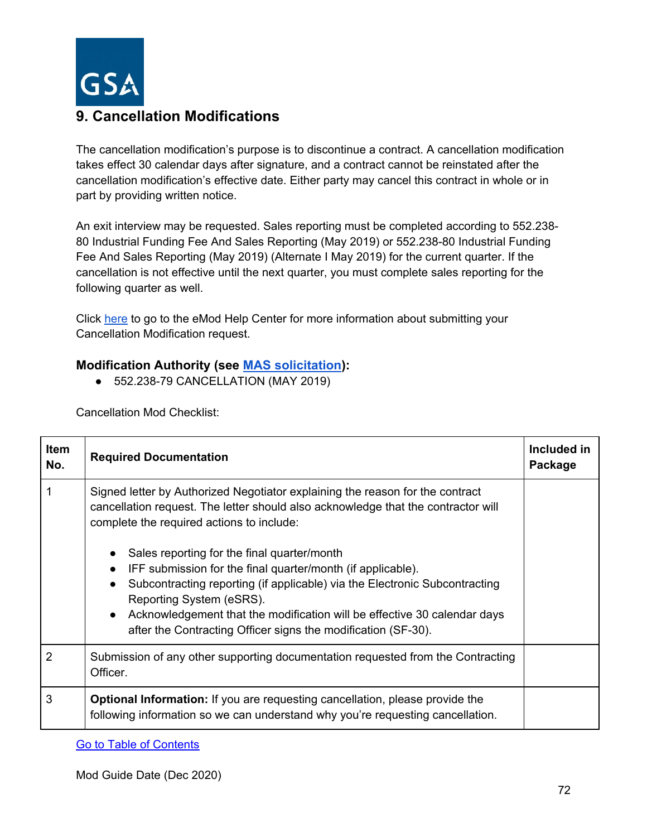

# **9. Cancellation Modifications**

The cancellation modification's purpose is to discontinue a contract. A cancellation modification takes effect 30 calendar days after signature, and a contract cannot be reinstated after the cancellation modification's effective date. Either party may cancel this contract in whole or in part by providing written notice.

An exit interview may be requested. Sales reporting must be completed according to 552.238- 80 Industrial Funding Fee And Sales Reporting (May 2019) or 552.238-80 Industrial Funding Fee And Sales Reporting (May 2019) (Alternate I May 2019) for the current quarter. If the cancellation is not effective until the next quarter, you must complete sales reporting for the following quarter as well.

Click [here](https://eoffer.gsa.gov/AMSupport/index.html#book_page_page/modules%2Fbook%2Fdatabase.xml/eoffer_emod/emod-resources/modtypes/cancellation-terminations-modifications) to go to the eMod Help Center for more information about submitting your Cancellation Modification request.

## **Modification Authority (see [MAS solicitation\)](https://beta.sam.gov/opp/9c6569ce85314504b780b8778abde405/view):**

● 552.238-79 CANCELLATION (MAY 2019)

Cancellation Mod Checklist:

| Item<br>No.    | <b>Required Documentation</b>                                                                                                                                                                                                                                                                                                                                                                            | Included in<br>Package |
|----------------|----------------------------------------------------------------------------------------------------------------------------------------------------------------------------------------------------------------------------------------------------------------------------------------------------------------------------------------------------------------------------------------------------------|------------------------|
|                | Signed letter by Authorized Negotiator explaining the reason for the contract<br>cancellation request. The letter should also acknowledge that the contractor will<br>complete the required actions to include:                                                                                                                                                                                          |                        |
|                | Sales reporting for the final quarter/month<br>$\bullet$<br>IFF submission for the final quarter/month (if applicable).<br>Subcontracting reporting (if applicable) via the Electronic Subcontracting<br>$\bullet$<br>Reporting System (eSRS).<br>Acknowledgement that the modification will be effective 30 calendar days<br>$\bullet$<br>after the Contracting Officer signs the modification (SF-30). |                        |
| $\overline{2}$ | Submission of any other supporting documentation requested from the Contracting<br>Officer.                                                                                                                                                                                                                                                                                                              |                        |
| 3              | <b>Optional Information:</b> If you are requesting cancellation, please provide the<br>following information so we can understand why you're requesting cancellation.                                                                                                                                                                                                                                    |                        |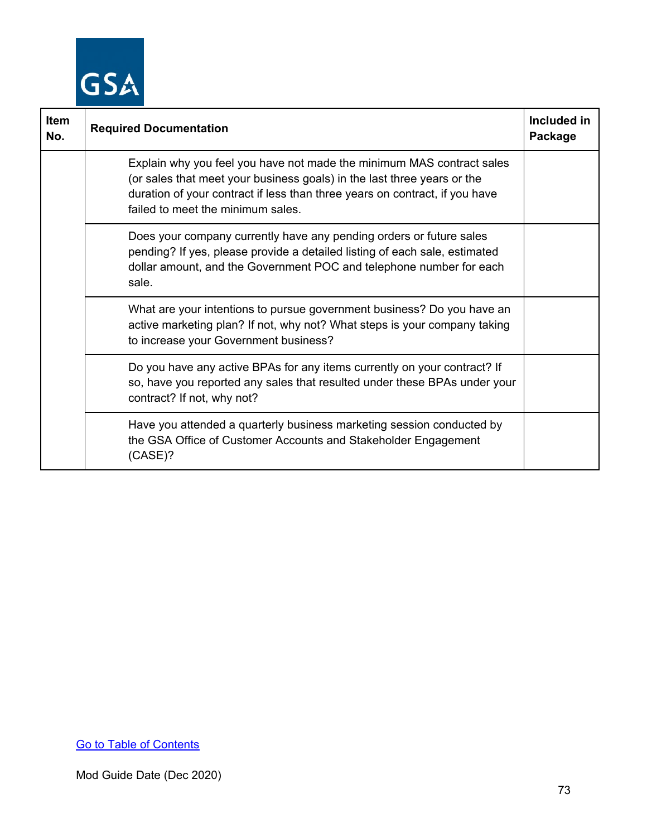

| <b>Item</b><br>No. | <b>Required Documentation</b>                                                                                                                                                                                                                                        | Included in<br>Package |
|--------------------|----------------------------------------------------------------------------------------------------------------------------------------------------------------------------------------------------------------------------------------------------------------------|------------------------|
|                    | Explain why you feel you have not made the minimum MAS contract sales<br>(or sales that meet your business goals) in the last three years or the<br>duration of your contract if less than three years on contract, if you have<br>failed to meet the minimum sales. |                        |
|                    | Does your company currently have any pending orders or future sales<br>pending? If yes, please provide a detailed listing of each sale, estimated<br>dollar amount, and the Government POC and telephone number for each<br>sale.                                    |                        |
|                    | What are your intentions to pursue government business? Do you have an<br>active marketing plan? If not, why not? What steps is your company taking<br>to increase your Government business?                                                                         |                        |
|                    | Do you have any active BPAs for any items currently on your contract? If<br>so, have you reported any sales that resulted under these BPAs under your<br>contract? If not, why not?                                                                                  |                        |
|                    | Have you attended a quarterly business marketing session conducted by<br>the GSA Office of Customer Accounts and Stakeholder Engagement<br>$(CASE)$ ?                                                                                                                |                        |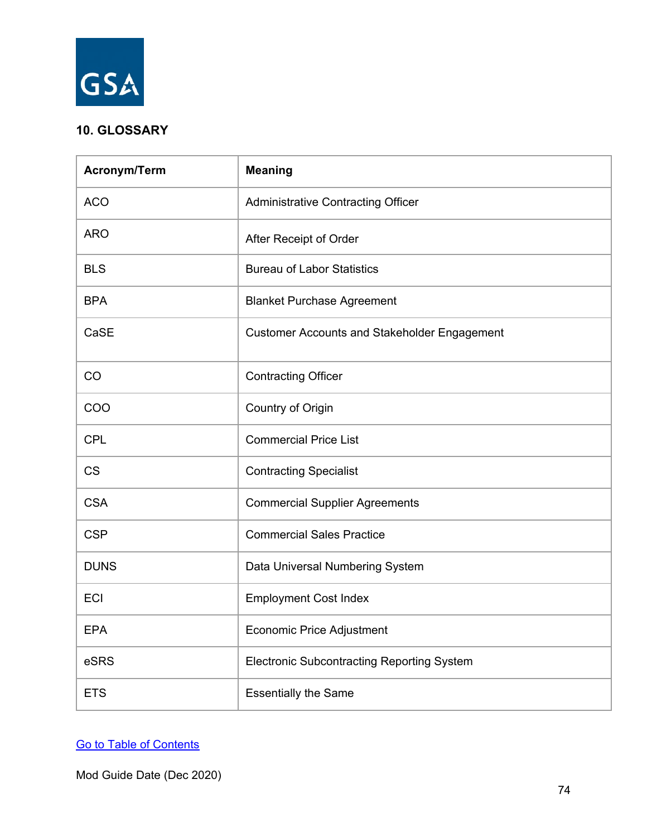

# **10. GLOSSARY**

| Acronym/Term | <b>Meaning</b>                                      |  |  |
|--------------|-----------------------------------------------------|--|--|
| <b>ACO</b>   | <b>Administrative Contracting Officer</b>           |  |  |
| <b>ARO</b>   | After Receipt of Order                              |  |  |
| <b>BLS</b>   | <b>Bureau of Labor Statistics</b>                   |  |  |
| <b>BPA</b>   | <b>Blanket Purchase Agreement</b>                   |  |  |
| CaSE         | <b>Customer Accounts and Stakeholder Engagement</b> |  |  |
| CO           | <b>Contracting Officer</b>                          |  |  |
| COO          | Country of Origin                                   |  |  |
| <b>CPL</b>   | <b>Commercial Price List</b>                        |  |  |
| <b>CS</b>    | <b>Contracting Specialist</b>                       |  |  |
| <b>CSA</b>   | <b>Commercial Supplier Agreements</b>               |  |  |
| <b>CSP</b>   | <b>Commercial Sales Practice</b>                    |  |  |
| <b>DUNS</b>  | Data Universal Numbering System                     |  |  |
| ECI          | <b>Employment Cost Index</b>                        |  |  |
| <b>EPA</b>   | <b>Economic Price Adjustment</b>                    |  |  |
| eSRS         | <b>Electronic Subcontracting Reporting System</b>   |  |  |
| <b>ETS</b>   | <b>Essentially the Same</b>                         |  |  |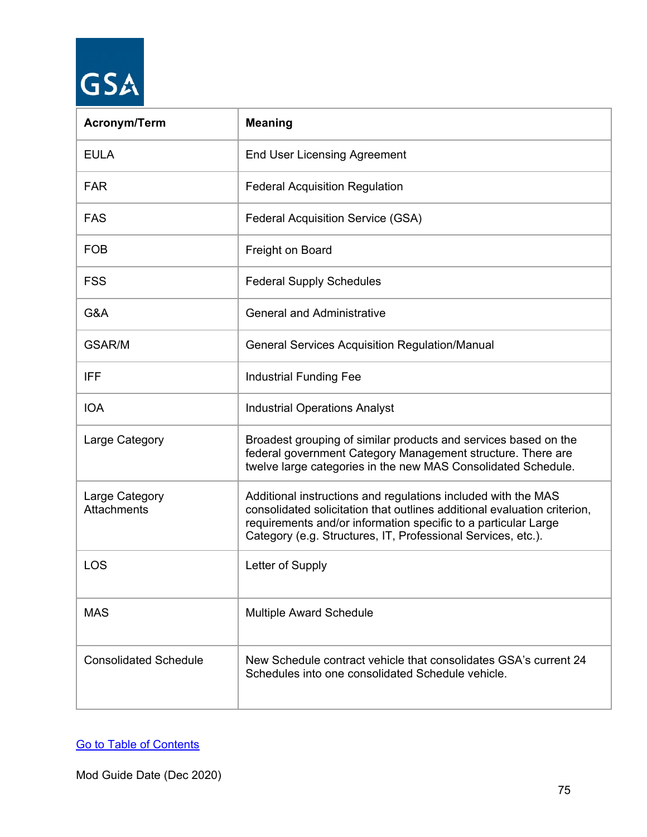# GSA

| <b>Acronym/Term</b>                  | <b>Meaning</b>                                                                                                                                                                                                                                                              |  |  |
|--------------------------------------|-----------------------------------------------------------------------------------------------------------------------------------------------------------------------------------------------------------------------------------------------------------------------------|--|--|
| <b>EULA</b>                          | <b>End User Licensing Agreement</b>                                                                                                                                                                                                                                         |  |  |
| <b>FAR</b>                           | <b>Federal Acquisition Regulation</b>                                                                                                                                                                                                                                       |  |  |
| <b>FAS</b>                           | <b>Federal Acquisition Service (GSA)</b>                                                                                                                                                                                                                                    |  |  |
| <b>FOB</b>                           | Freight on Board                                                                                                                                                                                                                                                            |  |  |
| <b>FSS</b>                           | <b>Federal Supply Schedules</b>                                                                                                                                                                                                                                             |  |  |
| G&A                                  | <b>General and Administrative</b>                                                                                                                                                                                                                                           |  |  |
| GSAR/M                               | <b>General Services Acquisition Regulation/Manual</b>                                                                                                                                                                                                                       |  |  |
| <b>IFF</b>                           | <b>Industrial Funding Fee</b>                                                                                                                                                                                                                                               |  |  |
| <b>IOA</b>                           | <b>Industrial Operations Analyst</b>                                                                                                                                                                                                                                        |  |  |
| Large Category                       | Broadest grouping of similar products and services based on the<br>federal government Category Management structure. There are<br>twelve large categories in the new MAS Consolidated Schedule.                                                                             |  |  |
| Large Category<br><b>Attachments</b> | Additional instructions and regulations included with the MAS<br>consolidated solicitation that outlines additional evaluation criterion,<br>requirements and/or information specific to a particular Large<br>Category (e.g. Structures, IT, Professional Services, etc.). |  |  |
| LOS                                  | Letter of Supply                                                                                                                                                                                                                                                            |  |  |
| <b>MAS</b>                           | <b>Multiple Award Schedule</b>                                                                                                                                                                                                                                              |  |  |
| <b>Consolidated Schedule</b>         | New Schedule contract vehicle that consolidates GSA's current 24<br>Schedules into one consolidated Schedule vehicle.                                                                                                                                                       |  |  |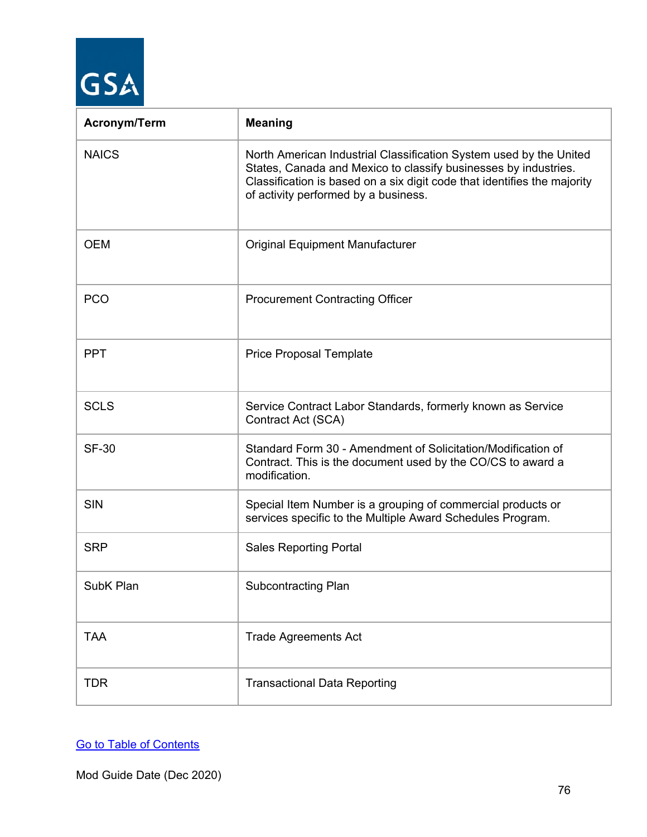| <b>Acronym/Term</b> | <b>Meaning</b>                                                                                                                                                                                                                                            |
|---------------------|-----------------------------------------------------------------------------------------------------------------------------------------------------------------------------------------------------------------------------------------------------------|
| <b>NAICS</b>        | North American Industrial Classification System used by the United<br>States, Canada and Mexico to classify businesses by industries.<br>Classification is based on a six digit code that identifies the majority<br>of activity performed by a business. |
| <b>OEM</b>          | <b>Original Equipment Manufacturer</b>                                                                                                                                                                                                                    |
| <b>PCO</b>          | <b>Procurement Contracting Officer</b>                                                                                                                                                                                                                    |
| <b>PPT</b>          | <b>Price Proposal Template</b>                                                                                                                                                                                                                            |
| <b>SCLS</b>         | Service Contract Labor Standards, formerly known as Service<br>Contract Act (SCA)                                                                                                                                                                         |
| <b>SF-30</b>        | Standard Form 30 - Amendment of Solicitation/Modification of<br>Contract. This is the document used by the CO/CS to award a<br>modification.                                                                                                              |
| <b>SIN</b>          | Special Item Number is a grouping of commercial products or<br>services specific to the Multiple Award Schedules Program.                                                                                                                                 |
| <b>SRP</b>          | <b>Sales Reporting Portal</b>                                                                                                                                                                                                                             |
| SubK Plan           | <b>Subcontracting Plan</b>                                                                                                                                                                                                                                |
| <b>TAA</b>          | <b>Trade Agreements Act</b>                                                                                                                                                                                                                               |
| <b>TDR</b>          | <b>Transactional Data Reporting</b>                                                                                                                                                                                                                       |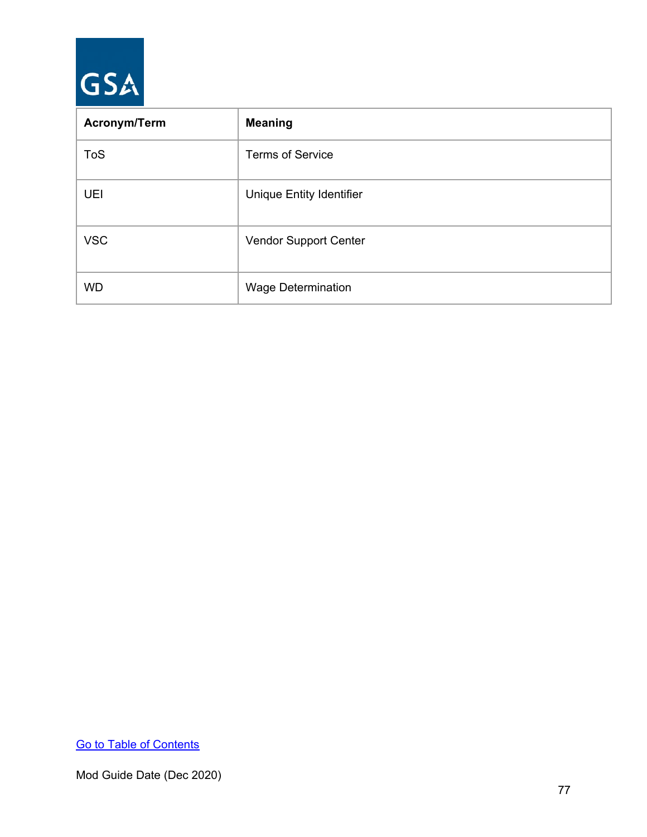

| <b>Acronym/Term</b> | <b>Meaning</b>                  |
|---------------------|---------------------------------|
| <b>ToS</b>          | <b>Terms of Service</b>         |
| <b>UEI</b>          | <b>Unique Entity Identifier</b> |
| <b>VSC</b>          | Vendor Support Center           |
| <b>WD</b>           | <b>Wage Determination</b>       |

[Go to Table of Contents](#page-1-0)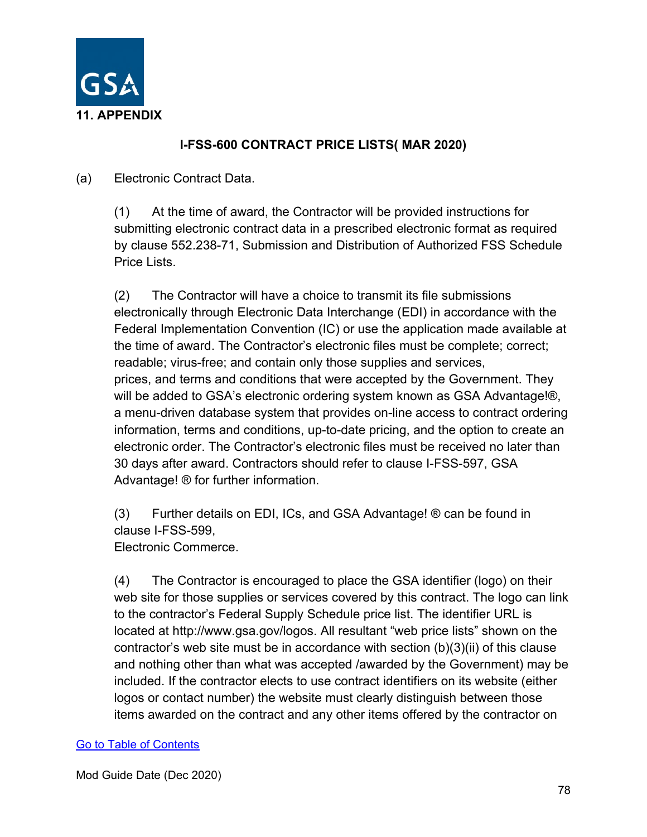

# **I-FSS-600 CONTRACT PRICE LISTS( MAR 2020)**

## (a) Electronic Contract Data.

(1) At the time of award, the Contractor will be provided instructions for submitting electronic contract data in a prescribed electronic format as required by clause 552.238-71, Submission and Distribution of Authorized FSS Schedule Price Lists.

(2) The Contractor will have a choice to transmit its file submissions electronically through Electronic Data Interchange (EDI) in accordance with the Federal Implementation Convention (IC) or use the application made available at the time of award. The Contractor's electronic files must be complete; correct; readable; virus-free; and contain only those supplies and services, prices, and terms and conditions that were accepted by the Government. They will be added to GSA's electronic ordering system known as GSA Advantage!®, a menu-driven database system that provides on-line access to contract ordering information, terms and conditions, up-to-date pricing, and the option to create an electronic order. The Contractor's electronic files must be received no later than 30 days after award. Contractors should refer to clause I-FSS-597, GSA Advantage! ® for further information.

(3) Further details on EDI, ICs, and GSA Advantage! ® can be found in clause I-FSS-599,

Electronic Commerce.

(4) The Contractor is encouraged to place the GSA identifier (logo) on their web site for those supplies or services covered by this contract. The logo can link to the contractor's Federal Supply Schedule price list. The identifier URL is located at http://www.gsa.gov/logos. All resultant "web price lists" shown on the contractor's web site must be in accordance with section (b)(3)(ii) of this clause and nothing other than what was accepted /awarded by the Government) may be included. If the contractor elects to use contract identifiers on its website (either logos or contact number) the website must clearly distinguish between those items awarded on the contract and any other items offered by the contractor on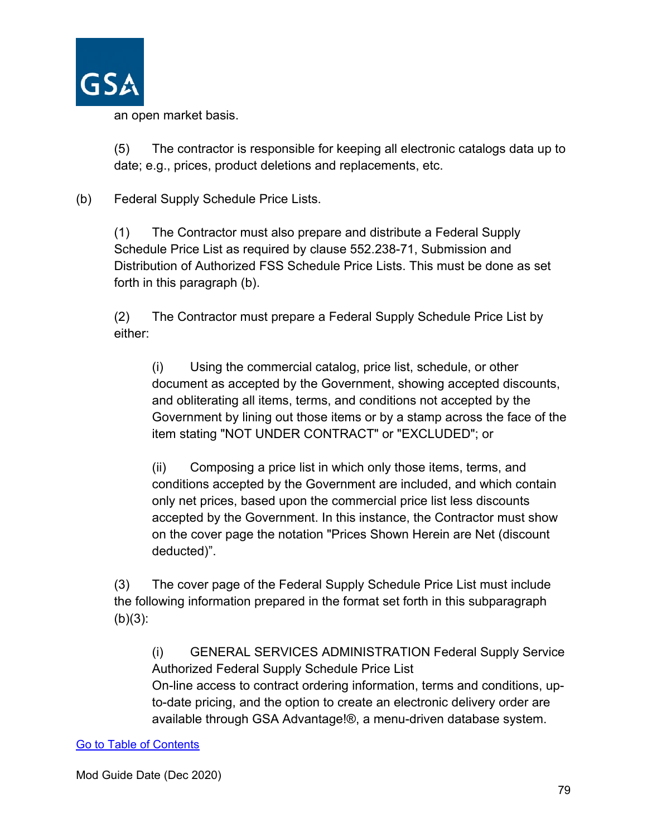

an open market basis.

(5) The contractor is responsible for keeping all electronic catalogs data up to date; e.g., prices, product deletions and replacements, etc.

(b) Federal Supply Schedule Price Lists.

(1) The Contractor must also prepare and distribute a Federal Supply Schedule Price List as required by clause 552.238-71, Submission and Distribution of Authorized FSS Schedule Price Lists. This must be done as set forth in this paragraph (b).

(2) The Contractor must prepare a Federal Supply Schedule Price List by either:

(i) Using the commercial catalog, price list, schedule, or other document as accepted by the Government, showing accepted discounts, and obliterating all items, terms, and conditions not accepted by the Government by lining out those items or by a stamp across the face of the item stating "NOT UNDER CONTRACT" or "EXCLUDED"; or

(ii) Composing a price list in which only those items, terms, and conditions accepted by the Government are included, and which contain only net prices, based upon the commercial price list less discounts accepted by the Government. In this instance, the Contractor must show on the cover page the notation "Prices Shown Herein are Net (discount deducted)".

(3) The cover page of the Federal Supply Schedule Price List must include the following information prepared in the format set forth in this subparagraph  $(b)(3)$ :

(i) GENERAL SERVICES ADMINISTRATION Federal Supply Service Authorized Federal Supply Schedule Price List On-line access to contract ordering information, terms and conditions, upto-date pricing, and the option to create an electronic delivery order are available through GSA Advantage!®, a menu-driven database system.

#### [Go to Table of Contents](#page-1-0)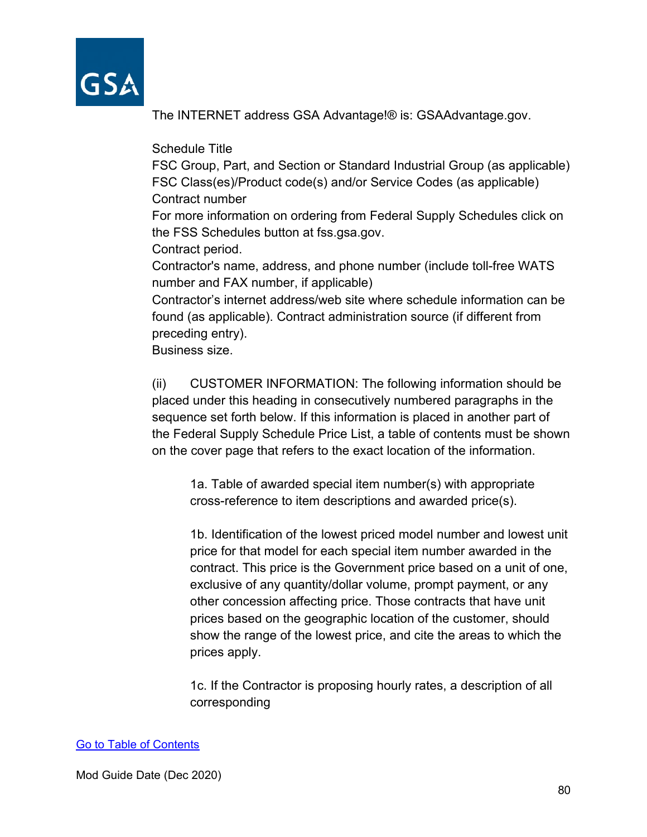

The INTERNET address GSA Advantage!® is: GSAAdvantage.gov.

Schedule Title

FSC Group, Part, and Section or Standard Industrial Group (as applicable) FSC Class(es)/Product code(s) and/or Service Codes (as applicable) Contract number

For more information on ordering from Federal Supply Schedules click on the FSS Schedules button at fss.gsa.gov.

Contract period.

Contractor's name, address, and phone number (include toll-free WATS number and FAX number, if applicable)

Contractor's internet address/web site where schedule information can be found (as applicable). Contract administration source (if different from preceding entry).

Business size.

(ii) CUSTOMER INFORMATION: The following information should be placed under this heading in consecutively numbered paragraphs in the sequence set forth below. If this information is placed in another part of the Federal Supply Schedule Price List, a table of contents must be shown on the cover page that refers to the exact location of the information.

1a. Table of awarded special item number(s) with appropriate cross-reference to item descriptions and awarded price(s).

1b. Identification of the lowest priced model number and lowest unit price for that model for each special item number awarded in the contract. This price is the Government price based on a unit of one, exclusive of any quantity/dollar volume, prompt payment, or any other concession affecting price. Those contracts that have unit prices based on the geographic location of the customer, should show the range of the lowest price, and cite the areas to which the prices apply.

1c. If the Contractor is proposing hourly rates, a description of all corresponding

#### [Go to Table of Contents](#page-1-0)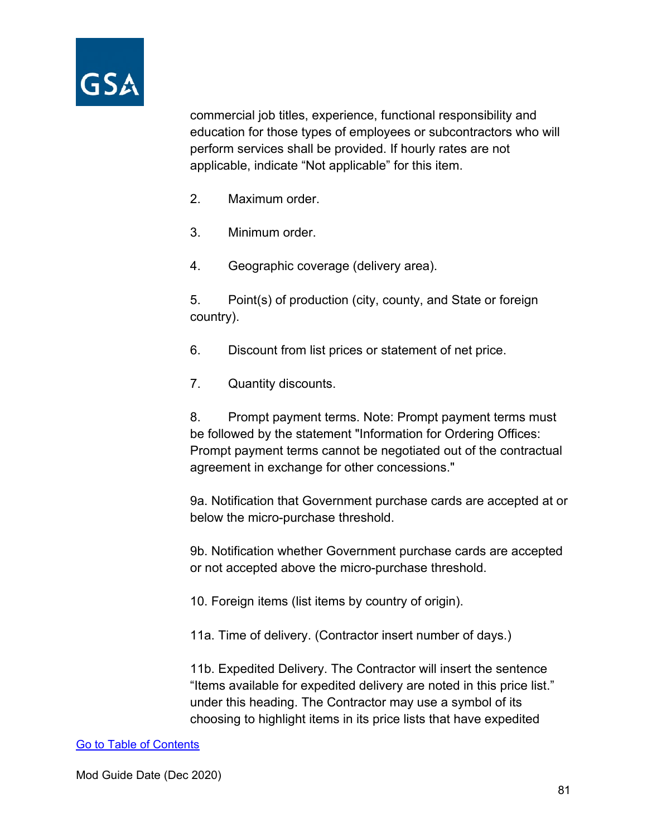

commercial job titles, experience, functional responsibility and education for those types of employees or subcontractors who will perform services shall be provided. If hourly rates are not applicable, indicate "Not applicable" for this item.

- 2. Maximum order.
- 3. Minimum order.
- 4. Geographic coverage (delivery area).

5. Point(s) of production (city, county, and State or foreign country).

- 6. Discount from list prices or statement of net price.
- 7. Quantity discounts.

8. Prompt payment terms. Note: Prompt payment terms must be followed by the statement "Information for Ordering Offices: Prompt payment terms cannot be negotiated out of the contractual agreement in exchange for other concessions."

9a. Notification that Government purchase cards are accepted at or below the micro-purchase threshold.

9b. Notification whether Government purchase cards are accepted or not accepted above the micro-purchase threshold.

10. Foreign items (list items by country of origin).

11a. Time of delivery. (Contractor insert number of days.)

11b. Expedited Delivery. The Contractor will insert the sentence "Items available for expedited delivery are noted in this price list." under this heading. The Contractor may use a symbol of its choosing to highlight items in its price lists that have expedited

#### [Go to Table of Contents](#page-1-0)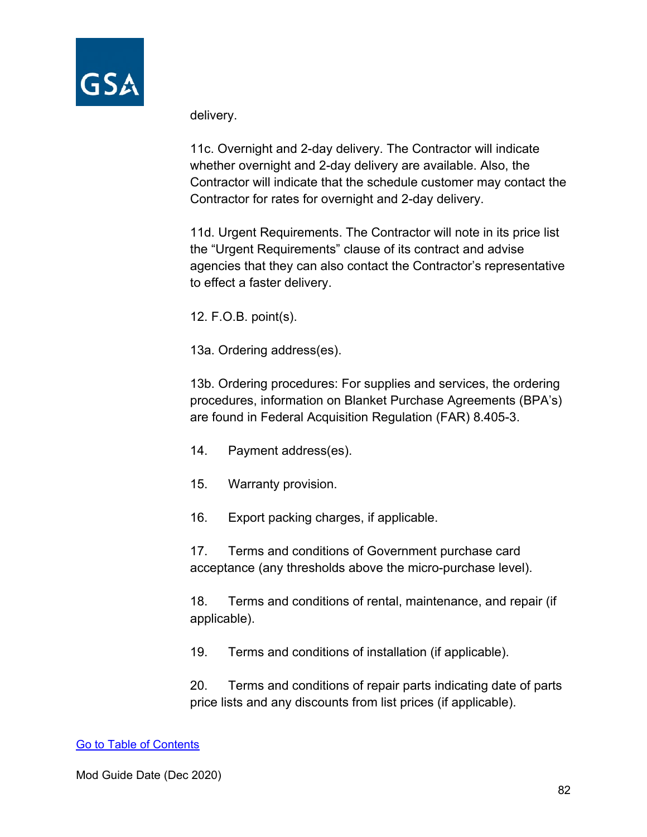

delivery.

11c. Overnight and 2-day delivery. The Contractor will indicate whether overnight and 2-day delivery are available. Also, the Contractor will indicate that the schedule customer may contact the Contractor for rates for overnight and 2-day delivery.

11d. Urgent Requirements. The Contractor will note in its price list the "Urgent Requirements" clause of its contract and advise agencies that they can also contact the Contractor's representative to effect a faster delivery.

12. F.O.B. point(s).

13a. Ordering address(es).

13b. Ordering procedures: For supplies and services, the ordering procedures, information on Blanket Purchase Agreements (BPA's) are found in Federal Acquisition Regulation (FAR) 8.405-3.

- 14. Payment address(es).
- 15. Warranty provision.

16. Export packing charges, if applicable.

17. Terms and conditions of Government purchase card acceptance (any thresholds above the micro-purchase level).

18. Terms and conditions of rental, maintenance, and repair (if applicable).

19. Terms and conditions of installation (if applicable).

20. Terms and conditions of repair parts indicating date of parts price lists and any discounts from list prices (if applicable).

#### [Go to Table of Contents](#page-1-0)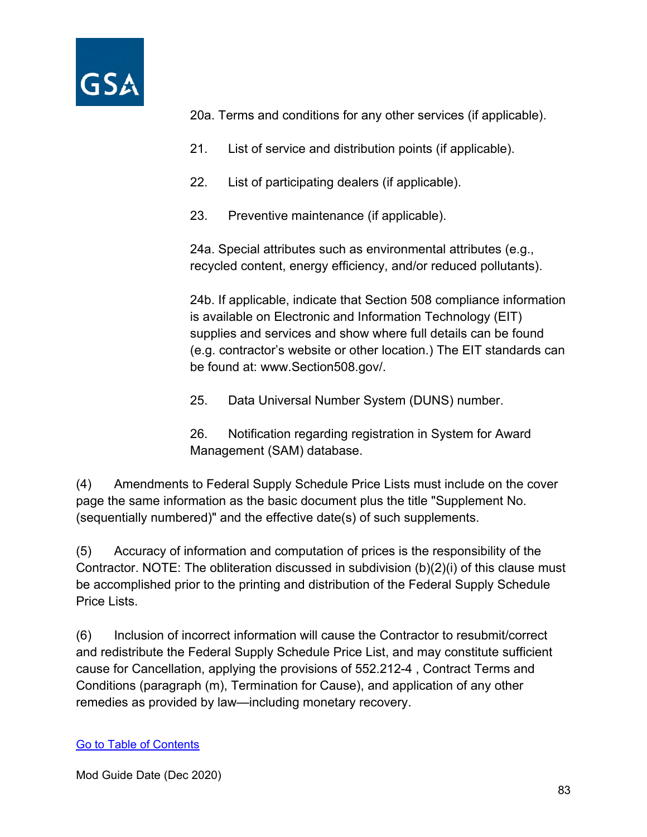

20a. Terms and conditions for any other services (if applicable).

- 21. List of service and distribution points (if applicable).
- 22. List of participating dealers (if applicable).
- 23. Preventive maintenance (if applicable).

24a. Special attributes such as environmental attributes (e.g., recycled content, energy efficiency, and/or reduced pollutants).

24b. If applicable, indicate that Section 508 compliance information is available on Electronic and Information Technology (EIT) supplies and services and show where full details can be found (e.g. contractor's website or other location.) The EIT standards can be found at: www.Section508.gov/.

25. Data Universal Number System (DUNS) number.

26. Notification regarding registration in System for Award Management (SAM) database.

(4) Amendments to Federal Supply Schedule Price Lists must include on the cover page the same information as the basic document plus the title "Supplement No. (sequentially numbered)" and the effective date(s) of such supplements.

(5) Accuracy of information and computation of prices is the responsibility of the Contractor. NOTE: The obliteration discussed in subdivision (b)(2)(i) of this clause must be accomplished prior to the printing and distribution of the Federal Supply Schedule Price Lists.

(6) Inclusion of incorrect information will cause the Contractor to resubmit/correct and redistribute the Federal Supply Schedule Price List, and may constitute sufficient cause for Cancellation, applying the provisions of 552.212-4 , Contract Terms and Conditions (paragraph (m), Termination for Cause), and application of any other remedies as provided by law—including monetary recovery.

#### [Go to Table of Contents](#page-1-0)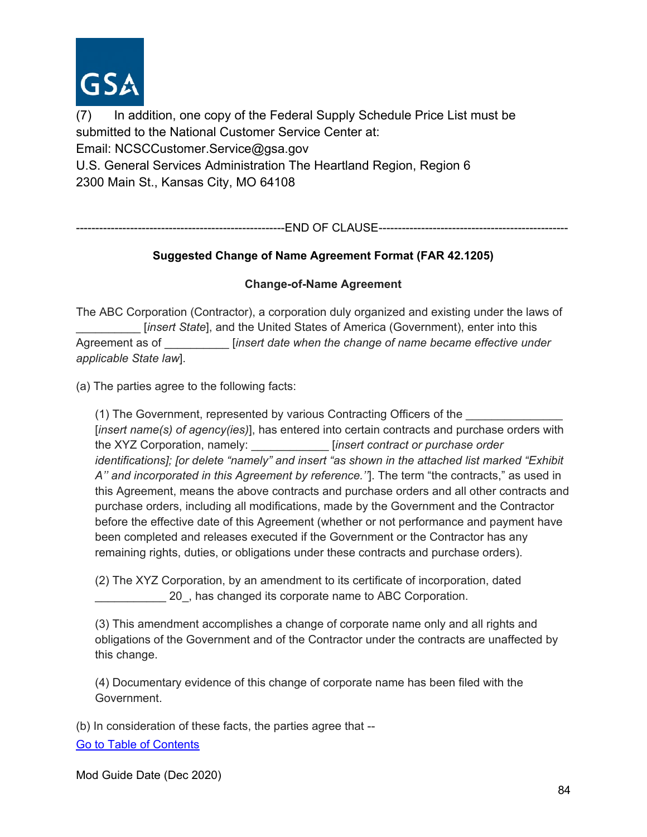

(7) In addition, one copy of the Federal Supply Schedule Price List must be submitted to the National Customer Service Center at: Email: NCSCCustomer.Service@gsa.gov U.S. General Services Administration The Heartland Region, Region 6 2300 Main St., Kansas City, MO 64108

------------------------------------------------------END OF CLAUSE-------------------------------------------------

#### **Suggested Change of Name Agreement Format (FAR 42.1205)**

#### **Change-of-Name Agreement**

The ABC Corporation (Contractor), a corporation duly organized and existing under the laws of [*insert State*], and the United States of America (Government), enter into this Agreement as of \_\_\_\_\_\_\_\_\_\_ [*insert date when the change of name became effective under applicable State law*].

(a) The parties agree to the following facts:

(1) The Government, represented by various Contracting Officers of the \_\_\_\_\_\_\_\_\_\_\_\_\_\_\_ [*insert name(s) of agency(ies)*], has entered into certain contracts and purchase orders with the XYZ Corporation, namely: \_\_\_\_\_\_\_\_\_\_\_\_ [*insert contract or purchase order identifications]; [or delete "namely" and insert "as shown in the attached list marked "Exhibit A'' and incorporated in this Agreement by reference.''*]. The term "the contracts," as used in this Agreement, means the above contracts and purchase orders and all other contracts and purchase orders, including all modifications, made by the Government and the Contractor before the effective date of this Agreement (whether or not performance and payment have been completed and releases executed if the Government or the Contractor has any remaining rights, duties, or obligations under these contracts and purchase orders).

(2) The XYZ Corporation, by an amendment to its certificate of incorporation, dated 20, has changed its corporate name to ABC Corporation.

(3) This amendment accomplishes a change of corporate name only and all rights and obligations of the Government and of the Contractor under the contracts are unaffected by this change.

(4) Documentary evidence of this change of corporate name has been filed with the Government.

[Go to Table of Contents](#page-1-0)  (b) In consideration of these facts, the parties agree that --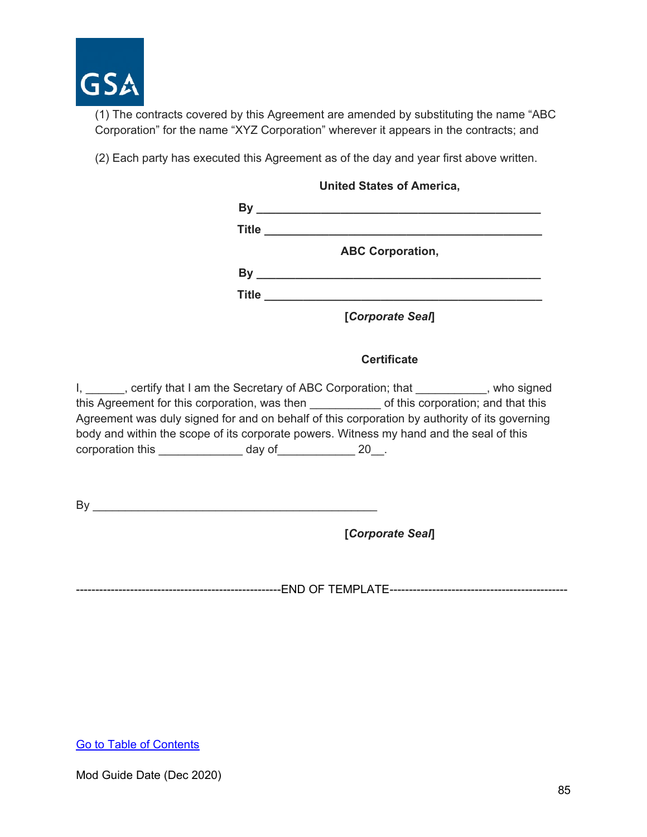

(1) The contracts covered by this Agreement are amended by substituting the name "ABC Corporation" for the name "XYZ Corporation" wherever it appears in the contracts; and

(2) Each party has executed this Agreement as of the day and year first above written.

| <b>United States of America,</b> |                                                                            |  |
|----------------------------------|----------------------------------------------------------------------------|--|
| By                               | the control of the control of the control of the control of the control of |  |
| <b>Title</b>                     |                                                                            |  |
|                                  | <b>ABC Corporation,</b>                                                    |  |
| By                               |                                                                            |  |
| <b>Title</b>                     |                                                                            |  |
|                                  | [Corporate Seal]                                                           |  |

#### **Certificate**

I, \_\_\_\_\_\_, certify that I am the Secretary of ABC Corporation; that \_\_\_\_\_\_\_\_\_\_\_, who signed this Agreement for this corporation, was then exact of this corporation; and that this Agreement was duly signed for and on behalf of this corporation by authority of its governing body and within the scope of its corporate powers. Witness my hand and the seal of this corporation this \_\_\_\_\_\_\_\_\_\_\_\_\_\_ day of\_\_\_\_\_\_\_\_\_\_\_\_ 20\_\_.

 $\mathsf{By} \_\_\_\_\_\_\$ 

**[***Corporate Seal***]**

-----------------------------------------------------END OF TEMPLATE----------------------------------------------

[Go to Table of Contents](#page-1-0)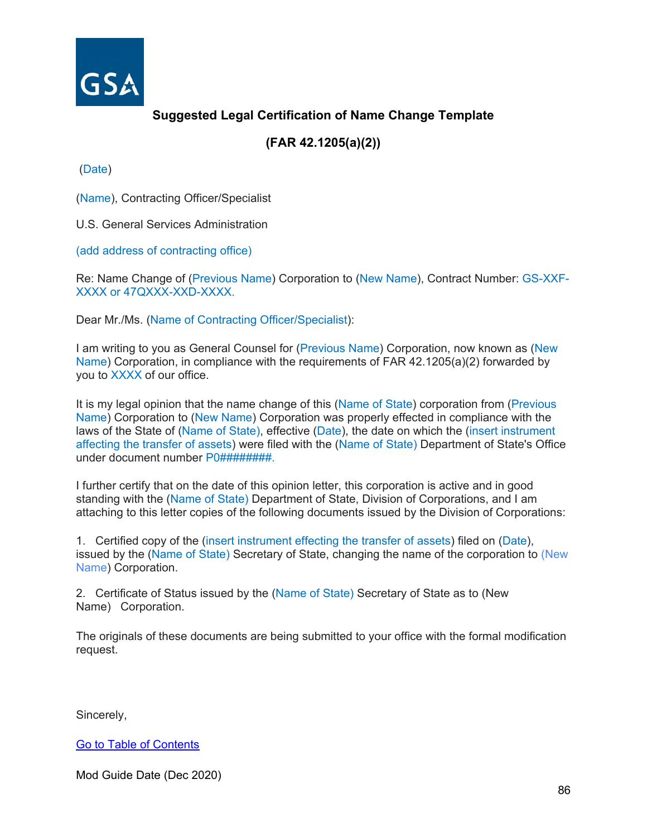

# **Suggested Legal Certification of Name Change Template**

# **(FAR 42.1205(a)(2))**

(Date)

(Name), Contracting Officer/Specialist

U.S. General Services Administration

(add address of contracting office)

Re: Name Change of (Previous Name) Corporation to (New Name), Contract Number: GS-XXF-XXXX or 47QXXX-XXD-XXXX.

Dear Mr./Ms. (Name of Contracting Officer/Specialist):

I am writing to you as General Counsel for (Previous Name) Corporation, now known as (New Name) Corporation, in compliance with the requirements of FAR 42.1205(a)(2) forwarded by you to XXXX of our office.

It is my legal opinion that the name change of this (Name of State) corporation from (Previous Name) Corporation to (New Name) Corporation was properly effected in compliance with the laws of the State of (Name of State), effective (Date), the date on which the (insert instrument affecting the transfer of assets) were filed with the (Name of State) Department of State's Office under document number P0##########.

I further certify that on the date of this opinion letter, this corporation is active and in good standing with the (Name of State) Department of State, Division of Corporations, and I am attaching to this letter copies of the following documents issued by the Division of Corporations:

1. Certified copy of the (insert instrument effecting the transfer of assets) filed on (Date), issued by the (Name of State) Secretary of State, changing the name of the corporation to (New Name) Corporation.

2. Certificate of Status issued by the (Name of State) Secretary of State as to (New Name) Corporation.

The originals of these documents are being submitted to your office with the formal modification request.

Sincerely,

[Go to Table of Contents](#page-1-0)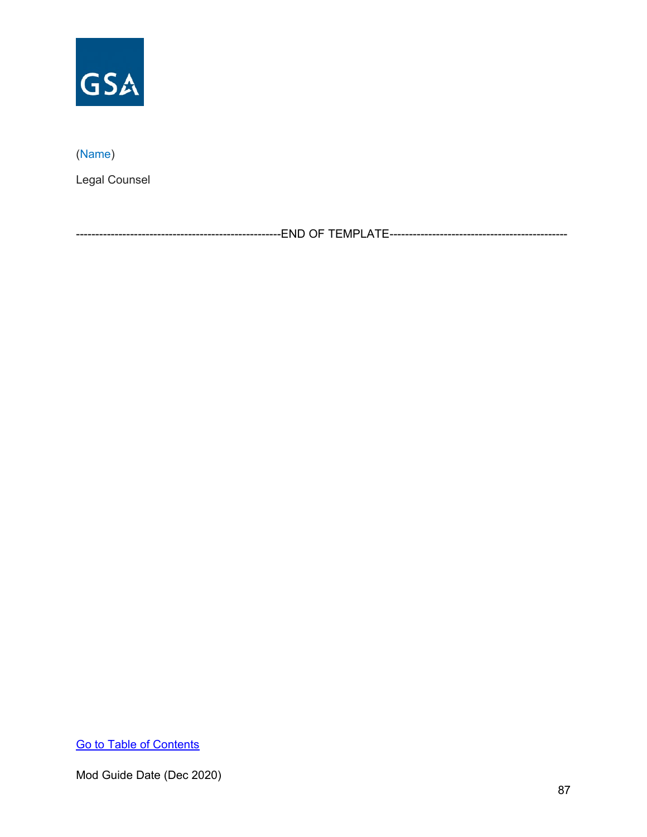

# (Name)

Legal Counsel

-----------------------------------------------------END OF TEMPLATE----------------------------------------------

[Go to Table of Contents](#page-1-0)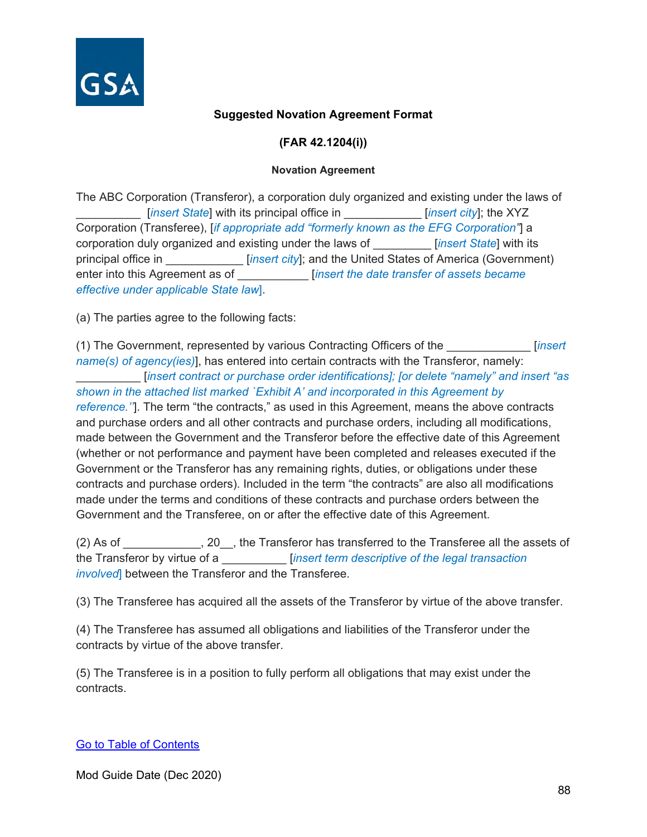

#### **Suggested Novation Agreement Format**

**(FAR 42.1204(i))**

#### **Novation Agreement**

The ABC Corporation (Transferor), a corporation duly organized and existing under the laws of [*insert State*] with its principal office in *insert city*]; the XYZ Corporation (Transferee), [*if appropriate add "formerly known as the EFG Corporation"*] a corporation duly organized and existing under the laws of \_\_\_\_\_\_\_\_\_ [*insert State*] with its principal office in \_\_\_\_\_\_\_\_\_\_\_\_ [*insert city*]; and the United States of America (Government) enter into this Agreement as of \_\_\_\_\_\_\_\_\_\_\_ [*insert the date transfer of assets became effective under applicable State law*].

(a) The parties agree to the following facts:

(1) The Government, represented by various Contracting Officers of the \_\_\_\_\_\_\_\_\_\_\_\_\_ [*insert name(s) of agency(ies)*], has entered into certain contracts with the Transferor, namely: \_\_\_\_\_\_\_\_\_\_ [*insert contract or purchase order identifications]; [or delete "namely" and insert "as shown in the attached list marked `Exhibit A' and incorporated in this Agreement by reference.''*]. The term "the contracts," as used in this Agreement, means the above contracts and purchase orders and all other contracts and purchase orders, including all modifications, made between the Government and the Transferor before the effective date of this Agreement (whether or not performance and payment have been completed and releases executed if the Government or the Transferor has any remaining rights, duties, or obligations under these contracts and purchase orders). Included in the term "the contracts" are also all modifications made under the terms and conditions of these contracts and purchase orders between the Government and the Transferee, on or after the effective date of this Agreement.

(2) As of \_\_\_\_\_\_\_\_\_\_\_\_, 20\_\_, the Transferor has transferred to the Transferee all the assets of the Transferor by virtue of a \_\_\_\_\_\_\_\_\_\_ [*insert term descriptive of the legal transaction involved*] between the Transferor and the Transferee.

(3) The Transferee has acquired all the assets of the Transferor by virtue of the above transfer.

(4) The Transferee has assumed all obligations and liabilities of the Transferor under the contracts by virtue of the above transfer.

(5) The Transferee is in a position to fully perform all obligations that may exist under the contracts.

#### [Go to Table of Contents](#page-1-0)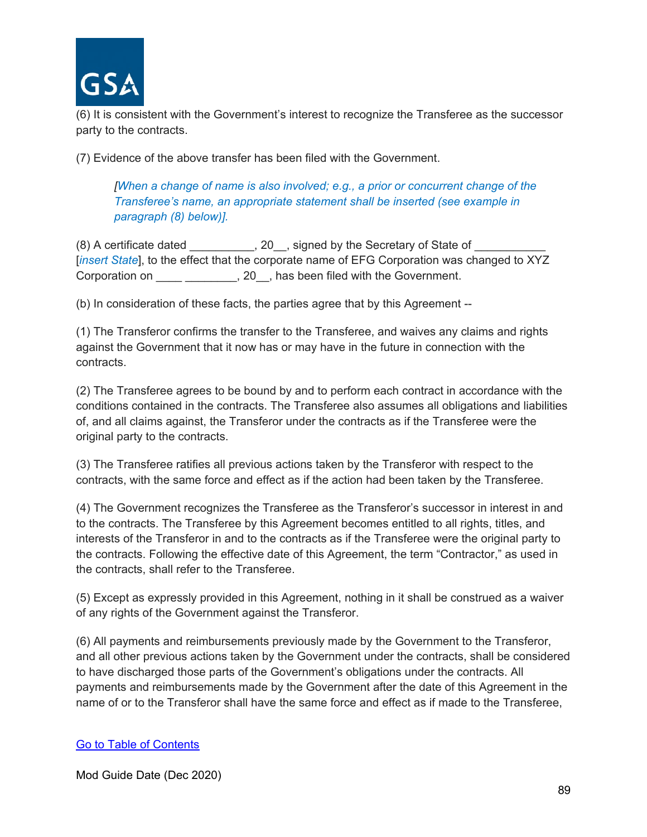

(6) It is consistent with the Government's interest to recognize the Transferee as the successor party to the contracts.

(7) Evidence of the above transfer has been filed with the Government.

*[When a change of name is also involved; e.g., a prior or concurrent change of the Transferee's name, an appropriate statement shall be inserted (see example in paragraph (8) below)].*

(8) A certificate dated  $\qquad \qquad , 20$ , signed by the Secretary of State of [*insert State*], to the effect that the corporate name of EFG Corporation was changed to XYZ Corporation on \_\_\_\_ \_\_\_\_\_\_\_\_, 20\_, has been filed with the Government.

(b) In consideration of these facts, the parties agree that by this Agreement --

(1) The Transferor confirms the transfer to the Transferee, and waives any claims and rights against the Government that it now has or may have in the future in connection with the contracts.

(2) The Transferee agrees to be bound by and to perform each contract in accordance with the conditions contained in the contracts. The Transferee also assumes all obligations and liabilities of, and all claims against, the Transferor under the contracts as if the Transferee were the original party to the contracts.

(3) The Transferee ratifies all previous actions taken by the Transferor with respect to the contracts, with the same force and effect as if the action had been taken by the Transferee.

(4) The Government recognizes the Transferee as the Transferor's successor in interest in and to the contracts. The Transferee by this Agreement becomes entitled to all rights, titles, and interests of the Transferor in and to the contracts as if the Transferee were the original party to the contracts. Following the effective date of this Agreement, the term "Contractor," as used in the contracts, shall refer to the Transferee.

(5) Except as expressly provided in this Agreement, nothing in it shall be construed as a waiver of any rights of the Government against the Transferor.

(6) All payments and reimbursements previously made by the Government to the Transferor, and all other previous actions taken by the Government under the contracts, shall be considered to have discharged those parts of the Government's obligations under the contracts. All payments and reimbursements made by the Government after the date of this Agreement in the name of or to the Transferor shall have the same force and effect as if made to the Transferee,

#### [Go to Table of Contents](#page-1-0)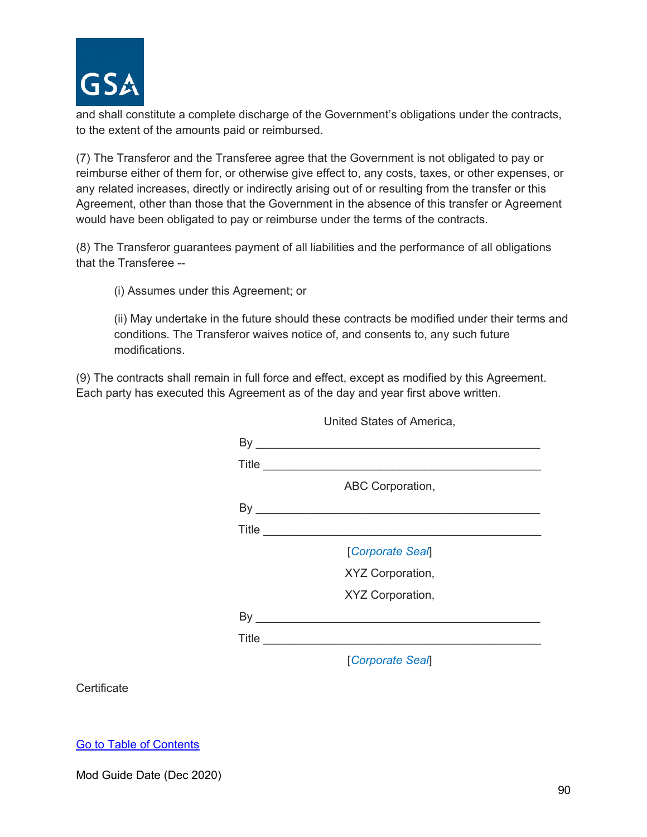

and shall constitute a complete discharge of the Government's obligations under the contracts, to the extent of the amounts paid or reimbursed.

(7) The Transferor and the Transferee agree that the Government is not obligated to pay or reimburse either of them for, or otherwise give effect to, any costs, taxes, or other expenses, or any related increases, directly or indirectly arising out of or resulting from the transfer or this Agreement, other than those that the Government in the absence of this transfer or Agreement would have been obligated to pay or reimburse under the terms of the contracts.

(8) The Transferor guarantees payment of all liabilities and the performance of all obligations that the Transferee --

(i) Assumes under this Agreement; or

(ii) May undertake in the future should these contracts be modified under their terms and conditions. The Transferor waives notice of, and consents to, any such future modifications.

(9) The contracts shall remain in full force and effect, except as modified by this Agreement. Each party has executed this Agreement as of the day and year first above written.

|                             | Title                                |
|-----------------------------|--------------------------------------|
|                             | ABC Corporation,                     |
|                             |                                      |
|                             | Title <u>_______________________</u> |
|                             | [Corporate Seal]                     |
|                             | XYZ Corporation,                     |
|                             | XYZ Corporation,                     |
| By $\overline{\phantom{a}}$ |                                      |
|                             | Title <u>______________________</u>  |
|                             | <b>Corporate Seal</b>                |

United States of America,

**Certificate** 

[Go to Table of Contents](#page-1-0)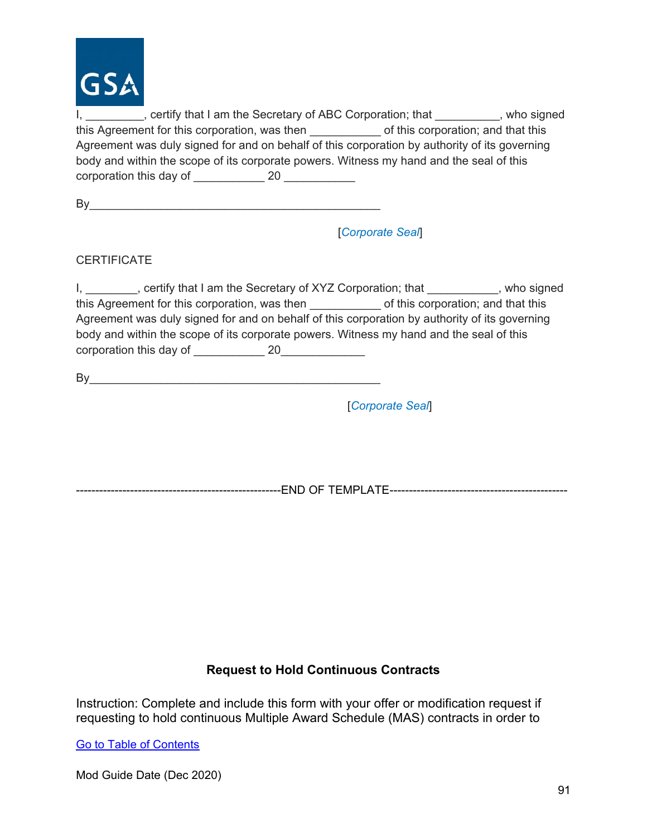

I, 1. All incorrective that I am the Secretary of ABC Corporation; that 1. Notice states by who signed this Agreement for this corporation, was then  $\qquad \qquad$  of this corporation; and that this Agreement was duly signed for and on behalf of this corporation by authority of its governing body and within the scope of its corporate powers. Witness my hand and the seal of this corporation this day of and the 20  $\sim$  20  $\sim$ 

| - |  |
|---|--|
|   |  |

[*Corporate Seal*]

**CERTIFICATE** 

I, ertify that I am the Secretary of XYZ Corporation; that exact are provided as a control of  $X$ this Agreement for this corporation, was then exact of this corporation; and that this Agreement was duly signed for and on behalf of this corporation by authority of its governing body and within the scope of its corporate powers. Witness my hand and the seal of this corporation this day of  $20$ 

 $By$  and  $\overline{a}$  and  $\overline{b}$  and  $\overline{a}$  and  $\overline{a}$  and  $\overline{a}$  and  $\overline{a}$  and  $\overline{a}$  and  $\overline{a}$  and  $\overline{a}$  and  $\overline{a}$  and  $\overline{a}$  and  $\overline{a}$  and  $\overline{a}$  and  $\overline{a}$  and  $\overline{a}$  and  $\overline{a}$  and  $\overline{$ 

[*Corporate Seal*]

-----------------------------------------------------END OF TEMPLATE----------------------------------------------

#### **Request to Hold Continuous Contracts**

Instruction: Complete and include this form with your offer or modification request if requesting to hold continuous Multiple Award Schedule (MAS) contracts in order to

[Go to Table of Contents](#page-1-0)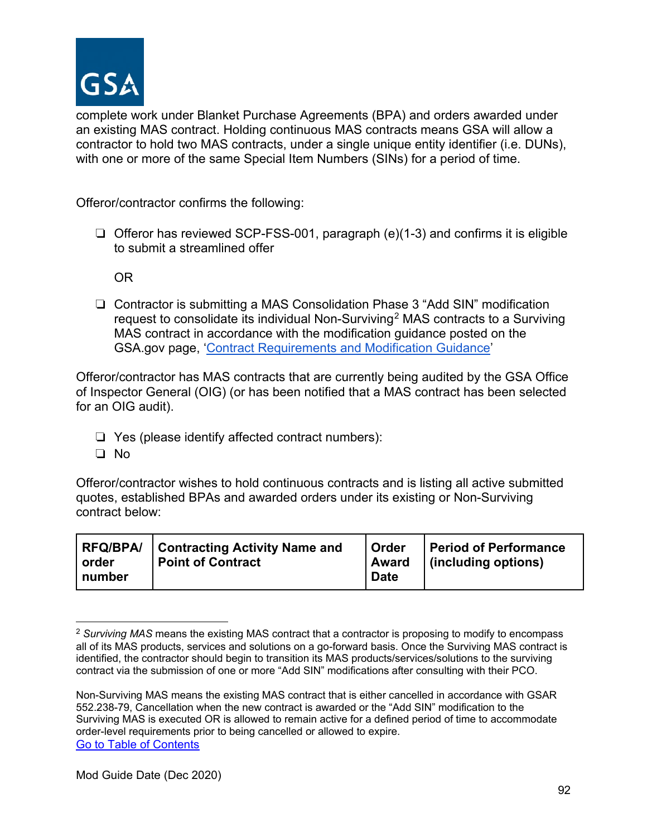

complete work under Blanket Purchase Agreements (BPA) and orders awarded under an existing MAS contract. Holding continuous MAS contracts means GSA will allow a contractor to hold two MAS contracts, under a single unique entity identifier (i.e. DUNs), with one or more of the same Special Item Numbers (SINs) for a period of time.

Offeror/contractor confirms the following:

❏ Offeror has reviewed SCP-FSS-001, paragraph (e)(1-3) and confirms it is eligible to submit a streamlined offer

OR

❏ Contractor is submitting a MAS Consolidation Phase 3 "Add SIN" modification request to consolidate its individual Non-Surviving<sup>[2](#page-91-0)</sup> MAS contracts to a Surviving MAS contract in accordance with the modification guidance posted on the GSA.gov page, ['Contract Requirements and Modification Guidance'](https://www.gsa.gov/buying-selling/purchasing-programs/gsa-schedules/selling-through-schedules/schedule-contractors/contract-requirements-and-modification-guidance)

Offeror/contractor has MAS contracts that are currently being audited by the GSA Office of Inspector General (OIG) (or has been notified that a MAS contract has been selected for an OIG audit).

- ❏ Yes (please identify affected contract numbers):
- ❏ No

Offeror/contractor wishes to hold continuous contracts and is listing all active submitted quotes, established BPAs and awarded orders under its existing or Non-Surviving contract below:

<span id="page-91-0"></span><sup>2</sup> *Surviving MAS* means the existing MAS contract that a contractor is proposing to modify to encompass all of its MAS products, services and solutions on a go-forward basis. Once the Surviving MAS contract is identified, the contractor should begin to transition its MAS products/services/solutions to the surviving contract via the submission of one or more "Add SIN" modifications after consulting with their PCO.

[Go to Table of Contents](#page-1-0)  Non-Surviving MAS means the existing MAS contract that is either cancelled in accordance with GSAR 552.238-79, Cancellation when the new contract is awarded or the "Add SIN" modification to the Surviving MAS is executed OR is allowed to remain active for a defined period of time to accommodate order-level requirements prior to being cancelled or allowed to expire.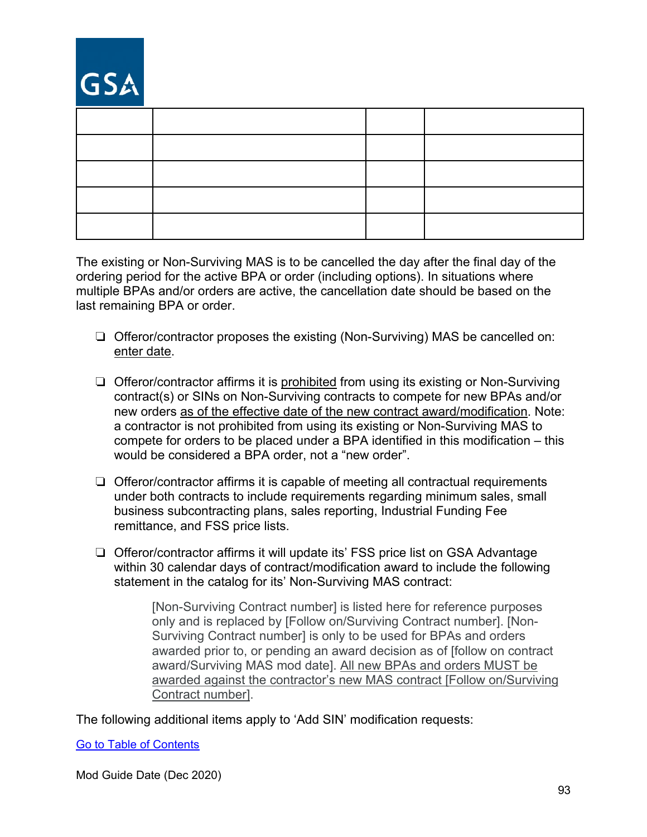# GSA

The existing or Non-Surviving MAS is to be cancelled the day after the final day of the ordering period for the active BPA or order (including options). In situations where multiple BPAs and/or orders are active, the cancellation date should be based on the last remaining BPA or order.

- ❏ Offeror/contractor proposes the existing (Non-Surviving) MAS be cancelled on: enter date.
- ❏ Offeror/contractor affirms it is prohibited from using its existing or Non-Surviving contract(s) or SINs on Non-Surviving contracts to compete for new BPAs and/or new orders as of the effective date of the new contract award/modification. Note: a contractor is not prohibited from using its existing or Non-Surviving MAS to compete for orders to be placed under a BPA identified in this modification – this would be considered a BPA order, not a "new order".
- ❏ Offeror/contractor affirms it is capable of meeting all contractual requirements under both contracts to include requirements regarding minimum sales, small business subcontracting plans, sales reporting, Industrial Funding Fee remittance, and FSS price lists.
- ❏ Offeror/contractor affirms it will update its' FSS price list on GSA Advantage within 30 calendar days of contract/modification award to include the following statement in the catalog for its' Non-Surviving MAS contract:

[Non-Surviving Contract number] is listed here for reference purposes only and is replaced by [Follow on/Surviving Contract number]. [Non-Surviving Contract number] is only to be used for BPAs and orders awarded prior to, or pending an award decision as of [follow on contract award/Surviving MAS mod date]. All new BPAs and orders MUST be awarded against the contractor's new MAS contract [Follow on/Surviving Contract number].

The following additional items apply to 'Add SIN' modification requests:

[Go to Table of Contents](#page-1-0)